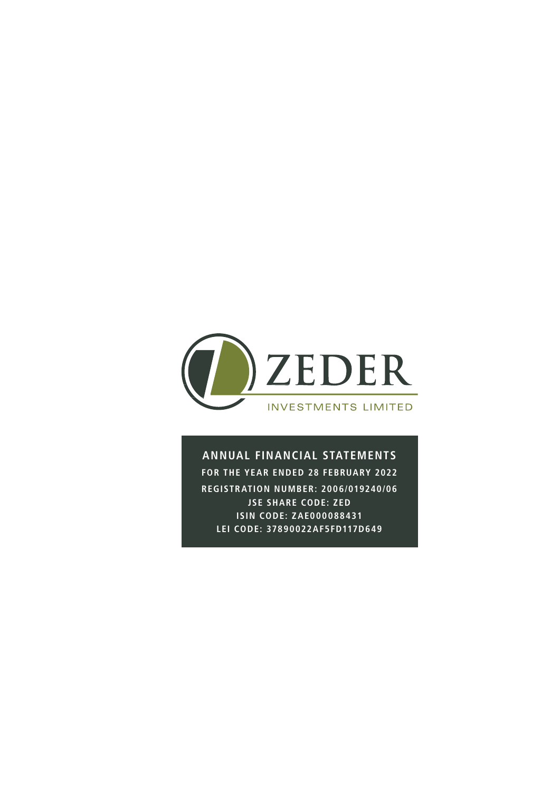

# **ANNUAL FINANCIAL STATEMENTS**

**FOR THE YEAR ENDED 28 FEBRUARY 2022 REGISTRATION NUMBER: 2006/019240/06 JSE SHARE CODE: ZED ISIN CODE: ZAE000088431 LEI CODE: 37890022AF5FD117D649**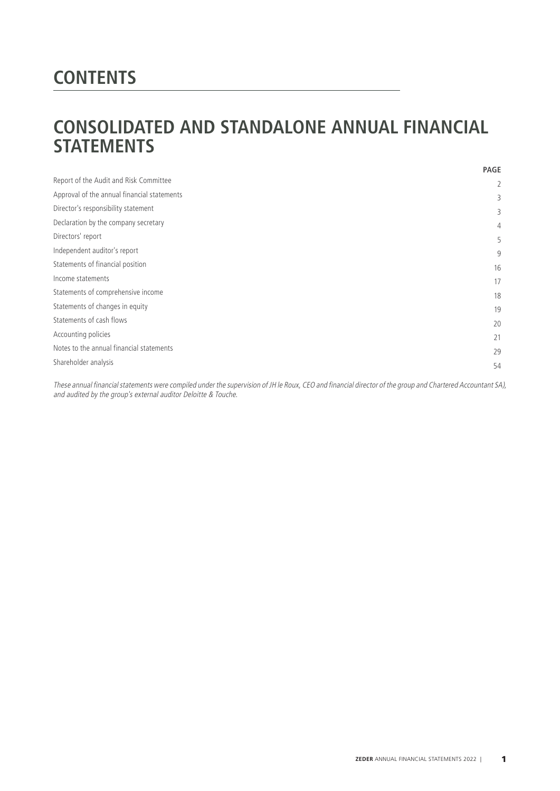# **CONTENTS**

# **CONSOLIDATED AND STANDALONE ANNUAL FINANCIAL STATEMENTS**

|                                             | <b>PAGE</b> |
|---------------------------------------------|-------------|
| Report of the Audit and Risk Committee      | 2           |
| Approval of the annual financial statements | 3           |
| Director's responsibility statement         | 3           |
| Declaration by the company secretary        | 4           |
| Directors' report                           | 5           |
| Independent auditor's report                | 9           |
| Statements of financial position            | 16          |
| Income statements                           | 17          |
| Statements of comprehensive income          | 18          |
| Statements of changes in equity             | 19          |
| Statements of cash flows                    | 20          |
| Accounting policies                         | 21          |
| Notes to the annual financial statements    | 29          |
| Shareholder analysis                        | 54          |
|                                             |             |

These annual financial statements were compiled under the supervision of JH le Roux, CEO and financial director of the group and Chartered Accountant SA), and audited by the group's external auditor Deloitte & Touche.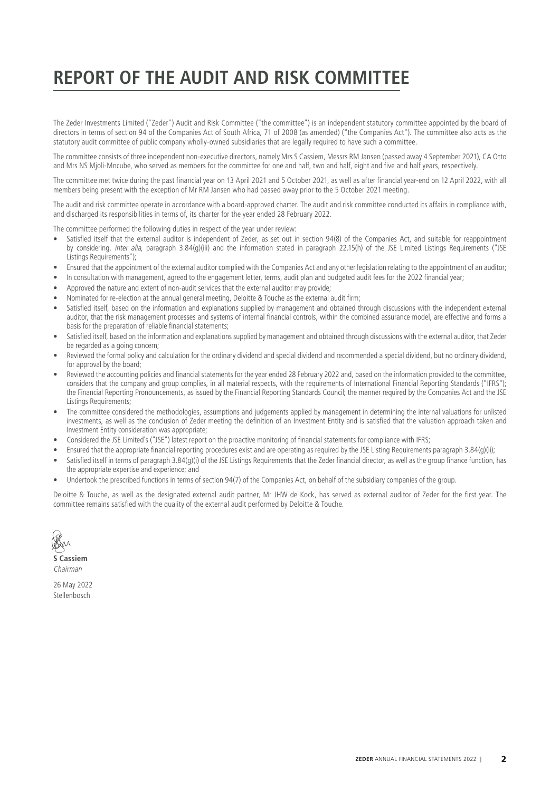# **REPORT OF THE AUDIT AND RISK COMMITTEE**

The Zeder Investments Limited ("Zeder") Audit and Risk Committee ("the committee") is an independent statutory committee appointed by the board of directors in terms of section 94 of the Companies Act of South Africa, 71 of 2008 (as amended) ("the Companies Act"). The committee also acts as the statutory audit committee of public company wholly-owned subsidiaries that are legally required to have such a committee.

The committee consists of three independent non-executive directors, namely Mrs S Cassiem, Messrs RM Jansen (passed away 4 September 2021), CA Otto and Mrs NS Mjoli-Mncube, who served as members for the committee for one and half, two and half, eight and five and half years, respectively.

The committee met twice during the past financial year on 13 April 2021 and 5 October 2021, as well as after financial year-end on 12 April 2022, with all members being present with the exception of Mr RM Jansen who had passed away prior to the 5 October 2021 meeting.

The audit and risk committee operate in accordance with a board-approved charter. The audit and risk committee conducted its affairs in compliance with, and discharged its responsibilities in terms of, its charter for the year ended 28 February 2022.

The committee performed the following duties in respect of the year under review:

- Satisfied itself that the external auditor is independent of Zeder, as set out in section 94(8) of the Companies Act, and suitable for reappointment by considering, inter alia, paragraph 3.84(g)(iii) and the information stated in paragraph 22.15(h) of the JSE Limited Listings Requirements ("JSE Listings Requirements");
- Ensured that the appointment of the external auditor complied with the Companies Act and any other legislation relating to the appointment of an auditor;
- In consultation with management, agreed to the engagement letter, terms, audit plan and budgeted audit fees for the 2022 financial year;
- Approved the nature and extent of non-audit services that the external auditor may provide;
- Nominated for re-election at the annual general meeting, Deloitte & Touche as the external audit firm;
- Satisfied itself, based on the information and explanations supplied by management and obtained through discussions with the independent external auditor, that the risk management processes and systems of internal financial controls, within the combined assurance model, are effective and forms a basis for the preparation of reliable financial statements;
- Satisfied itself, based on the information and explanations supplied by management and obtained through discussions with the external auditor, that Zeder be regarded as a going concern;
- Reviewed the formal policy and calculation for the ordinary dividend and special dividend and recommended a special dividend, but no ordinary dividend, for approval by the board;
- Reviewed the accounting policies and financial statements for the year ended 28 February 2022 and, based on the information provided to the committee, considers that the company and group complies, in all material respects, with the requirements of International Financial Reporting Standards ("IFRS"); the Financial Reporting Pronouncements, as issued by the Financial Reporting Standards Council; the manner required by the Companies Act and the JSE Listings Requirements;
- The committee considered the methodologies, assumptions and judgements applied by management in determining the internal valuations for unlisted investments, as well as the conclusion of Zeder meeting the definition of an Investment Entity and is satisfied that the valuation approach taken and Investment Entity consideration was appropriate;
- Considered the JSE Limited's ("JSE") latest report on the proactive monitoring of financial statements for compliance with IFRS;
- Ensured that the appropriate financial reporting procedures exist and are operating as required by the JSE Listing Requirements paragraph 3.84(g)(ii);
- Satisfied itself in terms of paragraph 3.84(g)(i) of the JSE Listings Requirements that the Zeder financial director, as well as the group finance function, has the appropriate expertise and experience; and
- Undertook the prescribed functions in terms of section 94(7) of the Companies Act, on behalf of the subsidiary companies of the group.

Deloitte & Touche, as well as the designated external audit partner, Mr JHW de Kock, has served as external auditor of Zeder for the first year. The committee remains satisfied with the quality of the external audit performed by Deloitte & Touche.



Chairman

26 May 2022 Stellenbosch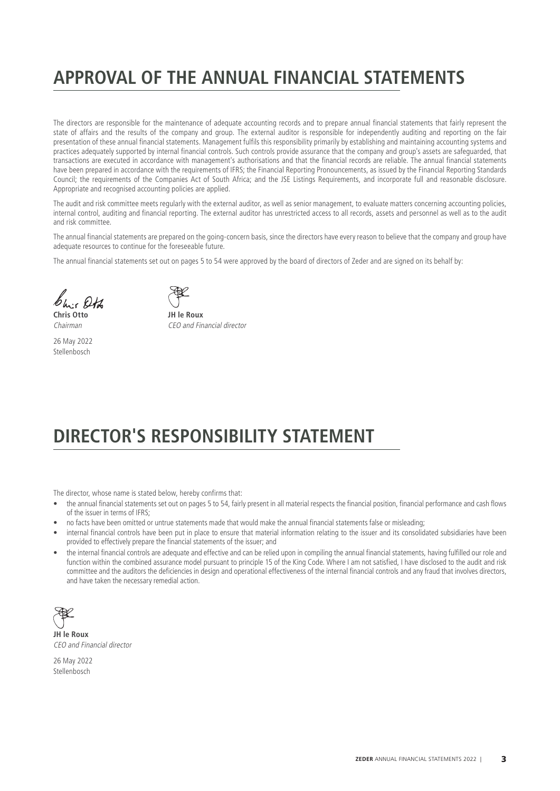# **APPROVAL OF THE ANNUAL FINANCIAL STATEMENTS**

The directors are responsible for the maintenance of adequate accounting records and to prepare annual financial statements that fairly represent the state of affairs and the results of the company and group. The external auditor is responsible for independently auditing and reporting on the fair presentation of these annual financial statements. Management fulfils this responsibility primarily by establishing and maintaining accounting systems and practices adequately supported by internal financial controls. Such controls provide assurance that the company and group's assets are safeguarded, that transactions are executed in accordance with management's authorisations and that the financial records are reliable. The annual financial statements have been prepared in accordance with the requirements of IFRS; the Financial Reporting Pronouncements, as issued by the Financial Reporting Standards Council; the requirements of the Companies Act of South Africa; and the JSE Listings Requirements, and incorporate full and reasonable disclosure. Appropriate and recognised accounting policies are applied.

The audit and risk committee meets regularly with the external auditor, as well as senior management, to evaluate matters concerning accounting policies, internal control, auditing and financial reporting. The external auditor has unrestricted access to all records, assets and personnel as well as to the audit and risk committee.

The annual financial statements are prepared on the going-concern basis, since the directors have every reason to believe that the company and group have adequate resources to continue for the foreseeable future.

The annual financial statements set out on pages 5 to 54 were approved by the board of directors of Zeder and are signed on its behalf by:

h: Otto

**Chris Otto JH le Roux**

26 May 2022 Stellenbosch



Chairman CEO and Financial director

# **DIRECTOR'S RESPONSIBILITY STATEMENT**

The director, whose name is stated below, hereby confirms that:

- the annual financial statements set out on pages 5 to 54, fairly present in all material respects the financial position, financial performance and cash flows of the issuer in terms of IFRS;
- no facts have been omitted or untrue statements made that would make the annual financial statements false or misleading;
- internal financial controls have been put in place to ensure that material information relating to the issuer and its consolidated subsidiaries have been provided to effectively prepare the financial statements of the issuer; and
- the internal financial controls are adequate and effective and can be relied upon in compiling the annual financial statements, having fulfilled our role and function within the combined assurance model pursuant to principle 15 of the King Code. Where I am not satisfied, I have disclosed to the audit and risk committee and the auditors the deficiencies in design and operational effectiveness of the internal financial controls and any fraud that involves directors, and have taken the necessary remedial action.



**JH le Roux** CEO and Financial director

26 May 2022 Stellenbosch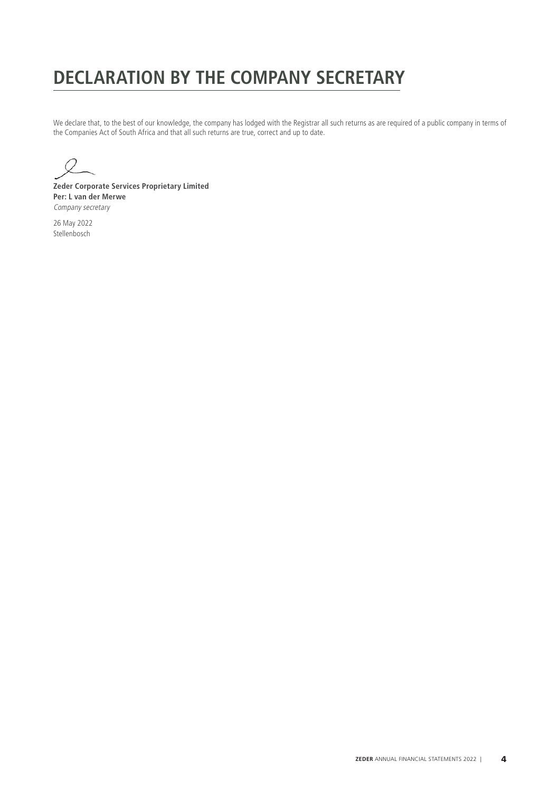# **DECLARATION BY THE COMPANY SECRETARY**

We declare that, to the best of our knowledge, the company has lodged with the Registrar all such returns as are required of a public company in terms of the Companies Act of South Africa and that all such returns are true, correct and up to date.

**Zeder Corporate Services Proprietary Limited Per: L van der Merwe** Company secretary

26 May 2022 **Stellenbosch**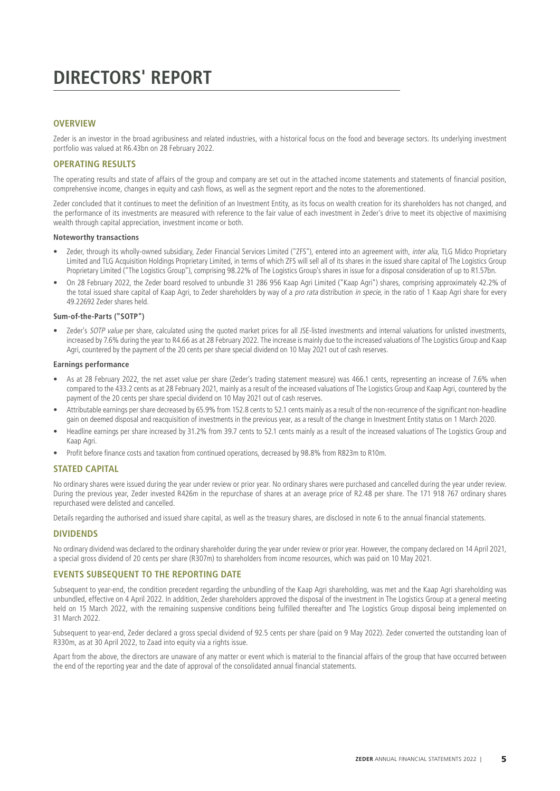### **OVERVIEW**

Zeder is an investor in the broad agribusiness and related industries, with a historical focus on the food and beverage sectors. Its underlying investment portfolio was valued at R6.43bn on 28 February 2022.

# **OPERATING RESULTS**

The operating results and state of affairs of the group and company are set out in the attached income statements and statements of financial position, comprehensive income, changes in equity and cash flows, as well as the segment report and the notes to the aforementioned.

Zeder concluded that it continues to meet the definition of an Investment Entity, as its focus on wealth creation for its shareholders has not changed, and the performance of its investments are measured with reference to the fair value of each investment in Zeder's drive to meet its objective of maximising wealth through capital appreciation, investment income or both.

#### **Noteworthy transactions**

- Zeder, through its wholly-owned subsidiary, Zeder Financial Services Limited ("ZFS"), entered into an agreement with, inter alia, TLG Midco Proprietary Limited and TLG Acquisition Holdings Proprietary Limited, in terms of which ZFS will sell all of its shares in the issued share capital of The Logistics Group Proprietary Limited ("The Logistics Group"), comprising 98.22% of The Logistics Group's shares in issue for a disposal consideration of up to R1.57bn.
- On 28 February 2022, the Zeder board resolved to unbundle 31 286 956 Kaap Agri Limited ("Kaap Agri") shares, comprising approximately 42.2% of the total issued share capital of Kaap Agri, to Zeder shareholders by way of a pro rata distribution in specie, in the ratio of 1 Kaap Agri share for every 49.22692 Zeder shares held.

#### **Sum-of-the-Parts ("SOTP")**

Zeder's SOTP value per share, calculated using the quoted market prices for all JSE-listed investments and internal valuations for unlisted investments, increased by 7.6% during the year to R4.66 as at 28 February 2022. The increase is mainly due to the increased valuations of The Logistics Group and Kaap Agri, countered by the payment of the 20 cents per share special dividend on 10 May 2021 out of cash reserves.

#### **Earnings performance**

- As at 28 February 2022, the net asset value per share (Zeder's trading statement measure) was 466.1 cents, representing an increase of 7.6% when compared to the 433.2 cents as at 28 February 2021, mainly as a result of the increased valuations of The Logistics Group and Kaap Agri, countered by the payment of the 20 cents per share special dividend on 10 May 2021 out of cash reserves.
- Attributable earnings per share decreased by 65.9% from 152.8 cents to 52.1 cents mainly as a result of the non-recurrence of the significant non-headline gain on deemed disposal and reacquisition of investments in the previous year, as a result of the change in Investment Entity status on 1 March 2020.
- Headline earnings per share increased by 31.2% from 39.7 cents to 52.1 cents mainly as a result of the increased valuations of The Logistics Group and Kaap Agri.
- Profit before finance costs and taxation from continued operations, decreased by 98.8% from R823m to R10m.

### **STATED CAPITAL**

No ordinary shares were issued during the year under review or prior year. No ordinary shares were purchased and cancelled during the year under review. During the previous year, Zeder invested R426m in the repurchase of shares at an average price of R2.48 per share. The 171 918 767 ordinary shares repurchased were delisted and cancelled.

Details regarding the authorised and issued share capital, as well as the treasury shares, are disclosed in note 6 to the annual financial statements.

### **DIVIDENDS**

No ordinary dividend was declared to the ordinary shareholder during the year under review or prior year. However, the company declared on 14 April 2021, a special gross dividend of 20 cents per share (R307m) to shareholders from income resources, which was paid on 10 May 2021.

### **EVENTS SUBSEQUENT TO THE REPORTING DATE**

Subsequent to year-end, the condition precedent regarding the unbundling of the Kaap Agri shareholding, was met and the Kaap Agri shareholding was unbundled, effective on 4 April 2022. In addition, Zeder shareholders approved the disposal of the investment in The Logistics Group at a general meeting held on 15 March 2022, with the remaining suspensive conditions being fulfilled thereafter and The Logistics Group disposal being implemented on 31 March 2022.

Subsequent to year-end, Zeder declared a gross special dividend of 92.5 cents per share (paid on 9 May 2022). Zeder converted the outstanding loan of R330m, as at 30 April 2022, to Zaad into equity via a rights issue.

Apart from the above, the directors are unaware of any matter or event which is material to the financial affairs of the group that have occurred between the end of the reporting year and the date of approval of the consolidated annual financial statements.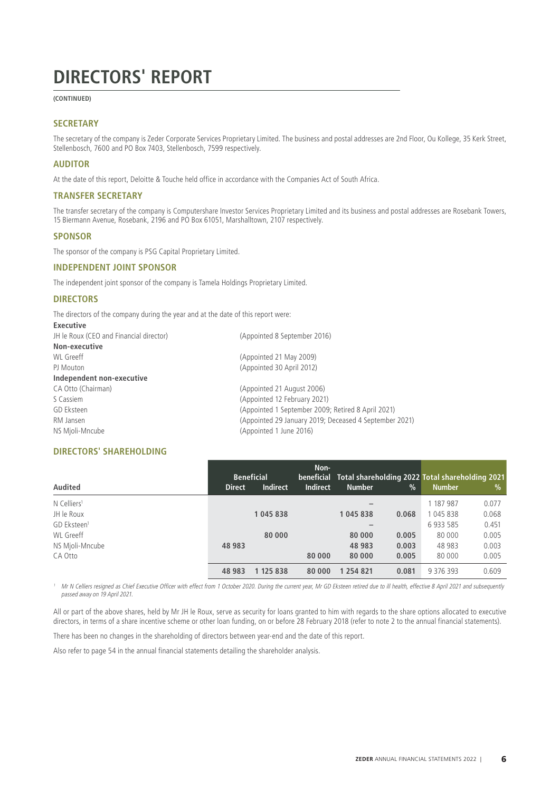# **(CONTINUED)**

# **SECRETARY**

The secretary of the company is Zeder Corporate Services Proprietary Limited. The business and postal addresses are 2nd Floor, Ou Kollege, 35 Kerk Street, Stellenbosch, 7600 and PO Box 7403, Stellenbosch, 7599 respectively.

### **AUDITOR**

At the date of this report, Deloitte & Touche held office in accordance with the Companies Act of South Africa.

### **TRANSFER SECRETARY**

The transfer secretary of the company is Computershare Investor Services Proprietary Limited and its business and postal addresses are Rosebank Towers, 15 Biermann Avenue, Rosebank, 2196 and PO Box 61051, Marshalltown, 2107 respectively.

### **SPONSOR**

The sponsor of the company is PSG Capital Proprietary Limited.

### **INDEPENDENT JOINT SPONSOR**

The independent joint sponsor of the company is Tamela Holdings Proprietary Limited.

## **DIRECTORS**

**Executive**

The directors of the company during the year and at the date of this report were:

| <b>Executive</b>                        |                                                        |
|-----------------------------------------|--------------------------------------------------------|
| JH le Roux (CEO and Financial director) | (Appointed 8 September 2016)                           |
| Non-executive                           |                                                        |
| WL Greeff                               | (Appointed 21 May 2009)                                |
| PJ Mouton                               | (Appointed 30 April 2012)                              |
| Independent non-executive               |                                                        |
| CA Otto (Chairman)                      | (Appointed 21 August 2006)                             |
| S Cassiem                               | (Appointed 12 February 2021)                           |
| GD Eksteen                              | (Appointed 1 September 2009; Retired 8 April 2021)     |
| RM Jansen                               | (Appointed 29 January 2019; Deceased 4 September 2021) |
| NS Mjoli-Mncube                         | (Appointed 1 June 2016)                                |
|                                         |                                                        |

# **DIRECTORS' SHAREHOLDING**

|                         |               | <b>Beneficial</b> | Non-            | beneficial Total shareholding 2022 Total shareholding 2021 |               |               |       |
|-------------------------|---------------|-------------------|-----------------|------------------------------------------------------------|---------------|---------------|-------|
| Audited                 | <b>Direct</b> | <b>Indirect</b>   | <b>Indirect</b> | <b>Number</b>                                              | $\frac{9}{6}$ | <b>Number</b> | $\%$  |
| N Celliers <sup>1</sup> |               |                   |                 | $\hspace{0.1mm}-\hspace{0.1mm}$                            |               | 187 987       | 0.077 |
| JH le Roux              |               | 1045838           |                 | 1045838                                                    | 0.068         | 045838        | 0.068 |
| GD Eksteen <sup>1</sup> |               |                   |                 |                                                            |               | 6 933 585     | 0.451 |
| WL Greeff               |               | 80 000            |                 | 80 000                                                     | 0.005         | 80 000        | 0.005 |
| NS Mjoli-Mncube         | 48 983        |                   |                 | 48 983                                                     | 0.003         | 48 983        | 0.003 |
| CA Otto                 |               |                   | 80 000          | 80 000                                                     | 0.005         | 80 000        | 0.005 |
|                         | 48 983        | 1 125 838         | 80 000          | 1 254 821                                                  | 0.081         | 9 376 393     | 0.609 |

<sup>1</sup>Mr N Celliers resigned as Chief Executive Officer with effect from 1 October 2020. During the current year, Mr GD Eksteen retired due to ill health, effective 8 April 2021 and subsequently passed away on 19 April 2021.

All or part of the above shares, held by Mr JH le Roux, serve as security for loans granted to him with regards to the share options allocated to executive directors, in terms of a share incentive scheme or other loan funding, on or before 28 February 2018 (refer to note 2 to the annual financial statements).

There has been no changes in the shareholding of directors between year-end and the date of this report.

Also refer to page 54 in the annual financial statements detailing the shareholder analysis.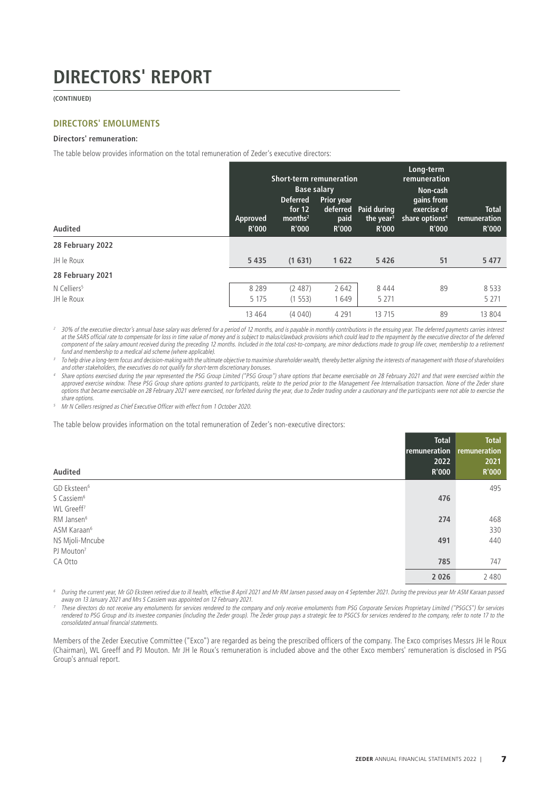**(CONTINUED)**

# **DIRECTORS' EMOLUMENTS**

### **Directors' remuneration:**

The table below provides information on the total remuneration of Zeder's executive directors:

| Audited                 | Approved<br>R'000 | <b>Short-term remuneration</b><br><b>Deferred</b><br>for 12<br>months <sup>2</sup><br>R'000 | <b>Base salary</b><br><b>Prior year</b><br>deferred<br>paid<br>R'000 | <b>Paid during</b><br>the year <sup>3</sup><br>R'000 | Long-term<br>remuneration<br>Non-cash<br>gains from<br>exercise of<br>share options <sup>4</sup><br>R'000 | <b>Total</b><br>remuneration<br>R'000 |
|-------------------------|-------------------|---------------------------------------------------------------------------------------------|----------------------------------------------------------------------|------------------------------------------------------|-----------------------------------------------------------------------------------------------------------|---------------------------------------|
| 28 February 2022        |                   |                                                                                             |                                                                      |                                                      |                                                                                                           |                                       |
| JH le Roux              | 5 4 3 5           | (1631)                                                                                      | 1622                                                                 | 5426                                                 | 51                                                                                                        | 5 4 7 7                               |
| 28 February 2021        |                   |                                                                                             |                                                                      |                                                      |                                                                                                           |                                       |
| N Celliers <sup>5</sup> | 8 2 8 9           | (2487)                                                                                      | 2642                                                                 | 8444                                                 | 89                                                                                                        | 8 5 3 3                               |
| JH le Roux              | 5 1 7 5           | (1553)                                                                                      | 1649                                                                 | 5 2 7 1                                              |                                                                                                           | 5 2 7 1                               |
|                         | 13 4 6 4          | (4040)                                                                                      | 4 2 9 1                                                              | 13 7 15                                              | 89                                                                                                        | 13 804                                |

<sup>2</sup> 30% of the executive director's annual base salary was deferred for a period of 12 months, and is payable in monthly contributions in the ensuing year. The deferred payments carries interest at the SARS official rate to compensate for loss in time value of money and is subject to malus/clawback provisions which could lead to the repayment by the executive director of the deferred<br>component of the salary amount fund and membership to a medical aid scheme (where applicable).

<sup>3</sup> To help drive a long-term focus and decision-making with the ultimate objective to maximise shareholder wealth, thereby better aligning the interests of management with those of shareholders<br>and other stakeholders, the

4 Share options exercised during the year represented the PSG Group Limited ("PSG Group") share options that became exercisable on 28 February 2021 and that were exercised within the approved exercise window. These PSG Group share options granted to participants, relate to the period prior to the Management Fee Internalisation transaction. None of the Zeder share<br>options that became exercisable on 28 F share options.

<sup>5</sup>Mr N Celliers resigned as Chief Executive Officer with effect from 1 October 2020.

The table below provides information on the total remuneration of Zeder's non-executive directors:

| Audited                 | <b>Total</b><br>remuneration<br>2022<br><b>R'000</b> | <b>Total</b><br>remuneration<br>2021<br><b>R'000</b> |
|-------------------------|------------------------------------------------------|------------------------------------------------------|
| GD Eksteen <sup>6</sup> |                                                      | 495                                                  |
| S Cassiem <sup>6</sup>  | 476                                                  |                                                      |
| WL Greeff <sup>7</sup>  |                                                      |                                                      |
| RM Jansen <sup>6</sup>  | 274                                                  | 468                                                  |
| ASM Karaan <sup>6</sup> |                                                      | 330                                                  |
| NS Mjoli-Mncube         | 491                                                  | 440                                                  |
| PJ Mouton <sup>7</sup>  |                                                      |                                                      |
| CA Otto                 | 785                                                  | 747                                                  |
|                         | 2 0 2 6                                              | 2 4 8 0                                              |

6 During the current year, Mr GD Eksteen retired due to ill health, effective 8 April 2021 and Mr RM Jansen passed away on 4 September 2021. During the previous year Mr ASM Karaan passed away on 13 January 2021 and Mrs S Cassiem was appointed on 12 February 2021.

These directors do not receive any emoluments for services rendered to the company and only receive emoluments from PSG Corporate Services Proprietary Limited ("PSGCS") for services rendered to PSG Group and its investee c consolidated annual financial statements.

Members of the Zeder Executive Committee ("Exco") are regarded as being the prescribed officers of the company. The Exco comprises Messrs JH le Roux (Chairman), WL Greeff and PJ Mouton. Mr JH le Roux's remuneration is included above and the other Exco members' remuneration is disclosed in PSG Group's annual report.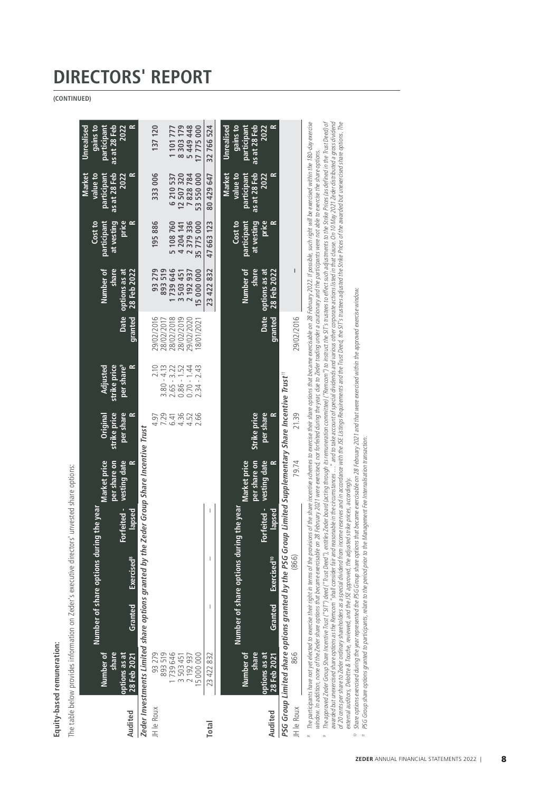**(CONTINUED)**

**Equity-based remuneration:**

Equity-based remuneration:

The table below provides information on Zeder's executive directors' unvested share options:

The table below provides information on Zeder's executive directors' unvested share options:

|              |                                                    | Number of share options during the year                                                                                                                                                                                      |                              |                       |                                                   |                                                    |                                                    |                        |                                                         | Cost to                            | Market<br>value to                       | <b>Unrealised</b><br>gains to            |
|--------------|----------------------------------------------------|------------------------------------------------------------------------------------------------------------------------------------------------------------------------------------------------------------------------------|------------------------------|-----------------------|---------------------------------------------------|----------------------------------------------------|----------------------------------------------------|------------------------|---------------------------------------------------------|------------------------------------|------------------------------------------|------------------------------------------|
| Audited      | Number of<br>share<br>options as at<br>28 Feb 2021 | Granted                                                                                                                                                                                                                      | <b>Exercised<sup>8</sup></b> | Forfeited -<br>lapsed | œ<br>Market price<br>vesting date<br>per share on | strike price<br>per share<br>$\approx$<br>Original | strike price<br>per share <sup>9</sup><br>Adjusted | granted                | Number of<br>share<br>28 Feb 2022<br>Date options as at | price<br>participant<br>at vesting | as at 28 Feb<br>participant<br>2022<br>≃ | participant<br>as at 28 Feb<br>≃<br>2022 |
|              |                                                    | Zeder Investments Limited share options granted by the Zeder Group Share Incentive Trust                                                                                                                                     |                              |                       |                                                   |                                                    |                                                    |                        |                                                         |                                    |                                          |                                          |
| JH le Roux   | 93 279                                             |                                                                                                                                                                                                                              |                              |                       |                                                   | 4.97                                               | 2.10                                               | 9/02/2016              | 93 279<br>893519                                        | 195886                             | 333 006                                  | 137 120                                  |
|              | 893 519                                            |                                                                                                                                                                                                                              |                              |                       |                                                   | 2314356<br>241556<br>24156                         | $.80 - 4.13$<br>$2.65 - 3.22$                      | 8/02/2018<br>8/02/2017 | 1739646                                                 | 5 108 760                          | 6 210 537                                | 1 101 777                                |
|              | 1 739 646<br>3 503 451<br>2 192 937                |                                                                                                                                                                                                                              |                              |                       |                                                   |                                                    | 1.52<br>$0.86 - 1$                                 | 8/02/2019              | 3 503 451                                               | 4 204 141                          | 12 507 320                               | 8303179                                  |
|              |                                                    |                                                                                                                                                                                                                              |                              |                       |                                                   |                                                    | $0.70 - 1.44$                                      | 29/02/2020             | 2 192 937                                               | 2 379 336                          | 7828784                                  | 5449448                                  |
|              | 15000000                                           |                                                                                                                                                                                                                              |                              |                       |                                                   |                                                    | $2.34 - 2.43$                                      | 8/01/2021              | 15 000 000                                              | 35775000                           | 53 550 000                               | 7775000                                  |
| <b>Total</b> | 23 422 832                                         | ı                                                                                                                                                                                                                            | ı                            |                       |                                                   |                                                    |                                                    |                        | 23 422 832                                              | 47 663 123                         | 80 429 647                               | 32 766 524                               |
|              |                                                    |                                                                                                                                                                                                                              |                              |                       |                                                   |                                                    |                                                    |                        |                                                         |                                    |                                          |                                          |
|              | Number of                                          | Number of share options during the year                                                                                                                                                                                      |                              |                       | Market price                                      |                                                    |                                                    |                        | Number of                                               | Cost to<br>participant             | Market<br>participant<br>value to        | participant<br>Unrealised<br>gains to    |
|              | share<br>options as at                             |                                                                                                                                                                                                                              |                              | Forfeited -           | vesting date<br>per share on                      | Strike price<br>per share                          |                                                    |                        | share<br>Date options as at                             | price<br>at vesting                | as at 28 Feb<br>2022                     | as at 28 Feb<br>2022                     |
| Audited      | 28 Feb 2021                                        | <b>Granted</b>                                                                                                                                                                                                               | Exercised <sup>10</sup>      | lapsed                |                                                   | $\sim$                                             |                                                    | granted                | 28 Feb 2022                                             |                                    |                                          | $\sim$                                   |
|              |                                                    | PSG Group Limited share options granted by the PSG Group Limited Supplementary Share Incentive Trust"                                                                                                                        |                              |                       |                                                   |                                                    |                                                    |                        |                                                         |                                    |                                          |                                          |
| JH le Roux   | 866                                                |                                                                                                                                                                                                                              | (866)                        |                       | 79.74                                             | 21.39                                              |                                                    | 29/02/2016             |                                                         |                                    |                                          |                                          |
|              |                                                    | The arriving the distribution of the of the incoming of the change of the change of the change of the change of the change of the change of the change of the change of the conclusion of the distribution of the conclusion |                              |                       |                                                   |                                                    |                                                    |                        |                                                         |                                    |                                          |                                          |

® The participants have not yet decreed to exercise their interms of the provisions of the share sheries the sexercise their share options that became exercisable on 28 February 2022. If possible, such right will be exerci i ne participants nave not yet elected to exercise their right in terms of the state incerness of exercisation and the participants and the more than the exercised within the exercise of the Protoclean of the Protoclean op

The appoved Zeder Goup Share Inter ("SIT") deed ("Tust Deed"), entiles Zeder board lating him strate merable frammitte) ("Remcom") to insturct the SITs trustees to effect such adjustments to the Strike Prices (as defined i ® The approved Zeder Group Share Inver("STT") deed ("Tust Deed"), entiles Zeder board (acting through its remuneration committee) ("Remcom") to instruct the SIT's trustees to effect such adjustments to the Strike Prices ( awarded but unexercised share options as the Remcom "shall consider fair and reasonable in the circumstances ..." and to ake account of special dividends and various orber corporate actions listed in that clause. On 10 May window. In addition, none of the Zeder share options that became exercisable on-28 February 2021 were seercised, nor forfeited during the pear, due to Zeder trading under a cautionary and the participants were not able to

of 20 cents per share to Zeder ordinary shareholders as a special divident from more read with the SELL is timps the and the Tust Deed, the SIT's trustees adjusted the Strike Prices of the awarded but unexercised share opt external auditors, Deloitte & Touche, reviewed, and the JSE approved, the adjusted strike prices, accordingly. external auditors, Deloitte & Touche, reviewed, and the JSE approved, the adjusted strike prices, accordingly.  $10 -$ 

Share options exercised during the year represented the PSG Group share options that became exercisable on 28 February 2021 and that were exercised within the approved exercise window.  $^{\circ\circ}$  Share options exercised during the year represented the PSG Group share options that became exercisable on 28 February 2021 and that were exercised within the approved exercise window.

exact of the property of the state of the periodic of the period prior to the Management Fee Internalisation transaction.<br>PSG Group share options granted to participants, relate to the period prior to the Management Fee In 11 PSG Group share options granted to participants, relate to the period prior to the Management Fee Internalisation transaction.

 $\frac{1}{2}$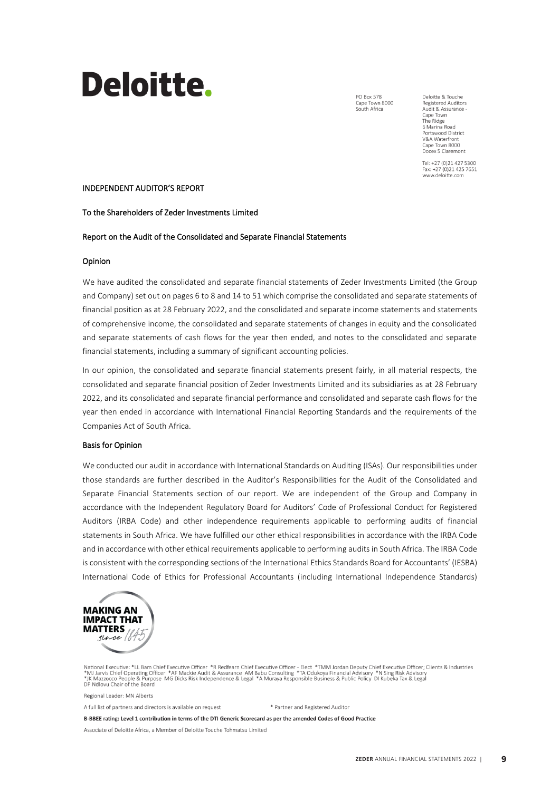# **Deloitte.**

**PO Box 578** Cape Town 8000<br>South Africa

Deloitte & Touche Registered Auditors Audit & Assurance -Cape Town<br>The Ridge<br>6 Marina Road Portswood District V&A Waterfront Cape Town 8000 Docex 5 Claremont

Tel: +27 (0)21 427 5300<br>Fax: +27 (0)21 425 7651 www.deloitte.com

#### INDEPENDENT AUDITOR'S REPORT

#### To the Shareholders of Zeder Investments Limited

#### Report on the Audit of the Consolidated and Separate Financial Statements

### Opinion

We have audited the consolidated and separate financial statements of Zeder Investments Limited (the Group and Company) set out on pages 6 to 8 and 14 to 51 which comprise the consolidated and separate statements of financial position as at 28 February 2022, and the consolidated and separate income statements and statements of comprehensive income, the consolidated and separate statements of changes in equity and the consolidated and separate statements of cash flows for the year then ended, and notes to the consolidated and separate financial statements, including a summary of significant accounting policies.

In our opinion, the consolidated and separate financial statements present fairly, in all material respects, the consolidated and separate financial position of Zeder Investments Limited and its subsidiaries as at 28 February 2022, and its consolidated and separate financial performance and consolidated and separate cash flows for the year then ended in accordance with International Financial Reporting Standards and the requirements of the Companies Act of South Africa.

#### Basis for Opinion

We conducted our audit in accordance with International Standards on Auditing (ISAs). Our responsibilities under those standards are further described in the Auditor's Responsibilities for the Audit of the Consolidated and Separate Financial Statements section of our report. We are independent of the Group and Company in accordance with the Independent Regulatory Board for Auditors' Code of Professional Conduct for Registered Auditors (IRBA Code) and other independence requirements applicable to performing audits of financial statements in South Africa. We have fulfilled our other ethical responsibilities in accordance with the IRBA Code and in accordance with other ethical requirements applicable to performing audits in South Africa. The IRBA Code is consistent with the corresponding sections of the International Ethics Standards Board for Accountants' (IESBA) International Code of Ethics for Professional Accountants (including International Independence Standards)



National Executive: \*LL Bam Chief Executive Officer \*R Redfearn Chief Executive Officer - Elect \*TMM Jordan Deputy Chief Executive Officer; Clients & Industries<br>\*MJ Jarvis Chief Operating Officer \*AF Mackie Audit & Assuran DP Ndlovu Chair of the Board

Regional Leader: MN Alberts

\* Partner and Registered Auditor

B-BBEE rating: Level 1 contribution in terms of the DTI Generic Scorecard as per the amended Codes of Good Practice

Associate of Deloitte Africa, a Member of Deloitte Touche Tohmatsu Limited

A full list of partners and directors is available on request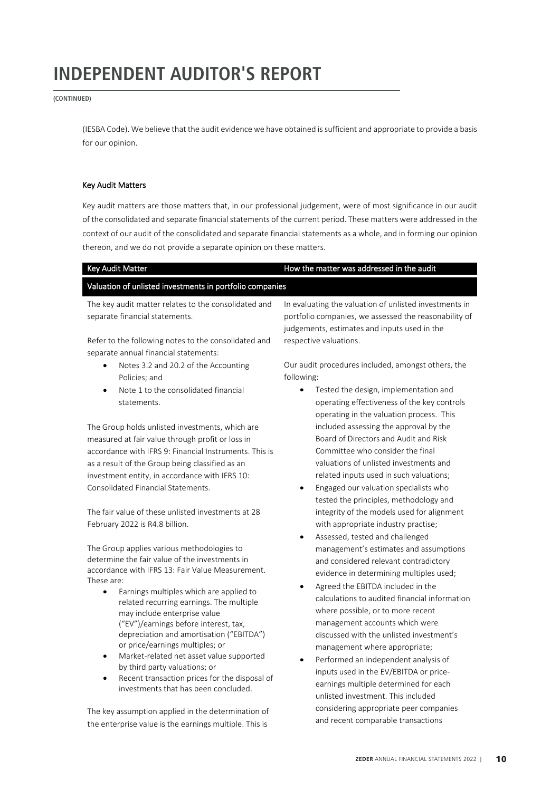**(CONTINUED)**

(IESBA Code). We believe that the audit evidence we have obtained is sufficient and appropriate to provide a basis for our opinion.

### Key Audit Matters

Key audit matters are those matters that, in our professional judgement, were of most significance in our audit of the consolidated and separate financial statements of the current period. These matters were addressed in the context of our audit of the consolidated and separate financial statements as a whole, and in forming our opinion thereon, and we do not provide a separate opinion on these matters.

#### Key Audit Matter **How the matter was addressed in the audit** How the matter was addressed in the audit

# Valuation of unlisted investments in portfolio companies

The key audit matter relates to the consolidated and separate financial statements.

Refer to the following notes to the consolidated and separate annual financial statements:

- Notes 3.2 and 20.2 of the Accounting Policies; and
- Note 1 to the consolidated financial statements.

The Group holds unlisted investments, which are measured at fair value through profit or loss in accordance with IFRS 9: Financial Instruments. This is as a result of the Group being classified as an investment entity, in accordance with IFRS 10: Consolidated Financial Statements.

The fair value of these unlisted investments at 28 February 2022 is R4.8 billion.

The Group applies various methodologies to determine the fair value of the investments in accordance with IFRS 13: Fair Value Measurement. These are:

- Earnings multiples which are applied to related recurring earnings. The multiple may include enterprise value ("EV")/earnings before interest, tax, depreciation and amortisation ("EBITDA") or price/earnings multiples; or
- Market-related net asset value supported by third party valuations; or
- Recent transaction prices for the disposal of investments that has been concluded.

The key assumption applied in the determination of the enterprise value is the earnings multiple. This is

In evaluating the valuation of unlisted investments in portfolio companies, we assessed the reasonability of judgements, estimates and inputs used in the respective valuations.

Our audit procedures included, amongst others, the following:

- Tested the design, implementation and operating effectiveness of the key controls operating in the valuation process. This included assessing the approval by the Board of Directors and Audit and Risk Committee who consider the final valuations of unlisted investments and related inputs used in such valuations;
- Engaged our valuation specialists who tested the principles, methodology and integrity of the models used for alignment with appropriate industry practise;
- Assessed, tested and challenged management's estimates and assumptions and considered relevant contradictory evidence in determining multiples used;
- Agreed the EBITDA included in the calculations to audited financial information where possible, or to more recent management accounts which were discussed with the unlisted investment's management where appropriate;
- Performed an independent analysis of inputs used in the EV/EBITDA or priceearnings multiple determined for each unlisted investment. This included considering appropriate peer companies and recent comparable transactions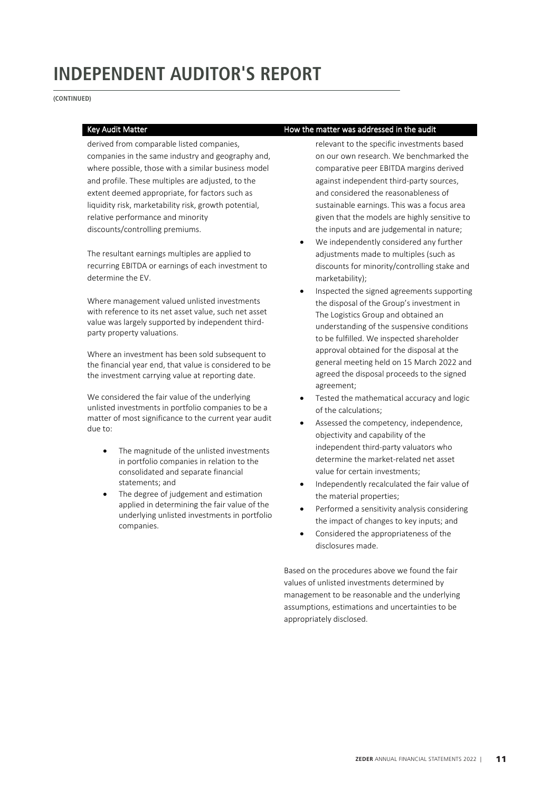**(CONTINUED)**

derived from comparable listed companies, companies in the same industry and geography and, where possible, those with a similar business model and profile. These multiples are adjusted, to the extent deemed appropriate, for factors such as liquidity risk, marketability risk, growth potential, relative performance and minority discounts/controlling premiums.

The resultant earnings multiples are applied to recurring EBITDA or earnings of each investment to determine the EV.

Where management valued unlisted investments with reference to its net asset value, such net asset value was largely supported by independent thirdparty property valuations.

Where an investment has been sold subsequent to the financial year end, that value is considered to be the investment carrying value at reporting date.

We considered the fair value of the underlying unlisted investments in portfolio companies to be a matter of most significance to the current year audit due to:

- The magnitude of the unlisted investments in portfolio companies in relation to the consolidated and separate financial statements; and
- The degree of judgement and estimation applied in determining the fair value of the underlying unlisted investments in portfolio companies.

### Key Audit Matter **How the matter was addressed in the audit** How the matter was addressed in the audit

relevant to the specific investments based on our own research. We benchmarked the comparative peer EBITDA margins derived against independent third-party sources, and considered the reasonableness of sustainable earnings. This was a focus area given that the models are highly sensitive to the inputs and are judgemental in nature;

- We independently considered any further adjustments made to multiples (such as discounts for minority/controlling stake and marketability);
- Inspected the signed agreements supporting the disposal of the Group's investment in The Logistics Group and obtained an understanding of the suspensive conditions to be fulfilled. We inspected shareholder approval obtained for the disposal at the general meeting held on 15 March 2022 and agreed the disposal proceeds to the signed agreement;
- Tested the mathematical accuracy and logic of the calculations;
- Assessed the competency, independence, objectivity and capability of the independent third-party valuators who determine the market-related net asset value for certain investments;
- Independently recalculated the fair value of the material properties;
- Performed a sensitivity analysis considering the impact of changes to key inputs; and
- Considered the appropriateness of the disclosures made.

Based on the procedures above we found the fair values of unlisted investments determined by management to be reasonable and the underlying assumptions, estimations and uncertainties to be appropriately disclosed.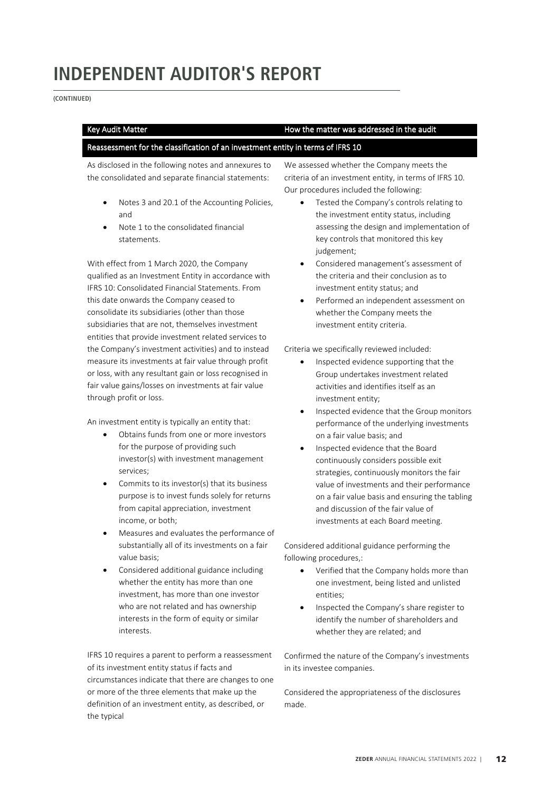**(CONTINUED)**

# Key Audit Matter **How the matter was addressed in the audit** How the matter was addressed in the audit

### Reassessment for the classification of an investment entity in terms of IFRS 10

As disclosed in the following notes and annexures to the consolidated and separate financial statements:

- Notes 3 and 20.1 of the Accounting Policies, and
- Note 1 to the consolidated financial statements.

With effect from 1 March 2020, the Company qualified as an Investment Entity in accordance with IFRS 10: Consolidated Financial Statements. From this date onwards the Company ceased to consolidate its subsidiaries (other than those subsidiaries that are not, themselves investment entities that provide investment related services to the Company's investment activities) and to instead measure its investments at fair value through profit or loss, with any resultant gain or loss recognised in fair value gains/losses on investments at fair value through profit or loss.

An investment entity is typically an entity that:

- Obtains funds from one or more investors for the purpose of providing such investor(s) with investment management services;
- Commits to its investor(s) that its business purpose is to invest funds solely for returns from capital appreciation, investment income, or both;
- Measures and evaluates the performance of substantially all of its investments on a fair value basis;
- Considered additional guidance including whether the entity has more than one investment, has more than one investor who are not related and has ownership interests in the form of equity or similar interests.

IFRS 10 requires a parent to perform a reassessment of its investment entity status if facts and circumstances indicate that there are changes to one or more of the three elements that make up the definition of an investment entity, as described, or the typical

We assessed whether the Company meets the criteria of an investment entity, in terms of IFRS 10. Our procedures included the following:

- Tested the Company's controls relating to the investment entity status, including assessing the design and implementation of key controls that monitored this key judgement;
- Considered management's assessment of the criteria and their conclusion as to investment entity status; and
- Performed an independent assessment on whether the Company meets the investment entity criteria.

Criteria we specifically reviewed included:

- Inspected evidence supporting that the Group undertakes investment related activities and identifies itself as an investment entity;
- Inspected evidence that the Group monitors performance of the underlying investments on a fair value basis; and
- Inspected evidence that the Board continuously considers possible exit strategies, continuously monitors the fair value of investments and their performance on a fair value basis and ensuring the tabling and discussion of the fair value of investments at each Board meeting.

Considered additional guidance performing the following procedures,:

- Verified that the Company holds more than one investment, being listed and unlisted entities;
- Inspected the Company's share register to identify the number of shareholders and whether they are related; and

Confirmed the nature of the Company's investments in its investee companies.

Considered the appropriateness of the disclosures made.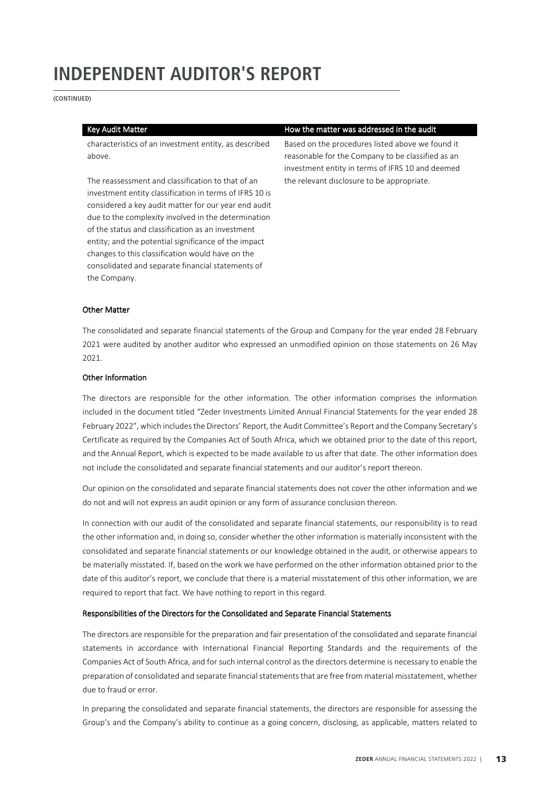**(CONTINUED)**

characteristics of an investment entity, as described above.

The reassessment and classification to that of an investment entity classification in terms of IFRS 10 is considered a key audit matter for our year end audit due to the complexity involved in the determination of the status and classification as an investment entity; and the potential significance of the impact changes to this classification would have on the consolidated and separate financial statements of the Company.

#### Key Audit Matter **How the matter was addressed in the audit** How the matter was addressed in the audit

Based on the procedures listed above we found it reasonable for the Company to be classified as an investment entity in terms of IFRS 10 and deemed the relevant disclosure to be appropriate.

#### Other Matter

The consolidated and separate financial statements of the Group and Company for the year ended 28 February 2021 were audited by another auditor who expressed an unmodified opinion on those statements on 26 May 2021.

### Other Information

The directors are responsible for the other information. The other information comprises the information included in the document titled "Zeder Investments Limited Annual Financial Statements for the year ended 28 February 2022", which includes the Directors' Report, the Audit Committee's Report and the Company Secretary's Certificate as required by the Companies Act of South Africa, which we obtained prior to the date of this report, and the Annual Report, which is expected to be made available to us after that date. The other information does not include the consolidated and separate financial statements and our auditor's report thereon.

Our opinion on the consolidated and separate financial statements does not cover the other information and we do not and will not express an audit opinion or any form of assurance conclusion thereon.

In connection with our audit of the consolidated and separate financial statements, our responsibility is to read the other information and, in doing so, consider whether the other information is materially inconsistent with the consolidated and separate financial statements or our knowledge obtained in the audit, or otherwise appears to be materially misstated. If, based on the work we have performed on the other information obtained prior to the date of this auditor's report, we conclude that there is a material misstatement of this other information, we are required to report that fact. We have nothing to report in this regard.

#### Responsibilities of the Directors for the Consolidated and Separate Financial Statements

The directors are responsible for the preparation and fair presentation of the consolidated and separate financial statements in accordance with International Financial Reporting Standards and the requirements of the Companies Act of South Africa, and for such internal control as the directors determine is necessary to enable the preparation of consolidated and separate financial statements that are free from material misstatement, whether due to fraud or error.

In preparing the consolidated and separate financial statements, the directors are responsible for assessing the Group's and the Company's ability to continue as a going concern, disclosing, as applicable, matters related to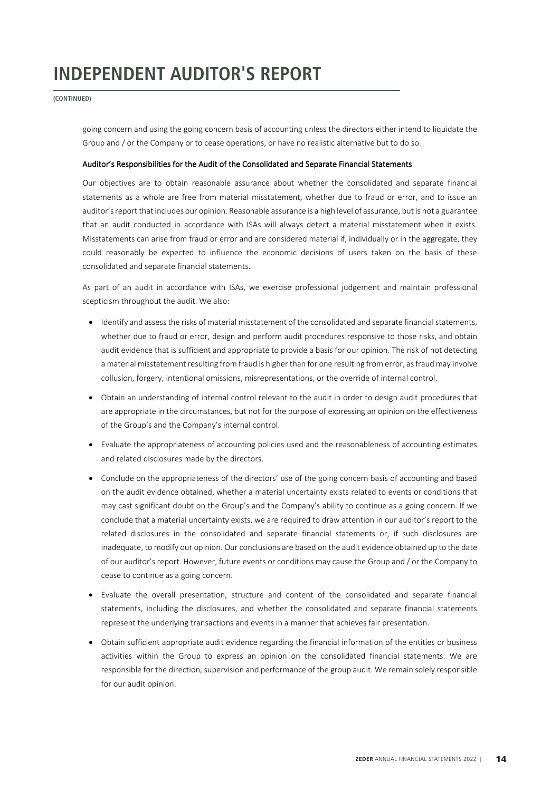**(CONTINUED)**

going concern and using the going concern basis of accounting unless the directors either intend to liquidate the Group and / or the Company or to cease operations, or have no realistic alternative but to do so.

### Auditor's Responsibilities for the Audit of the Consolidated and Separate Financial Statements

Our objectives are to obtain reasonable assurance about whether the consolidated and separate financial statements as a whole are free from material misstatement, whether due to fraud or error, and to issue an auditor's report that includes our opinion. Reasonable assurance is a high level of assurance, but is not a guarantee that an audit conducted in accordance with ISAs will always detect a material misstatement when it exists. Misstatements can arise from fraud or error and are considered material if, individually or in the aggregate, they could reasonably be expected to influence the economic decisions of users taken on the basis of these consolidated and separate financial statements.

As part of an audit in accordance with ISAs, we exercise professional judgement and maintain professional scepticism throughout the audit. We also:

- Identify and assess the risks of material misstatement of the consolidated and separate financial statements, whether due to fraud or error, design and perform audit procedures responsive to those risks, and obtain audit evidence that is sufficient and appropriate to provide a basis for our opinion. The risk of not detecting a material misstatement resulting from fraud is higher than for one resulting from error, as fraud may involve collusion, forgery, intentional omissions, misrepresentations, or the override of internal control.
- Obtain an understanding of internal control relevant to the audit in order to design audit procedures that are appropriate in the circumstances, but not for the purpose of expressing an opinion on the effectiveness of the Group's and the Company's internal control.
- Evaluate the appropriateness of accounting policies used and the reasonableness of accounting estimates and related disclosures made by the directors.
- Conclude on the appropriateness of the directors' use of the going concern basis of accounting and based on the audit evidence obtained, whether a material uncertainty exists related to events or conditions that may cast significant doubt on the Group's and the Company's ability to continue as a going concern. If we conclude that a material uncertainty exists, we are required to draw attention in our auditor's report to the related disclosures in the consolidated and separate financial statements or, if such disclosures are inadequate, to modify our opinion. Our conclusions are based on the audit evidence obtained up to the date of our auditor's report. However, future events or conditions may cause the Group and / or the Company to cease to continue as a going concern.
- Evaluate the overall presentation, structure and content of the consolidated and separate financial statements, including the disclosures, and whether the consolidated and separate financial statements represent the underlying transactions and events in a manner that achieves fair presentation.
- Obtain sufficient appropriate audit evidence regarding the financial information of the entities or business activities within the Group to express an opinion on the consolidated financial statements. We are responsible for the direction, supervision and performance of the group audit. We remain solely responsible for our audit opinion.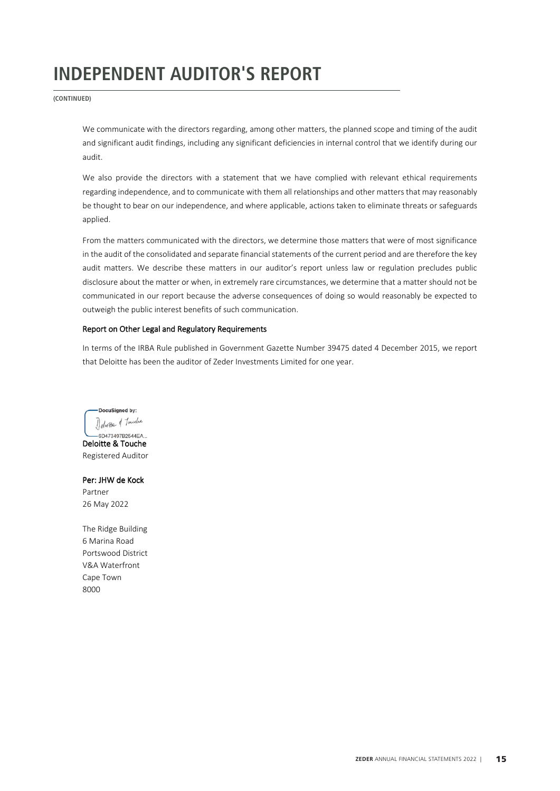**(CONTINUED)**

We communicate with the directors regarding, among other matters, the planned scope and timing of the audit and significant audit findings, including any significant deficiencies in internal control that we identify during our audit.

We also provide the directors with a statement that we have complied with relevant ethical requirements regarding independence, and to communicate with them all relationships and other matters that may reasonably be thought to bear on our independence, and where applicable, actions taken to eliminate threats or safeguards applied.

From the matters communicated with the directors, we determine those matters that were of most significance in the audit of the consolidated and separate financial statements of the current period and are therefore the key audit matters. We describe these matters in our auditor's report unless law or regulation precludes public disclosure about the matter or when, in extremely rare circumstances, we determine that a matter should not be communicated in our report because the adverse consequences of doing so would reasonably be expected to outweigh the public interest benefits of such communication.

### Report on Other Legal and Regulatory Requirements

In terms of the IRBA Rule published in Government Gazette Number 39475 dated 4 December 2015, we report that Deloitte has been the auditor of Zeder Investments Limited for one year.



Deloitte & Touche Registered Auditor

Per: JHW de Kock Partner 26 May 2022

The Ridge Building 6 Marina Road Portswood District V&A Waterfront Cape Town 8000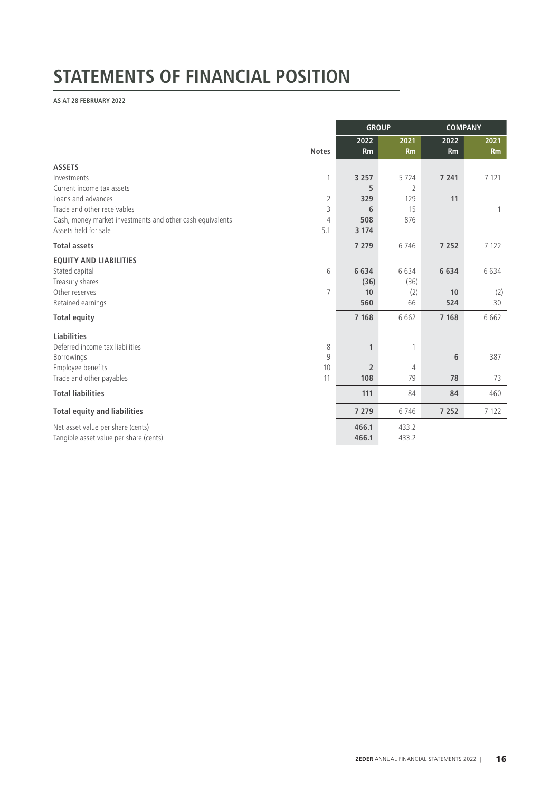# **STATEMENTS OF FINANCIAL POSITION**

**AS AT 28 FEBRUARY 2022**

|                                                           |                | <b>GROUP</b>   |                |         | <b>COMPANY</b> |
|-----------------------------------------------------------|----------------|----------------|----------------|---------|----------------|
|                                                           |                | 2022           | 2021           | 2022    | 2021           |
|                                                           | <b>Notes</b>   | Rm             | Rm             | Rm      | R <sub>m</sub> |
| <b>ASSETS</b>                                             |                |                |                |         |                |
| Investments                                               | 1              | 3 2 5 7        | 5724           | 7 2 4 1 | 7 121          |
| Current income tax assets                                 |                | 5              | 2              |         |                |
| Loans and advances                                        | $\overline{2}$ | 329            | 129            | 11      |                |
| Trade and other receivables                               | 3              | 6              | 15             |         | 1              |
| Cash, money market investments and other cash equivalents | $\overline{4}$ | 508            | 876            |         |                |
| Assets held for sale                                      | 5.1            | 3 1 7 4        |                |         |                |
| <b>Total assets</b>                                       |                | 7 2 7 9        | 6746           | 7 2 5 2 | 7 1 2 2        |
| <b>EQUITY AND LIABILITIES</b>                             |                |                |                |         |                |
| Stated capital                                            | 6              | 6634           | 6634           | 6634    | 6634           |
| Treasury shares                                           |                | (36)           | (36)           |         |                |
| Other reserves                                            | 7              | 10             | (2)            | 10      | (2)            |
| Retained earnings                                         |                | 560            | 66             | 524     | 30             |
| <b>Total equity</b>                                       |                | 7 1 6 8        | 6662           | 7 1 6 8 | 6 6 6 2        |
| <b>Liabilities</b>                                        |                |                |                |         |                |
| Deferred income tax liabilities                           | 8              | $\mathbf{1}$   | 1              |         |                |
| Borrowings                                                | 9              |                |                | 6       | 387            |
| Employee benefits                                         | 10             | $\overline{2}$ | $\overline{4}$ |         |                |
| Trade and other payables                                  | 11             | 108            | 79             | 78      | 73             |
| <b>Total liabilities</b>                                  |                | 111            | 84             | 84      | 460            |
| <b>Total equity and liabilities</b>                       |                | 7 2 7 9        | 6746           | 7 2 5 2 | 7 1 2 2        |
| Net asset value per share (cents)                         |                | 466.1          | 433.2          |         |                |
| Tangible asset value per share (cents)                    |                | 466.1          | 433.2          |         |                |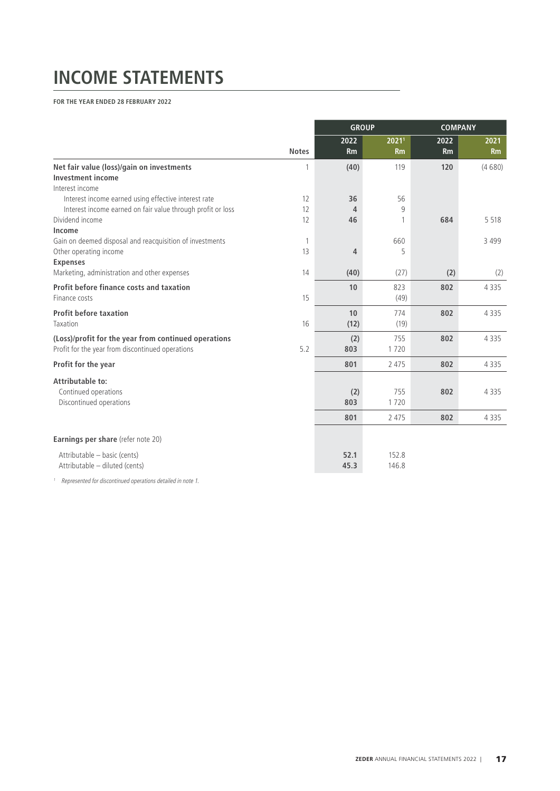# **INCOME STATEMENTS**

**FOR THE YEAR ENDED 28 FEBRUARY 2022**

|                                                             |              | <b>GROUP</b> |           | <b>COMPANY</b> |           |
|-------------------------------------------------------------|--------------|--------------|-----------|----------------|-----------|
|                                                             |              | 2022         | 20211     | 2022           | 2021      |
|                                                             | <b>Notes</b> | <b>Rm</b>    | <b>Rm</b> | <b>Rm</b>      | <b>Rm</b> |
| Net fair value (loss)/gain on investments                   | 1            | (40)         | 119       | 120            | (4680)    |
| <b>Investment income</b>                                    |              |              |           |                |           |
| Interest income                                             |              |              |           |                |           |
| Interest income earned using effective interest rate        | 12           | 36           | 56        |                |           |
| Interest income earned on fair value through profit or loss | 12           | 4            | 9         |                |           |
| Dividend income                                             | 12           | 46           |           | 684            | 5 5 1 8   |
| Income                                                      |              |              |           |                |           |
| Gain on deemed disposal and reacquisition of investments    | 1            |              | 660       |                | 3 4 9 9   |
| Other operating income                                      | 13           | 4            | 5         |                |           |
| <b>Expenses</b>                                             |              |              |           |                |           |
| Marketing, administration and other expenses                | 14           | (40)         | (27)      | (2)            | (2)       |
| <b>Profit before finance costs and taxation</b>             |              | 10           | 823       | 802            | 4 3 3 5   |
| Finance costs                                               | 15           |              | (49)      |                |           |
| <b>Profit before taxation</b>                               |              | 10           | 774       | 802            | 4 3 3 5   |
| Taxation                                                    | 16           | (12)         | (19)      |                |           |
| (Loss)/profit for the year from continued operations        |              | (2)          | 755       | 802            | 4 3 3 5   |
| Profit for the year from discontinued operations            | 5.2          | 803          | 1720      |                |           |
| Profit for the year                                         |              | 801          | 2 4 7 5   | 802            | 4 3 3 5   |
| Attributable to:                                            |              |              |           |                |           |
| Continued operations                                        |              | (2)          | 755       | 802            | 4 3 3 5   |
| Discontinued operations                                     |              | 803          | 1720      |                |           |
|                                                             |              | 801          | 2 4 7 5   | 802            | 4 3 3 5   |
|                                                             |              |              |           |                |           |
| Earnings per share (refer note 20)                          |              |              |           |                |           |
| Attributable - basic (cents)                                |              | 52.1         | 152.8     |                |           |
| Attributable - diluted (cents)                              |              | 45.3         | 146.8     |                |           |
|                                                             |              |              |           |                |           |

1 Represented for discontinued operations detailed in note 1.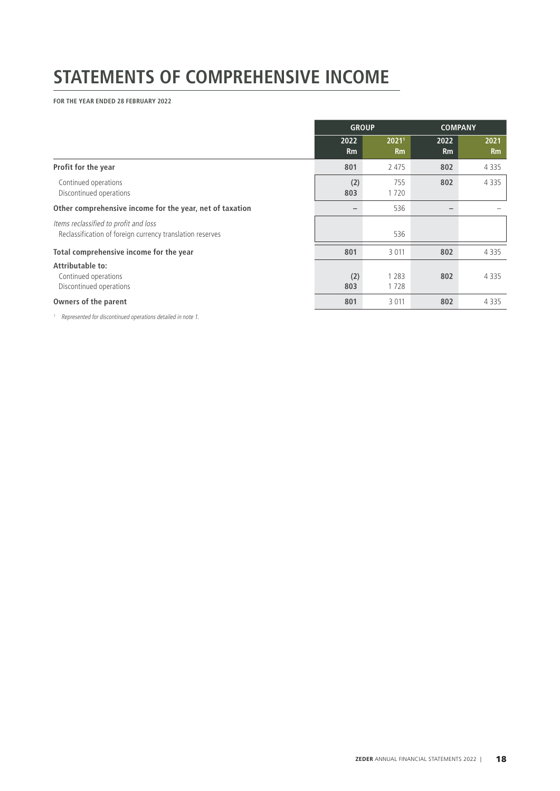# **STATEMENTS OF COMPREHENSIVE INCOME**

**FOR THE YEAR ENDED 28 FEBRUARY 2022**

|                                                                                                    | <b>GROUP</b>    |                 | <b>COMPANY</b>           |                   |  |
|----------------------------------------------------------------------------------------------------|-----------------|-----------------|--------------------------|-------------------|--|
|                                                                                                    | 2022<br>Rm      | 20211<br>Rm     | 2022<br>Rm               | 2021<br><b>Rm</b> |  |
| Profit for the year                                                                                | 801             | 2 4 7 5         | 802                      | 4 3 3 5           |  |
| Continued operations<br>Discontinued operations                                                    | (2)<br>803      | 755<br>1720     | 802                      | 4 3 3 5           |  |
| Other comprehensive income for the year, net of taxation                                           | $\qquad \qquad$ | 536             | $\overline{\phantom{0}}$ |                   |  |
| Items reclassified to profit and loss<br>Reclassification of foreign currency translation reserves |                 | 536             |                          |                   |  |
| Total comprehensive income for the year                                                            | 801             | 3 0 1 1         | 802                      | 4 3 3 5           |  |
| Attributable to:<br>Continued operations<br>Discontinued operations                                | (2)<br>803      | 1 2 8 3<br>1728 | 802                      | 4 3 3 5           |  |
| Owners of the parent                                                                               | 801             | 3 0 1 1         | 802                      | 4 3 3 5           |  |

1 Represented for discontinued operations detailed in note 1.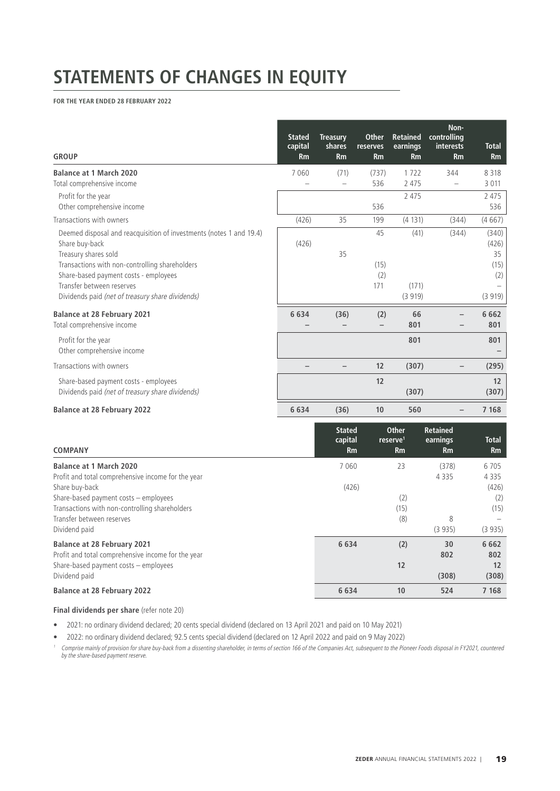# **STATEMENTS OF CHANGES IN EQUITY**

**FOR THE YEAR ENDED 28 FEBRUARY 2022**

| <b>GROUP</b>                                                                              | <b>Stated</b><br>capital<br><b>Rm</b> | <b>Treasury</b><br>shares<br><b>Rm</b> | <b>Other</b><br>reserves<br><b>Rm</b> | <b>Retained</b><br>earnings<br><b>Rm</b>          | Non-<br>controlling<br>interests<br>Rm | <b>Total</b><br><b>Rm</b> |
|-------------------------------------------------------------------------------------------|---------------------------------------|----------------------------------------|---------------------------------------|---------------------------------------------------|----------------------------------------|---------------------------|
| <b>Balance at 1 March 2020</b>                                                            | 7 0 6 0                               | (71)                                   | (737)                                 | 1722                                              | 344                                    | 8 3 1 8                   |
| Total comprehensive income                                                                |                                       | $\overline{\phantom{0}}$               | 536                                   | 2 4 7 5                                           | $\overline{\phantom{0}}$               | 3 0 1 1                   |
| Profit for the year<br>Other comprehensive income                                         |                                       |                                        | 536                                   | 2 4 7 5                                           |                                        | 2 4 7 5<br>536            |
| Transactions with owners                                                                  | (426)                                 | 35                                     | 199                                   | (4 131)                                           | (344)                                  | (4667)                    |
| Deemed disposal and reacquisition of investments (notes 1 and 19.4)                       |                                       |                                        | 45                                    | (41)                                              | (344)                                  | (340)                     |
| Share buy-back<br>Treasury shares sold                                                    | (426)                                 | 35                                     |                                       |                                                   |                                        | (426)<br>35               |
| Transactions with non-controlling shareholders                                            |                                       |                                        | (15)                                  |                                                   |                                        | (15)                      |
| Share-based payment costs - employees                                                     |                                       |                                        | (2)                                   |                                                   |                                        | (2)                       |
| Transfer between reserves                                                                 |                                       |                                        | 171                                   | (171)                                             |                                        |                           |
| Dividends paid (net of treasury share dividends)                                          |                                       |                                        |                                       | (3919)                                            |                                        | (3919)                    |
| <b>Balance at 28 February 2021</b><br>Total comprehensive income                          | 6 6 3 4                               | (36)                                   | (2)<br>$\overline{\phantom{0}}$       | 66<br>801                                         |                                        | 6 6 6 2<br>801            |
| Profit for the year<br>Other comprehensive income                                         |                                       |                                        |                                       | 801                                               |                                        | 801                       |
| Transactions with owners                                                                  |                                       |                                        | 12                                    | (307)                                             |                                        | (295)                     |
| Share-based payment costs - employees<br>Dividends paid (net of treasury share dividends) |                                       |                                        | 12                                    | (307)                                             |                                        | 12<br>(307)               |
| <b>Balance at 28 February 2022</b>                                                        | 6 6 3 4                               | (36)                                   | 10                                    | 560                                               |                                        | 7 1 6 8                   |
| <b>COMPANY</b>                                                                            |                                       | <b>Stated</b><br>capital<br>Rm         |                                       | <b>Other</b><br>reserve <sup>1</sup><br><b>Rm</b> | <b>Retained</b><br>earnings<br>Rm      | <b>Total</b><br><b>Rm</b> |
| <b>Balance at 1 March 2020</b><br>Profit and total comprehensive income for the year      |                                       | 7 0 6 0                                |                                       | 23                                                | (378)<br>4 3 3 5                       | 6705<br>4 3 3 5           |
| Share buy-back                                                                            |                                       | (426)                                  |                                       |                                                   |                                        | (426)                     |
| Share-based payment costs - employees                                                     |                                       |                                        |                                       | (2)                                               |                                        | (2)                       |

Transactions with non-controlling shareholders (15) (15) Transfer between reserves and the serves of the serves of the serves of the serves of the SPS of the SPS of the Dividend paid (3 935) (3 935) Dividend paid (3 935) (3 935)

**Balance at 28 February 2021 6 662**<br> **Profit and total comprehensive income for the year**<br> **802 802 802** Profit and total comprehensive income for the year **802 802** Share-based payment costs – employees **12 12** Dividend paid **(308) (308) Balance at 28 February 2022 6 634 10 524 7 168**

**Final dividends per share** (refer note 20)

• 2021: no ordinary dividend declared; 20 cents special dividend (declared on 13 April 2021 and paid on 10 May 2021)

• 2022: no ordinary dividend declared; 92.5 cents special dividend (declared on 12 April 2022 and paid on 9 May 2022)

<sup>1</sup> Comprise mainly of provision for share buy-back from a dissenting shareholder, in terms of section 166 of the Companies Act, subsequent to the Pioneer Foods disposal in FY2021, countered by the share-based payment reserve.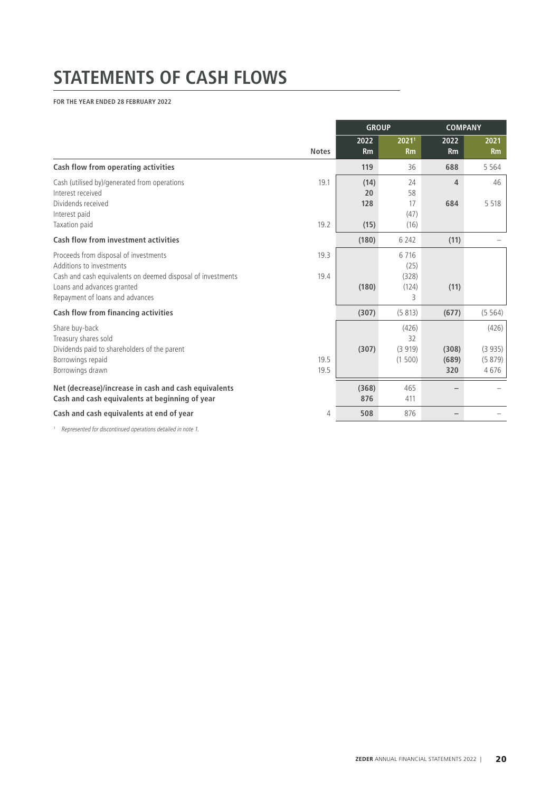# **STATEMENTS OF CASH FLOWS**

**FOR THE YEAR ENDED 28 FEBRUARY 2022**

|                                                                                                                                                                                                   |              | <b>GROUP</b>      |                                     | <b>COMPANY</b>           |                                   |
|---------------------------------------------------------------------------------------------------------------------------------------------------------------------------------------------------|--------------|-------------------|-------------------------------------|--------------------------|-----------------------------------|
|                                                                                                                                                                                                   | <b>Notes</b> | 2022<br>Rm        | 20211<br>Rm                         | 2022<br>Rm               | 2021<br><b>Rm</b>                 |
| Cash flow from operating activities                                                                                                                                                               |              | 119               | 36                                  | 688                      | 5 5 6 4                           |
| Cash (utilised by)/generated from operations<br>Interest received<br>Dividends received                                                                                                           | 19.1         | (14)<br>20<br>128 | 24<br>58<br>17                      | 4<br>684                 | 46<br>5 5 1 8                     |
| Interest paid<br>Taxation paid                                                                                                                                                                    | 19.2         | (15)              | (47)<br>(16)                        |                          |                                   |
| Cash flow from investment activities                                                                                                                                                              |              | (180)             | 6 2 4 2                             | (11)                     |                                   |
| Proceeds from disposal of investments<br>Additions to investments<br>Cash and cash equivalents on deemed disposal of investments<br>Loans and advances granted<br>Repayment of loans and advances | 19.3<br>19.4 | (180)             | 6716<br>(25)<br>(328)<br>(124)<br>3 | (11)                     |                                   |
| <b>Cash flow from financing activities</b>                                                                                                                                                        |              | (307)             | (5813)                              | (677)                    | (5564)                            |
| Share buy-back<br>Treasury shares sold<br>Dividends paid to shareholders of the parent<br>Borrowings repaid<br>Borrowings drawn                                                                   | 19.5<br>19.5 | (307)             | (426)<br>32<br>(3919)<br>(1500)     | (308)<br>(689)<br>320    | (426)<br>(3935)<br>(5879)<br>4676 |
| Net (decrease)/increase in cash and cash equivalents<br>Cash and cash equivalents at beginning of year                                                                                            |              | (368)<br>876      | 465<br>411                          | $\overline{\phantom{0}}$ |                                   |
| Cash and cash equivalents at end of year                                                                                                                                                          | 4            | 508               | 876                                 |                          |                                   |

1 Represented for discontinued operations detailed in note 1.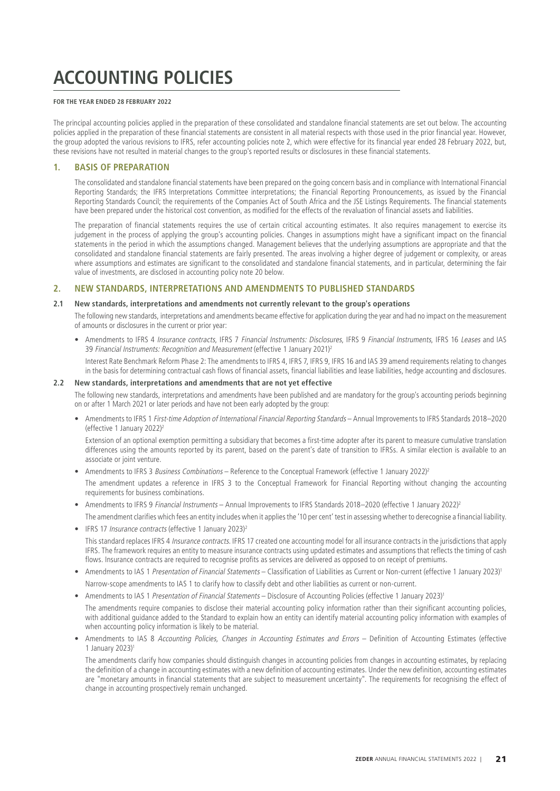### **FOR THE YEAR ENDED 28 FEBRUARY 2022**

The principal accounting policies applied in the preparation of these consolidated and standalone financial statements are set out below. The accounting policies applied in the preparation of these financial statements are consistent in all material respects with those used in the prior financial year. However, the group adopted the various revisions to IFRS, refer accounting policies note 2, which were effective for its financial year ended 28 February 2022, but, these revisions have not resulted in material changes to the group's reported results or disclosures in these financial statements.

### **1. BASIS OF PREPARATION**

The consolidated and standalone financial statements have been prepared on the going concern basis and in compliance with International Financial Reporting Standards; the IFRS Interpretations Committee interpretations; the Financial Reporting Pronouncements, as issued by the Financial Reporting Standards Council; the requirements of the Companies Act of South Africa and the JSE Listings Requirements. The financial statements have been prepared under the historical cost convention, as modified for the effects of the revaluation of financial assets and liabilities.

The preparation of financial statements requires the use of certain critical accounting estimates. It also requires management to exercise its judgement in the process of applying the group's accounting policies. Changes in assumptions might have a significant impact on the financial statements in the period in which the assumptions changed. Management believes that the underlying assumptions are appropriate and that the consolidated and standalone financial statements are fairly presented. The areas involving a higher degree of judgement or complexity, or areas where assumptions and estimates are significant to the consolidated and standalone financial statements, and in particular, determining the fair value of investments, are disclosed in accounting policy note 20 below.

## **2. NEW STANDARDS, INTERPRETATIONS AND AMENDMENTS TO PUBLISHED STANDARDS**

#### **2.1 New standards, interpretations and amendments not currently relevant to the group's operations**

The following new standards, interpretations and amendments became effective for application during the year and had no impact on the measurement of amounts or disclosures in the current or prior year:

• Amendments to IFRS 4 Insurance contracts, IFRS 7 Financial Instruments: Disclosures, IFRS 9 Financial Instruments, IFRS 16 Leases and IAS 39 Financial Instruments: Recognition and Measurement (effective 1 January 2021)<sup>2</sup> Interest Rate Benchmark Reform Phase 2: The amendments to IFRS 4, IFRS 7, IFRS 9, IFRS 16 and IAS 39 amend requirements relating to changes in the basis for determining contractual cash flows of financial assets, financial liabilities and lease liabilities, hedge accounting and disclosures.

#### **2.2 New standards, interpretations and amendments that are not yet effective**

The following new standards, interpretations and amendments have been published and are mandatory for the group's accounting periods beginning on or after 1 March 2021 or later periods and have not been early adopted by the group:

• Amendments to IFRS 1 First-time Adoption of International Financial Reporting Standards – Annual Improvements to IFRS Standards 2018–2020 (effective 1 January 2022)2

Extension of an optional exemption permitting a subsidiary that becomes a first-time adopter after its parent to measure cumulative translation differences using the amounts reported by its parent, based on the parent's date of transition to IFRSs. A similar election is available to an associate or joint venture.

- Amendments to IFRS 3 Business Combinations Reference to the Conceptual Framework (effective 1 January 2022)<sup>2</sup> The amendment updates a reference in IFRS 3 to the Conceptual Framework for Financial Reporting without changing the accounting requirements for business combinations.
- Amendments to IFRS 9 Financial Instruments Annual Improvements to IFRS Standards 2018–2020 (effective 1 January 2022)2
- The amendment clarifies which fees an entity includes when it applies the '10 per cent' test in assessing whether to derecognise a financial liability. • IFRS 17 Insurance contracts (effective 1 January 2023)<sup>2</sup> This standard replaces IFRS 4 *Insurance contracts*. IFRS 17 created one accounting model for all insurance contracts in the jurisdictions that apply
- IFRS. The framework requires an entity to measure insurance contracts using updated estimates and assumptions that reflects the timing of cash flows. Insurance contracts are required to recognise profits as services are delivered as opposed to on receipt of premiums.
- Amendments to IAS 1 Presentation of Financial Statements Classification of Liabilities as Current or Non-current (effective 1 January 2023)<sup>1</sup> Narrow-scope amendments to IAS 1 to clarify how to classify debt and other liabilities as current or non-current.
- Amendments to IAS 1 Presentation of Financial Statements Disclosure of Accounting Policies (effective 1 January 2023)<sup>1</sup> The amendments require companies to disclose their material accounting policy information rather than their significant accounting policies,

with additional guidance added to the Standard to explain how an entity can identify material accounting policy information with examples of when accounting policy information is likely to be material.

Amendments to IAS 8 Accounting Policies, Changes in Accounting Estimates and Errors – Definition of Accounting Estimates (effective 1 January 2023)1

The amendments clarify how companies should distinguish changes in accounting policies from changes in accounting estimates, by replacing the definition of a change in accounting estimates with a new definition of accounting estimates. Under the new definition, accounting estimates are "monetary amounts in financial statements that are subject to measurement uncertainty". The requirements for recognising the effect of change in accounting prospectively remain unchanged.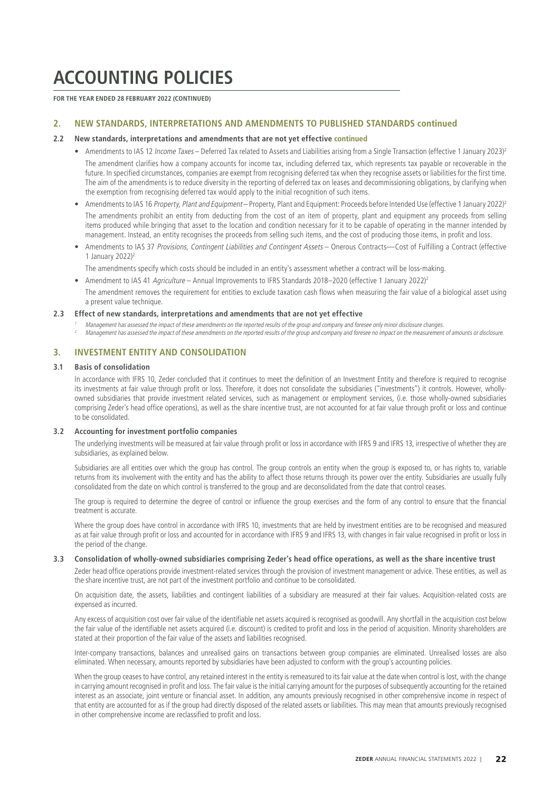**FOR THE YEAR ENDED 28 FEBRUARY 2022 (CONTINUED)**

### **2. NEW STANDARDS, INTERPRETATIONS AND AMENDMENTS TO PUBLISHED STANDARDS continued**

### **2.2 New standards, interpretations and amendments that are not yet effective continued**

- Amendments to IAS 12 Income Taxes Deferred Tax related to Assets and Liabilities arising from a Single Transaction (effective 1 January 2023)<sup>2</sup> The amendment clarifies how a company accounts for income tax, including deferred tax, which represents tax payable or recoverable in the future. In specified circumstances, companies are exempt from recognising deferred tax when they recognise assets or liabilities for the first time. The aim of the amendments is to reduce diversity in the reporting of deferred tax on leases and decommissioning obligations, by clarifying when the exemption from recognising deferred tax would apply to the initial recognition of such items.
- Amendments to IAS 16 Property, Plant and Equipment Property, Plant and Equipment: Proceeds before Intended Use (effective 1 January 2022)<sup>2</sup> The amendments prohibit an entity from deducting from the cost of an item of property, plant and equipment any proceeds from selling items produced while bringing that asset to the location and condition necessary for it to be capable of operating in the manner intended by management. Instead, an entity recognises the proceeds from selling such items, and the cost of producing those items, in profit and loss.
- Amendments to IAS 37 Provisions, Contingent Liabilities and Contingent Assets Onerous Contracts—Cost of Fulfilling a Contract (effective 1 January 2022)2

The amendments specify which costs should be included in an entity's assessment whether a contract will be loss-making.

- Amendment to IAS 41 Agriculture Annual Improvements to IFRS Standards 2018–2020 (effective 1 January 2022)2
- The amendment removes the requirement for entities to exclude taxation cash flows when measuring the fair value of a biological asset using a present value technique.

#### **2.3 Effect of new standards, interpretations and amendments that are not yet effective**

- Management has assessed the impact of these amendments on the reported results of the group and company and foresee only minor disclosure changes.
- <sup>2</sup> Management has assessed the impact of these amendments on the reported results of the group and company and foresee no impact on the measurement of amounts or disclosure.

### **3. INVESTMENT ENTITY AND CONSOLIDATION**

# **3.1 Basis of consolidation**

In accordance with IFRS 10, Zeder concluded that it continues to meet the definition of an Investment Entity and therefore is required to recognise its investments at fair value through profit or loss. Therefore, it does not consolidate the subsidiaries ("investments") it controls. However, whollyowned subsidiaries that provide investment related services, such as management or employment services, (i.e. those wholly-owned subsidiaries comprising Zeder's head office operations), as well as the share incentive trust, are not accounted for at fair value through profit or loss and continue to be consolidated.

#### **3.2 Accounting for investment portfolio companies**

The underlying investments will be measured at fair value through profit or loss in accordance with IFRS 9 and IFRS 13, irrespective of whether they are subsidiaries, as explained below.

Subsidiaries are all entities over which the group has control. The group controls an entity when the group is exposed to, or has rights to, variable returns from its involvement with the entity and has the ability to affect those returns through its power over the entity. Subsidiaries are usually fully consolidated from the date on which control is transferred to the group and are deconsolidated from the date that control ceases.

The group is required to determine the degree of control or influence the group exercises and the form of any control to ensure that the financial treatment is accurate.

Where the group does have control in accordance with IFRS 10, investments that are held by investment entities are to be recognised and measured as at fair value through profit or loss and accounted for in accordance with IFRS 9 and IFRS 13, with changes in fair value recognised in profit or loss in the period of the change.

### **3.3 Consolidation of wholly-owned subsidiaries comprising Zeder's head office operations, as well as the share incentive trust**

Zeder head office operations provide investment-related services through the provision of investment management or advice. These entities, as well as the share incentive trust, are not part of the investment portfolio and continue to be consolidated.

On acquisition date, the assets, liabilities and contingent liabilities of a subsidiary are measured at their fair values. Acquisition-related costs are expensed as incurred.

Any excess of acquisition cost over fair value of the identifiable net assets acquired is recognised as goodwill. Any shortfall in the acquisition cost below the fair value of the identifiable net assets acquired (i.e. discount) is credited to profit and loss in the period of acquisition. Minority shareholders are stated at their proportion of the fair value of the assets and liabilities recognised.

Inter-company transactions, balances and unrealised gains on transactions between group companies are eliminated. Unrealised losses are also eliminated. When necessary, amounts reported by subsidiaries have been adjusted to conform with the group's accounting policies.

When the group ceases to have control, any retained interest in the entity is remeasured to its fair value at the date when control is lost, with the change in carrying amount recognised in profit and loss. The fair value is the initial carrying amount for the purposes of subsequently accounting for the retained interest as an associate, joint venture or financial asset. In addition, any amounts previously recognised in other comprehensive income in respect of that entity are accounted for as if the group had directly disposed of the related assets or liabilities. This may mean that amounts previously recognised in other comprehensive income are reclassified to profit and loss.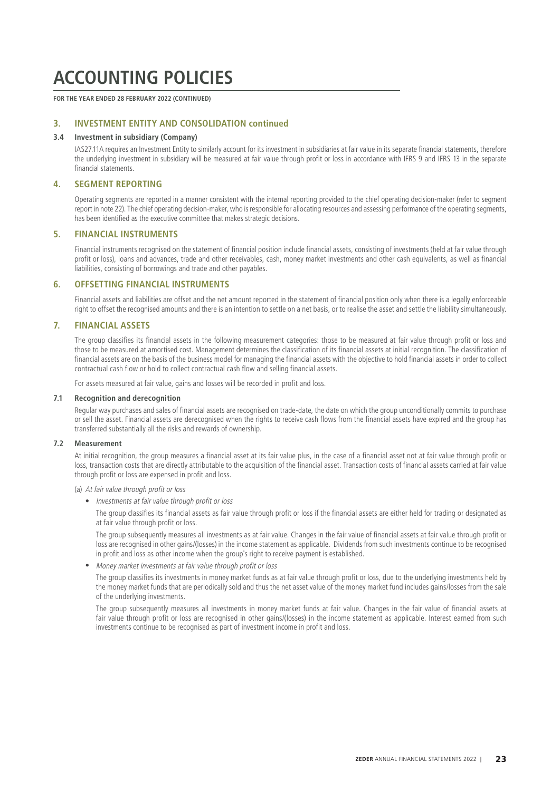**FOR THE YEAR ENDED 28 FEBRUARY 2022 (CONTINUED)**

## **3. INVESTMENT ENTITY AND CONSOLIDATION continued**

#### **3.4 Investment in subsidiary (Company)**

IAS27.11A requires an Investment Entity to similarly account for its investment in subsidiaries at fair value in its separate financial statements, therefore the underlying investment in subsidiary will be measured at fair value through profit or loss in accordance with IFRS 9 and IFRS 13 in the separate financial statements.

# **4. SEGMENT REPORTING**

Operating segments are reported in a manner consistent with the internal reporting provided to the chief operating decision-maker (refer to segment report in note 22). The chief operating decision-maker, who is responsible for allocating resources and assessing performance of the operating segments, has been identified as the executive committee that makes strategic decisions.

### **5. FINANCIAL INSTRUMENTS**

Financial instruments recognised on the statement of financial position include financial assets, consisting of investments (held at fair value through profit or loss), loans and advances, trade and other receivables, cash, money market investments and other cash equivalents, as well as financial liabilities, consisting of borrowings and trade and other payables.

### **6. OFFSETTING FINANCIAL INSTRUMENTS**

Financial assets and liabilities are offset and the net amount reported in the statement of financial position only when there is a legally enforceable right to offset the recognised amounts and there is an intention to settle on a net basis, or to realise the asset and settle the liability simultaneously.

## **7. FINANCIAL ASSETS**

The group classifies its financial assets in the following measurement categories: those to be measured at fair value through profit or loss and those to be measured at amortised cost. Management determines the classification of its financial assets at initial recognition. The classification of financial assets are on the basis of the business model for managing the financial assets with the objective to hold financial assets in order to collect contractual cash flow or hold to collect contractual cash flow and selling financial assets.

For assets measured at fair value, gains and losses will be recorded in profit and loss.

#### **7.1 Recognition and derecognition**

Regular way purchases and sales of financial assets are recognised on trade-date, the date on which the group unconditionally commits to purchase or sell the asset. Financial assets are derecognised when the rights to receive cash flows from the financial assets have expired and the group has transferred substantially all the risks and rewards of ownership.

#### **7.2 Measurement**

At initial recognition, the group measures a financial asset at its fair value plus, in the case of a financial asset not at fair value through profit or loss, transaction costs that are directly attributable to the acquisition of the financial asset. Transaction costs of financial assets carried at fair value through profit or loss are expensed in profit and loss.

(a) At fair value through profit or loss

• Investments at fair value through profit or loss

The group classifies its financial assets as fair value through profit or loss if the financial assets are either held for trading or designated as at fair value through profit or loss.

The group subsequently measures all investments as at fair value. Changes in the fair value of financial assets at fair value through profit or loss are recognised in other gains/(losses) in the income statement as applicable. Dividends from such investments continue to be recognised in profit and loss as other income when the group's right to receive payment is established.

• Money market investments at fair value through profit or loss

The group classifies its investments in money market funds as at fair value through profit or loss, due to the underlying investments held by the money market funds that are periodically sold and thus the net asset value of the money market fund includes gains/losses from the sale of the underlying investments.

The group subsequently measures all investments in money market funds at fair value. Changes in the fair value of financial assets at fair value through profit or loss are recognised in other gains/(losses) in the income statement as applicable. Interest earned from such investments continue to be recognised as part of investment income in profit and loss.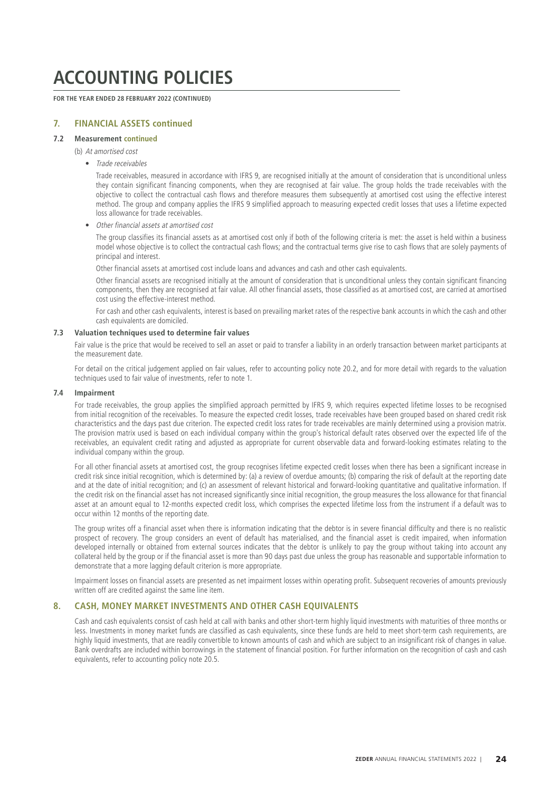**FOR THE YEAR ENDED 28 FEBRUARY 2022 (CONTINUED)**

### **7. FINANCIAL ASSETS continued**

# **7.2 Measurement continued**

### (b) At amortised cost

• Trade receivables

Trade receivables, measured in accordance with IFRS 9, are recognised initially at the amount of consideration that is unconditional unless they contain significant financing components, when they are recognised at fair value. The group holds the trade receivables with the objective to collect the contractual cash flows and therefore measures them subsequently at amortised cost using the effective interest method. The group and company applies the IFRS 9 simplified approach to measuring expected credit losses that uses a lifetime expected loss allowance for trade receivables.

• Other financial assets at amortised cost

The group classifies its financial assets as at amortised cost only if both of the following criteria is met: the asset is held within a business model whose objective is to collect the contractual cash flows; and the contractual terms give rise to cash flows that are solely payments of principal and interest.

Other financial assets at amortised cost include loans and advances and cash and other cash equivalents.

Other financial assets are recognised initially at the amount of consideration that is unconditional unless they contain significant financing components, then they are recognised at fair value. All other financial assets, those classified as at amortised cost, are carried at amortised cost using the effective-interest method.

For cash and other cash equivalents, interest is based on prevailing market rates of the respective bank accounts in which the cash and other cash equivalents are domiciled.

### **7.3 Valuation techniques used to determine fair values**

Fair value is the price that would be received to sell an asset or paid to transfer a liability in an orderly transaction between market participants at the measurement date.

For detail on the critical judgement applied on fair values, refer to accounting policy note 20.2, and for more detail with regards to the valuation techniques used to fair value of investments, refer to note 1.

#### **7.4 Impairment**

For trade receivables, the group applies the simplified approach permitted by IFRS 9, which requires expected lifetime losses to be recognised from initial recognition of the receivables. To measure the expected credit losses, trade receivables have been grouped based on shared credit risk characteristics and the days past due criterion. The expected credit loss rates for trade receivables are mainly determined using a provision matrix. The provision matrix used is based on each individual company within the group's historical default rates observed over the expected life of the receivables, an equivalent credit rating and adjusted as appropriate for current observable data and forward-looking estimates relating to the individual company within the group.

For all other financial assets at amortised cost, the group recognises lifetime expected credit losses when there has been a significant increase in credit risk since initial recognition, which is determined by: (a) a review of overdue amounts; (b) comparing the risk of default at the reporting date and at the date of initial recognition; and (c) an assessment of relevant historical and forward-looking quantitative and qualitative information. If the credit risk on the financial asset has not increased significantly since initial recognition, the group measures the loss allowance for that financial asset at an amount equal to 12-months expected credit loss, which comprises the expected lifetime loss from the instrument if a default was to occur within 12 months of the reporting date.

The group writes off a financial asset when there is information indicating that the debtor is in severe financial difficulty and there is no realistic prospect of recovery. The group considers an event of default has materialised, and the financial asset is credit impaired, when information developed internally or obtained from external sources indicates that the debtor is unlikely to pay the group without taking into account any collateral held by the group or if the financial asset is more than 90 days past due unless the group has reasonable and supportable information to demonstrate that a more lagging default criterion is more appropriate.

Impairment losses on financial assets are presented as net impairment losses within operating profit. Subsequent recoveries of amounts previously written off are credited against the same line item.

### **8. CASH, MONEY MARKET INVESTMENTS AND OTHER CASH EQUIVALENTS**

Cash and cash equivalents consist of cash held at call with banks and other short-term highly liquid investments with maturities of three months or less. Investments in money market funds are classified as cash equivalents, since these funds are held to meet short-term cash requirements, are highly liquid investments, that are readily convertible to known amounts of cash and which are subject to an insignificant risk of changes in value. Bank overdrafts are included within borrowings in the statement of financial position. For further information on the recognition of cash and cash equivalents, refer to accounting policy note 20.5.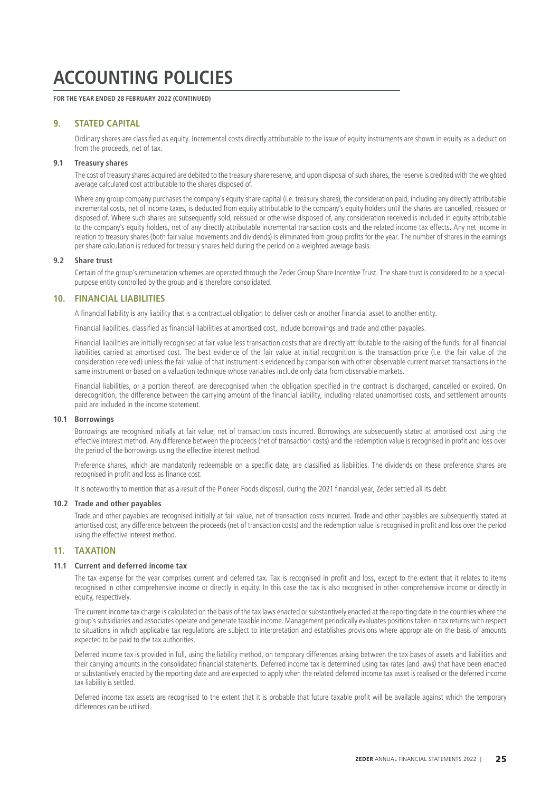**FOR THE YEAR ENDED 28 FEBRUARY 2022 (CONTINUED)**

### **9. STATED CAPITAL**

Ordinary shares are classified as equity. Incremental costs directly attributable to the issue of equity instruments are shown in equity as a deduction from the proceeds, net of tax.

#### **9.1 Treasury shares**

The cost of treasury shares acquired are debited to the treasury share reserve, and upon disposal of such shares, the reserve is credited with the weighted average calculated cost attributable to the shares disposed of.

Where any group company purchases the company's equity share capital (i.e. treasury shares), the consideration paid, including any directly attributable incremental costs, net of income taxes, is deducted from equity attributable to the company's equity holders until the shares are cancelled, reissued or disposed of. Where such shares are subsequently sold, reissued or otherwise disposed of, any consideration received is included in equity attributable to the company's equity holders, net of any directly attributable incremental transaction costs and the related income tax effects. Any net income in relation to treasury shares (both fair value movements and dividends) is eliminated from group profits for the year. The number of shares in the earnings per share calculation is reduced for treasury shares held during the period on a weighted average basis.

#### **9.2 Share trust**

Certain of the group's remuneration schemes are operated through the Zeder Group Share Incentive Trust. The share trust is considered to be a specialpurpose entity controlled by the group and is therefore consolidated.

### **10. FINANCIAL LIABILITIES**

A financial liability is any liability that is a contractual obligation to deliver cash or another financial asset to another entity.

Financial liabilities, classified as financial liabilities at amortised cost, include borrowings and trade and other payables.

Financial liabilities are initially recognised at fair value less transaction costs that are directly attributable to the raising of the funds, for all financial liabilities carried at amortised cost. The best evidence of the fair value at initial recognition is the transaction price (i.e. the fair value of the consideration received) unless the fair value of that instrument is evidenced by comparison with other observable current market transactions in the same instrument or based on a valuation technique whose variables include only data from observable markets.

Financial liabilities, or a portion thereof, are derecognised when the obligation specified in the contract is discharged, cancelled or expired. On derecognition, the difference between the carrying amount of the financial liability, including related unamortised costs, and settlement amounts paid are included in the income statement.

#### **10.1 Borrowings**

Borrowings are recognised initially at fair value, net of transaction costs incurred. Borrowings are subsequently stated at amortised cost using the effective interest method. Any difference between the proceeds (net of transaction costs) and the redemption value is recognised in profit and loss over the period of the borrowings using the effective interest method.

Preference shares, which are mandatorily redeemable on a specific date, are classified as liabilities. The dividends on these preference shares are recognised in profit and loss as finance cost.

It is noteworthy to mention that as a result of the Pioneer Foods disposal, during the 2021 financial year, Zeder settled all its debt.

#### **10.2 Trade and other payables**

Trade and other payables are recognised initially at fair value, net of transaction costs incurred. Trade and other payables are subsequently stated at amortised cost; any difference between the proceeds (net of transaction costs) and the redemption value is recognised in profit and loss over the period using the effective interest method.

### **11. TAXATION**

#### **11.1 Current and deferred income tax**

The tax expense for the year comprises current and deferred tax. Tax is recognised in profit and loss, except to the extent that it relates to items recognised in other comprehensive income or directly in equity. In this case the tax is also recognised in other comprehensive income or directly in equity, respectively.

The current income tax charge is calculated on the basis of the tax laws enacted or substantively enacted at the reporting date in the countries where the group's subsidiaries and associates operate and generate taxable income. Management periodically evaluates positions taken in tax returns with respect to situations in which applicable tax regulations are subject to interpretation and establishes provisions where appropriate on the basis of amounts expected to be paid to the tax authorities.

Deferred income tax is provided in full, using the liability method, on temporary differences arising between the tax bases of assets and liabilities and their carrying amounts in the consolidated financial statements. Deferred income tax is determined using tax rates (and laws) that have been enacted or substantively enacted by the reporting date and are expected to apply when the related deferred income tax asset is realised or the deferred income tax liability is settled.

Deferred income tax assets are recognised to the extent that it is probable that future taxable profit will be available against which the temporary differences can be utilised.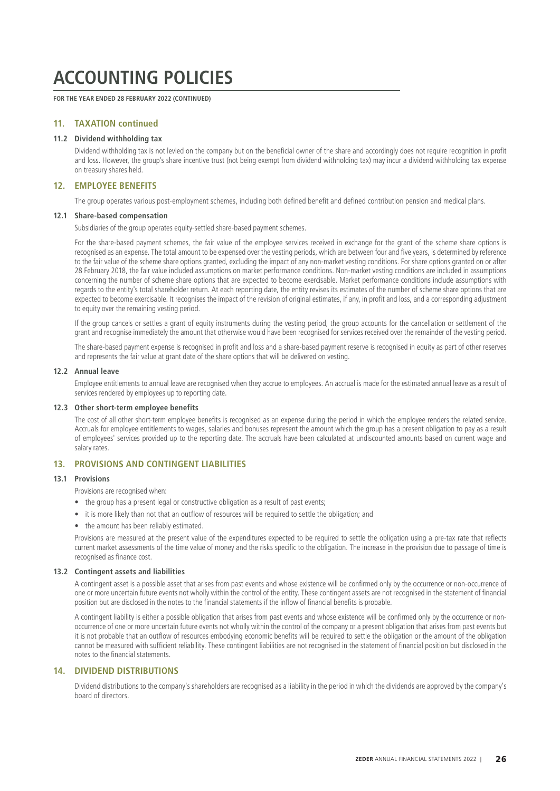**FOR THE YEAR ENDED 28 FEBRUARY 2022 (CONTINUED)**

### **11. TAXATION continued**

### **11.2 Dividend withholding tax**

Dividend withholding tax is not levied on the company but on the beneficial owner of the share and accordingly does not require recognition in profit and loss. However, the group's share incentive trust (not being exempt from dividend withholding tax) may incur a dividend withholding tax expense on treasury shares held.

### **12. EMPLOYEE BENEFITS**

The group operates various post-employment schemes, including both defined benefit and defined contribution pension and medical plans.

#### **12.1 Share-based compensation**

Subsidiaries of the group operates equity-settled share-based payment schemes.

For the share-based payment schemes, the fair value of the employee services received in exchange for the grant of the scheme share options is recognised as an expense. The total amount to be expensed over the vesting periods, which are between four and five years, is determined by reference to the fair value of the scheme share options granted, excluding the impact of any non-market vesting conditions. For share options granted on or after 28 February 2018, the fair value included assumptions on market performance conditions. Non-market vesting conditions are included in assumptions concerning the number of scheme share options that are expected to become exercisable. Market performance conditions include assumptions with regards to the entity's total shareholder return. At each reporting date, the entity revises its estimates of the number of scheme share options that are expected to become exercisable. It recognises the impact of the revision of original estimates, if any, in profit and loss, and a corresponding adjustment to equity over the remaining vesting period.

If the group cancels or settles a grant of equity instruments during the vesting period, the group accounts for the cancellation or settlement of the grant and recognise immediately the amount that otherwise would have been recognised for services received over the remainder of the vesting period.

The share-based payment expense is recognised in profit and loss and a share-based payment reserve is recognised in equity as part of other reserves and represents the fair value at grant date of the share options that will be delivered on vesting.

#### **12.2 Annual leave**

Employee entitlements to annual leave are recognised when they accrue to employees. An accrual is made for the estimated annual leave as a result of services rendered by employees up to reporting date.

#### **12.3 Other short-term employee benefits**

The cost of all other short-term employee benefits is recognised as an expense during the period in which the employee renders the related service. Accruals for employee entitlements to wages, salaries and bonuses represent the amount which the group has a present obligation to pay as a result of employees' services provided up to the reporting date. The accruals have been calculated at undiscounted amounts based on current wage and salary rates.

### **13. PROVISIONS AND CONTINGENT LIABILITIES**

### **13.1 Provisions**

Provisions are recognised when:

- the group has a present legal or constructive obligation as a result of past events;
- it is more likely than not that an outflow of resources will be required to settle the obligation; and
- the amount has been reliably estimated.

Provisions are measured at the present value of the expenditures expected to be required to settle the obligation using a pre-tax rate that reflects current market assessments of the time value of money and the risks specific to the obligation. The increase in the provision due to passage of time is recognised as finance cost.

#### **13.2 Contingent assets and liabilities**

A contingent asset is a possible asset that arises from past events and whose existence will be confirmed only by the occurrence or non-occurrence of one or more uncertain future events not wholly within the control of the entity. These contingent assets are not recognised in the statement of financial position but are disclosed in the notes to the financial statements if the inflow of financial benefits is probable.

A contingent liability is either a possible obligation that arises from past events and whose existence will be confirmed only by the occurrence or nonoccurrence of one or more uncertain future events not wholly within the control of the company or a present obligation that arises from past events but it is not probable that an outflow of resources embodying economic benefits will be required to settle the obligation or the amount of the obligation cannot be measured with sufficient reliability. These contingent liabilities are not recognised in the statement of financial position but disclosed in the notes to the financial statements.

#### **14. DIVIDEND DISTRIBUTIONS**

Dividend distributions to the company's shareholders are recognised as a liability in the period in which the dividends are approved by the company's board of directors.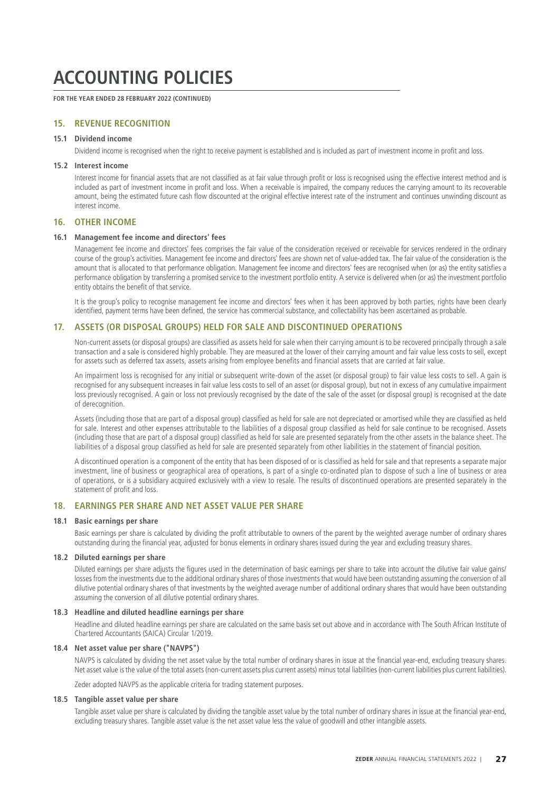**FOR THE YEAR ENDED 28 FEBRUARY 2022 (CONTINUED)**

### **15. REVENUE RECOGNITION**

### **15.1 Dividend income**

Dividend income is recognised when the right to receive payment is established and is included as part of investment income in profit and loss.

#### **15.2 Interest income**

Interest income for financial assets that are not classified as at fair value through profit or loss is recognised using the effective interest method and is included as part of investment income in profit and loss. When a receivable is impaired, the company reduces the carrying amount to its recoverable amount, being the estimated future cash flow discounted at the original effective interest rate of the instrument and continues unwinding discount as interest income.

### **16. OTHER INCOME**

#### **16.1 Management fee income and directors' fees**

Management fee income and directors' fees comprises the fair value of the consideration received or receivable for services rendered in the ordinary course of the group's activities. Management fee income and directors' fees are shown net of value-added tax. The fair value of the consideration is the amount that is allocated to that performance obligation. Management fee income and directors' fees are recognised when (or as) the entity satisfies a performance obligation by transferring a promised service to the investment portfolio entity. A service is delivered when (or as) the investment portfolio entity obtains the benefit of that service.

It is the group's policy to recognise management fee income and directors' fees when it has been approved by both parties, rights have been clearly identified, payment terms have been defined, the service has commercial substance, and collectability has been ascertained as probable.

### **17. ASSETS (OR DISPOSAL GROUPS) HELD FOR SALE AND DISCONTINUED OPERATIONS**

Non-current assets (or disposal groups) are classified as assets held for sale when their carrying amount is to be recovered principally through a sale transaction and a sale is considered highly probable. They are measured at the lower of their carrying amount and fair value less costs to sell, except for assets such as deferred tax assets, assets arising from employee benefits and financial assets that are carried at fair value.

An impairment loss is recognised for any initial or subsequent write-down of the asset (or disposal group) to fair value less costs to sell. A gain is recognised for any subsequent increases in fair value less costs to sell of an asset (or disposal group), but not in excess of any cumulative impairment loss previously recognised. A gain or loss not previously recognised by the date of the sale of the asset (or disposal group) is recognised at the date of derecognition.

Assets (including those that are part of a disposal group) classified as held for sale are not depreciated or amortised while they are classified as held for sale. Interest and other expenses attributable to the liabilities of a disposal group classified as held for sale continue to be recognised. Assets (including those that are part of a disposal group) classified as held for sale are presented separately from the other assets in the balance sheet. The liabilities of a disposal group classified as held for sale are presented separately from other liabilities in the statement of financial position.

A discontinued operation is a component of the entity that has been disposed of or is classified as held for sale and that represents a separate major investment, line of business or geographical area of operations, is part of a single co-ordinated plan to dispose of such a line of business or area of operations, or is a subsidiary acquired exclusively with a view to resale. The results of discontinued operations are presented separately in the statement of profit and loss.

#### **18. EARNINGS PER SHARE AND NET ASSET VALUE PER SHARE**

#### **18.1 Basic earnings per share**

Basic earnings per share is calculated by dividing the profit attributable to owners of the parent by the weighted average number of ordinary shares outstanding during the financial year, adjusted for bonus elements in ordinary shares issued during the year and excluding treasury shares.

#### **18.2 Diluted earnings per share**

Diluted earnings per share adjusts the figures used in the determination of basic earnings per share to take into account the dilutive fair value gains/ losses from the investments due to the additional ordinary shares of those investments that would have been outstanding assuming the conversion of all dilutive potential ordinary shares of that investments by the weighted average number of additional ordinary shares that would have been outstanding assuming the conversion of all dilutive potential ordinary shares.

#### **18.3 Headline and diluted headline earnings per share**

Headline and diluted headline earnings per share are calculated on the same basis set out above and in accordance with The South African Institute of Chartered Accountants (SAICA) Circular 1/2019.

#### **18.4 Net asset value per share ("NAVPS")**

NAVPS is calculated by dividing the net asset value by the total number of ordinary shares in issue at the financial year-end, excluding treasury shares. Net asset value is the value of the total assets (non-current assets plus current assets) minus total liabilities (non-current liabilities plus current liabilities).

Zeder adopted NAVPS as the applicable criteria for trading statement purposes.

#### **18.5 Tangible asset value per share**

Tangible asset value per share is calculated by dividing the tangible asset value by the total number of ordinary shares in issue at the financial year-end, excluding treasury shares. Tangible asset value is the net asset value less the value of goodwill and other intangible assets.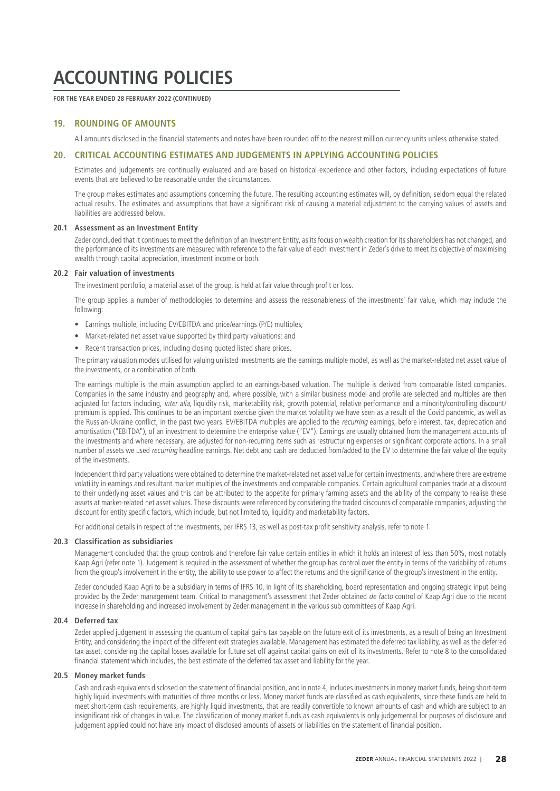**FOR THE YEAR ENDED 28 FEBRUARY 2022 (CONTINUED)**

### **19. ROUNDING OF AMOUNTS**

All amounts disclosed in the financial statements and notes have been rounded off to the nearest million currency units unless otherwise stated.

#### **20. CRITICAL ACCOUNTING ESTIMATES AND JUDGEMENTS IN APPLYING ACCOUNTING POLICIES**

Estimates and judgements are continually evaluated and are based on historical experience and other factors, including expectations of future events that are believed to be reasonable under the circumstances.

The group makes estimates and assumptions concerning the future. The resulting accounting estimates will, by definition, seldom equal the related actual results. The estimates and assumptions that have a significant risk of causing a material adjustment to the carrying values of assets and liabilities are addressed below.

#### **20.1 Assessment as an Investment Entity**

Zeder concluded that it continues to meet the definition of an Investment Entity, as its focus on wealth creation for its shareholders has not changed, and the performance of its investments are measured with reference to the fair value of each investment in Zeder's drive to meet its objective of maximising wealth through capital appreciation, investment income or both.

#### **20.2 Fair valuation of investments**

The investment portfolio, a material asset of the group, is held at fair value through profit or loss.

The group applies a number of methodologies to determine and assess the reasonableness of the investments' fair value, which may include the following:

- Earnings multiple, including EV/EBITDA and price/earnings (P/E) multiples;
- Market-related net asset value supported by third party valuations; and
- Recent transaction prices, including closing quoted listed share prices.

The primary valuation models utilised for valuing unlisted investments are the earnings multiple model, as well as the market-related net asset value of the investments, or a combination of both.

The earnings multiple is the main assumption applied to an earnings-based valuation. The multiple is derived from comparable listed companies. Companies in the same industry and geography and, where possible, with a similar business model and profile are selected and multiples are then adjusted for factors including, inter alia, liquidity risk, marketability risk, growth potential, relative performance and a minority/controlling discount/ premium is applied. This continues to be an important exercise given the market volatility we have seen as a result of the Covid pandemic, as well as the Russian-Ukraine conflict, in the past two years. EV/EBITDA multiples are applied to the *recurring* earnings, before interest, tax, depreciation and amortisation ("EBITDA"), of an investment to determine the enterprise value ("EV"). Earnings are usually obtained from the management accounts of the investments and where necessary, are adjusted for non-recurring items such as restructuring expenses or significant corporate actions. In a small number of assets we used recurring headline earnings. Net debt and cash are deducted from/added to the EV to determine the fair value of the equity of the investments.

Independent third party valuations were obtained to determine the market-related net asset value for certain investments, and where there are extreme volatility in earnings and resultant market multiples of the investments and comparable companies. Certain agricultural companies trade at a discount to their underlying asset values and this can be attributed to the appetite for primary farming assets and the ability of the company to realise these assets at market-related net asset values. These discounts were referenced by considering the traded discounts of comparable companies, adjusting the discount for entity specific factors, which include, but not limited to, liquidity and marketability factors.

For additional details in respect of the investments, per IFRS 13, as well as post-tax profit sensitivity analysis, refer to note 1.

#### **20.3 Classification as subsidiaries**

Management concluded that the group controls and therefore fair value certain entities in which it holds an interest of less than 50%, most notably Kaap Agri (refer note 1). Judgement is required in the assessment of whether the group has control over the entity in terms of the variability of returns from the group's involvement in the entity, the ability to use power to affect the returns and the significance of the group's investment in the entity.

Zeder concluded Kaap Agri to be a subsidiary in terms of IFRS 10, in light of its shareholding, board representation and ongoing strategic input being provided by the Zeder management team. Critical to management's assessment that Zeder obtained de facto control of Kaap Agri due to the recent increase in shareholding and increased involvement by Zeder management in the various sub committees of Kaap Agri.

#### **20.4 Deferred tax**

Zeder applied judgement in assessing the quantum of capital gains tax payable on the future exit of its investments, as a result of being an Investment Entity, and considering the impact of the different exit strategies available. Management has estimated the deferred tax liability, as well as the deferred tax asset, considering the capital losses available for future set off against capital gains on exit of its investments. Refer to note 8 to the consolidated financial statement which includes, the best estimate of the deferred tax asset and liability for the year.

#### **20.5 Money market funds**

Cash and cash equivalents disclosed on the statement of financial position, and in note 4, includes investments in money market funds, being short-term highly liquid investments with maturities of three months or less. Money market funds are classified as cash equivalents, since these funds are held to meet short-term cash requirements, are highly liquid investments, that are readily convertible to known amounts of cash and which are subject to an insignificant risk of changes in value. The classification of money market funds as cash equivalents is only judgemental for purposes of disclosure and judgement applied could not have any impact of disclosed amounts of assets or liabilities on the statement of financial position.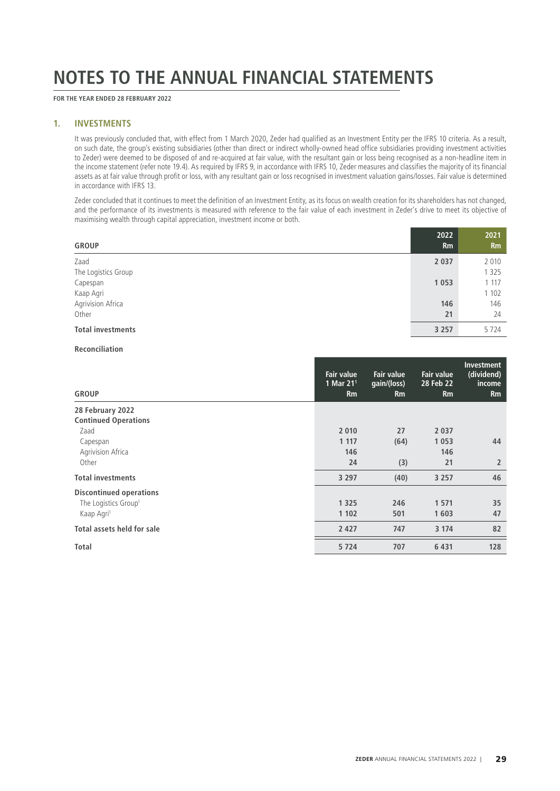**FOR THE YEAR ENDED 28 FEBRUARY 2022**

### **1. INVESTMENTS**

It was previously concluded that, with effect from 1 March 2020, Zeder had qualified as an Investment Entity per the IFRS 10 criteria. As a result, on such date, the group's existing subsidiaries (other than direct or indirect wholly-owned head office subsidiaries providing investment activities to Zeder) were deemed to be disposed of and re-acquired at fair value, with the resultant gain or loss being recognised as a non-headline item in the income statement (refer note 19.4). As required by IFRS 9, in accordance with IFRS 10, Zeder measures and classifies the majority of its financial assets as at fair value through profit or loss, with any resultant gain or loss recognised in investment valuation gains/losses. Fair value is determined in accordance with IFRS 13.

Zeder concluded that it continues to meet the definition of an Investment Entity, as its focus on wealth creation for its shareholders has not changed, and the performance of its investments is measured with reference to the fair value of each investment in Zeder's drive to meet its objective of maximising wealth through capital appreciation, investment income or both.

| <b>GROUP</b>             | 2022<br><b>Rm</b> | 2021<br><b>Rm</b> |
|--------------------------|-------------------|-------------------|
| Zaad                     | 2 0 3 7           | 2 0 1 0           |
| The Logistics Group      |                   | 1 3 2 5           |
| Capespan                 | 1 0 5 3           | 1 1 1 7           |
| Kaap Agri                |                   | 1 1 0 2           |
| Agrivision Africa        | 146               | 146               |
| Other                    | 21                | 24                |
| <b>Total investments</b> | 3 2 5 7           | 5724              |

### **Reconciliation**

| <b>GROUP</b>                     | <b>Fair value</b><br>1 Mar 21 <sup>1</sup><br><b>Rm</b> | <b>Fair value</b><br>gain/(loss)<br><b>Rm</b> | <b>Fair value</b><br>28 Feb 22<br><b>Rm</b> | Investment<br>(dividend)<br>income<br><b>Rm</b> |
|----------------------------------|---------------------------------------------------------|-----------------------------------------------|---------------------------------------------|-------------------------------------------------|
| 28 February 2022                 |                                                         |                                               |                                             |                                                 |
| <b>Continued Operations</b>      |                                                         |                                               |                                             |                                                 |
| Zaad                             | 2 0 1 0                                                 | 27                                            | 2 0 3 7                                     |                                                 |
| Capespan                         | 1 1 1 7                                                 | (64)                                          | 1053                                        | 44                                              |
| Agrivision Africa                | 146                                                     |                                               | 146                                         |                                                 |
| Other                            | 24                                                      | (3)                                           | 21                                          | $\overline{2}$                                  |
| <b>Total investments</b>         | 3 2 9 7                                                 | (40)                                          | 3 2 5 7                                     | 46                                              |
| <b>Discontinued operations</b>   |                                                         |                                               |                                             |                                                 |
| The Logistics Group <sup>1</sup> | 1 3 2 5                                                 | 246                                           | 1 5 7 1                                     | 35                                              |
| Kaap Agri <sup>1</sup>           | 1 102                                                   | 501                                           | 1603                                        | 47                                              |
| Total assets held for sale       | 2 4 2 7                                                 | 747                                           | 3 1 7 4                                     | 82                                              |
| Total                            | 5 7 2 4                                                 | 707                                           | 6 4 3 1                                     | 128                                             |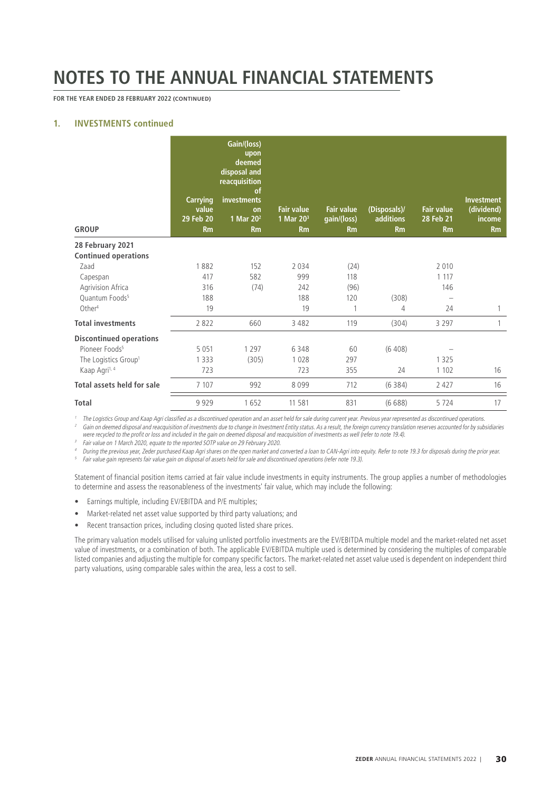**FOR THE YEAR ENDED 28 FEBRUARY 2022 (CONTINUED)**

#### **1. INVESTMENTS continued**

| <b>GROUP</b>                   | <b>Carrying</b><br>value<br>29 Feb 20<br><b>Rm</b> | Gain/(loss)<br>upon<br>deemed<br>disposal and<br>reacquisition<br><sub>of</sub><br><b>investments</b><br>on<br>1 Mar 20 <sup>2</sup><br><b>Rm</b> | <b>Fair value</b><br>1 Mar $203$<br><b>Rm</b> | <b>Fair value</b><br>gain/(loss)<br><b>Rm</b> | (Disposals)/<br>additions<br><b>Rm</b> | <b>Fair value</b><br>28 Feb 21<br><b>Rm</b> | <b>Investment</b><br>(dividend)<br>income<br><b>Rm</b> |
|--------------------------------|----------------------------------------------------|---------------------------------------------------------------------------------------------------------------------------------------------------|-----------------------------------------------|-----------------------------------------------|----------------------------------------|---------------------------------------------|--------------------------------------------------------|
| 28 February 2021               |                                                    |                                                                                                                                                   |                                               |                                               |                                        |                                             |                                                        |
| <b>Continued operations</b>    |                                                    |                                                                                                                                                   |                                               |                                               |                                        |                                             |                                                        |
| Zaad                           | 1882                                               | 152                                                                                                                                               | 2034                                          | (24)                                          |                                        | 2 0 1 0                                     |                                                        |
| Capespan                       | 417                                                | 582                                                                                                                                               | 999                                           | 118                                           |                                        | 1 1 1 7                                     |                                                        |
| Agrivision Africa              | 316                                                | (74)                                                                                                                                              | 242                                           | (96)                                          |                                        | 146                                         |                                                        |
| Quantum Foods <sup>5</sup>     | 188                                                |                                                                                                                                                   | 188                                           | 120                                           | (308)                                  |                                             |                                                        |
| Other <sup>4</sup>             | 19                                                 |                                                                                                                                                   | 19                                            |                                               | 4                                      | 24                                          | 1                                                      |
| <b>Total investments</b>       | 2822                                               | 660                                                                                                                                               | 3 4 8 2                                       | 119                                           | (304)                                  | 3 2 9 7                                     | 1                                                      |
| <b>Discontinued operations</b> |                                                    |                                                                                                                                                   |                                               |                                               |                                        |                                             |                                                        |
| Pioneer Foods <sup>5</sup>     | 5 0 5 1                                            | 1 2 9 7                                                                                                                                           | 6348                                          | 60                                            | (6408)                                 |                                             |                                                        |
| The Logistics Group1           | 1 3 3 3                                            | (305)                                                                                                                                             | 1028                                          | 297                                           |                                        | 1 3 2 5                                     |                                                        |
| Kaap Agri <sup>1, 4</sup>      | 723                                                |                                                                                                                                                   | 723                                           | 355                                           | 24                                     | 1 1 0 2                                     | 16                                                     |
| Total assets held for sale     | 7 107                                              | 992                                                                                                                                               | 8099                                          | 712                                           | (6384)                                 | 2 4 2 7                                     | 16                                                     |
| <b>Total</b>                   | 9929                                               | 1652                                                                                                                                              | 11 581                                        | 831                                           | (6688)                                 | 5724                                        | 17                                                     |

<sup>1</sup> The Logistics Group and Kaap Agri classified as a discontinued operation and an asset held for sale during current year. Previous year represented as discontinued operations.

Gain on deemed disposal and reacquisition of investments due to change in Investment Entity status. As a result, the foreign currency translation reserves accounted for by subsidiaries were recycled to the profit or loss and included in the gain on deemed disposal and reacquisition of investments as well (refer to note 19.4).

<sup>3</sup> Fair value on 1 March 2020, equate to the reported SOTP value on 29 February 2020.

<sup>4</sup> During the previous year, Zeder purchased Kaap Agri shares on the open market and converted a loan to CAN-Agri into equity. Refer to note 19.3 for disposals during the prior year.

<sup>5</sup> Fair value gain represents fair value gain on disposal of assets held for sale and discontinued operations (refer note 19.3).

Statement of financial position items carried at fair value include investments in equity instruments. The group applies a number of methodologies to determine and assess the reasonableness of the investments' fair value, which may include the following:

- Earnings multiple, including EV/EBITDA and P/E multiples;
- Market-related net asset value supported by third party valuations; and
- Recent transaction prices, including closing quoted listed share prices.

The primary valuation models utilised for valuing unlisted portfolio investments are the EV/EBITDA multiple model and the market-related net asset value of investments, or a combination of both. The applicable EV/EBITDA multiple used is determined by considering the multiples of comparable listed companies and adjusting the multiple for company specific factors. The market-related net asset value used is dependent on independent third party valuations, using comparable sales within the area, less a cost to sell.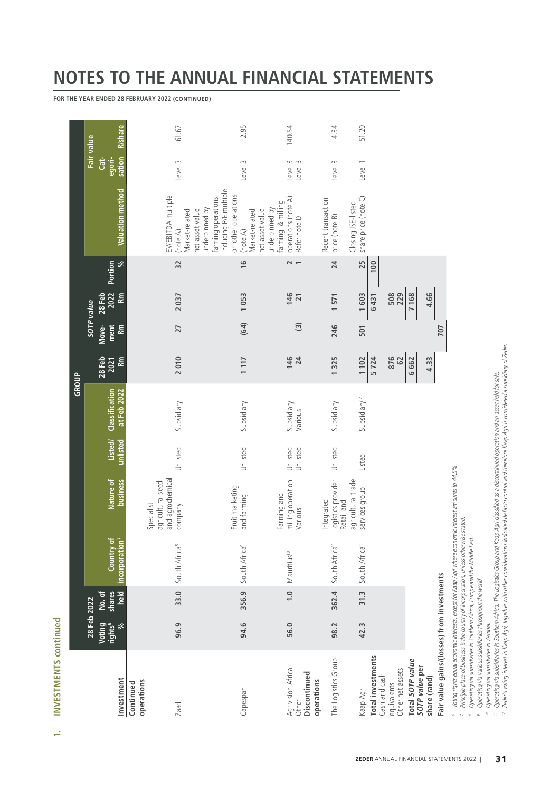**FOR THE YEAR ENDED 28 FEBRUARY 2022 (CONTINUED)**

|                                                                                                                                                                                                                                                                                                                                                                                                                                                                                                                                                                                                                                                                                                                               |                                              |                 |                            |                                                                |                      | GROUP                    |                   |                                |                         |               |                                                                                                                      |                              |                 |
|-------------------------------------------------------------------------------------------------------------------------------------------------------------------------------------------------------------------------------------------------------------------------------------------------------------------------------------------------------------------------------------------------------------------------------------------------------------------------------------------------------------------------------------------------------------------------------------------------------------------------------------------------------------------------------------------------------------------------------|----------------------------------------------|-----------------|----------------------------|----------------------------------------------------------------|----------------------|--------------------------|-------------------|--------------------------------|-------------------------|---------------|----------------------------------------------------------------------------------------------------------------------|------------------------------|-----------------|
|                                                                                                                                                                                                                                                                                                                                                                                                                                                                                                                                                                                                                                                                                                                               | 28 Feb 2022<br>Voting<br>rights <sup>6</sup> | shares<br>No.of | Country of                 | Nature of                                                      | Listed/              | Classification           | 28 Feb<br>2021    | SOTP value<br>Move-<br>ment    | 2022<br><b>28 Feb</b>   | Portion       |                                                                                                                      | Fair value<br>Cat-<br>egori- |                 |
| Investment<br>operations<br>Continued                                                                                                                                                                                                                                                                                                                                                                                                                                                                                                                                                                                                                                                                                         | $\delta$                                     | held            | incorporation'             | <b>business</b>                                                | unlisted             | at Feb 2022              | ξ                 | <b>Rm</b>                      | <b>Rm</b>               | $\infty$      | <b>Valuation method</b>                                                                                              | sation                       | <b>R</b> /share |
| Zaad                                                                                                                                                                                                                                                                                                                                                                                                                                                                                                                                                                                                                                                                                                                          | 96.9                                         | 33.0            | South Africa <sup>8</sup>  | and agrochemical<br>agricultural seed<br>Specialist<br>company | Unlisted             | Subsidiary               | 2010              | 27                             | 2037                    | 32            | EV/EBITDA multiple<br>Vlarket-related<br>(note A)                                                                    | Level 3                      | 61.67           |
| Capespan                                                                                                                                                                                                                                                                                                                                                                                                                                                                                                                                                                                                                                                                                                                      | 94.6                                         | 356.9           | South Africa <sup>9</sup>  | Fruit marketing<br>and farming                                 | Unlisted             | Subsidiary               | 1 117             | (64)                           | 1053                    | $\frac{9}{5}$ | including P/E multiple<br>on other operations<br>farming operations<br>underpinned by<br>net asset value<br>(note A) | Level 3                      | 2.95            |
| Agrivision Africa                                                                                                                                                                                                                                                                                                                                                                                                                                                                                                                                                                                                                                                                                                             | 56.0                                         | $\ddot{ }$ .0   | Mauritius <sup>10</sup>    | milling operation<br>Farming and                               | Unlisted             | Subsidiary               | 146               |                                | 146                     | $\sim$ $-$    | operations (note A)<br>farming & milling<br>underpinned by<br>net asset value<br>Vlarket-related                     | Level 3                      | 140.54          |
| The Logistics Group<br>Discontinued<br>operations<br>Other                                                                                                                                                                                                                                                                                                                                                                                                                                                                                                                                                                                                                                                                    | 98.2                                         | 362.4           | South Africa <sup>11</sup> | ogistics provider<br>ntegrated<br>Various                      | Unlisted<br>Unlisted | Subsidiary<br>Various    | 1325<br>24        | $\widehat{\mathcal{L}}$<br>246 | $\overline{21}$<br>1571 | 24            | Recent transaction<br>price (note B)<br>Refer note D                                                                 | Level 3<br>Level 3           | 4.34            |
| Kaap Agri                                                                                                                                                                                                                                                                                                                                                                                                                                                                                                                                                                                                                                                                                                                     | 42.3                                         | 31.3            | South Africa <sup>11</sup> | agricultural trade<br>services group<br>Retail and             | Listed               | Subsidiary <sup>12</sup> | 1 102             | 501                            | 1603                    | 25            | share price (note C)<br>Closing JSE-listed                                                                           | Level 1                      | 51.20           |
| Total investments<br>Other net assets<br>Cash and cash<br>equivalents                                                                                                                                                                                                                                                                                                                                                                                                                                                                                                                                                                                                                                                         |                                              |                 |                            |                                                                |                      |                          | 876<br>5724<br>62 |                                | 508<br>229<br>6431      | 100           |                                                                                                                      |                              |                 |
| Total SOTP value<br>SOTP value per<br>share (rand)                                                                                                                                                                                                                                                                                                                                                                                                                                                                                                                                                                                                                                                                            |                                              |                 |                            |                                                                |                      |                          | 6662<br>4.33      |                                | 4.66<br>7 168           |               |                                                                                                                      |                              |                 |
| Fair value gains/(losses) from investments                                                                                                                                                                                                                                                                                                                                                                                                                                                                                                                                                                                                                                                                                    |                                              |                 |                            |                                                                |                      |                          |                   | 707                            |                         |               |                                                                                                                      |                              |                 |
| Zeder's voting interest in Kaap Agri, together with other considerations indicated de facto control and therefore Kaap Agri is considered a subsidiary of Zeder.<br>n Operating via subsidiaries in Southern Africa. The Logistics Group and Kaap Agri classified as a discontinued operation and an asset held for sale.<br>Voting rights equal economic interests, except for Kaap Agri where economic interest amounts to 44.5%.<br>Principle place of business is the country of incorporation, unless otherwise stated.<br>Operating via subsidiaries in Southern Africa, Europe and the Middle East.<br>Operating via various subsidiaries throughout the world.<br><sup>10</sup> Operating via subsidiaries in Zambia. |                                              |                 |                            |                                                                |                      |                          |                   |                                |                         |               |                                                                                                                      |                              |                 |

INVESTMENTS continued **1. INVESTMENTS continued** $\leftarrow$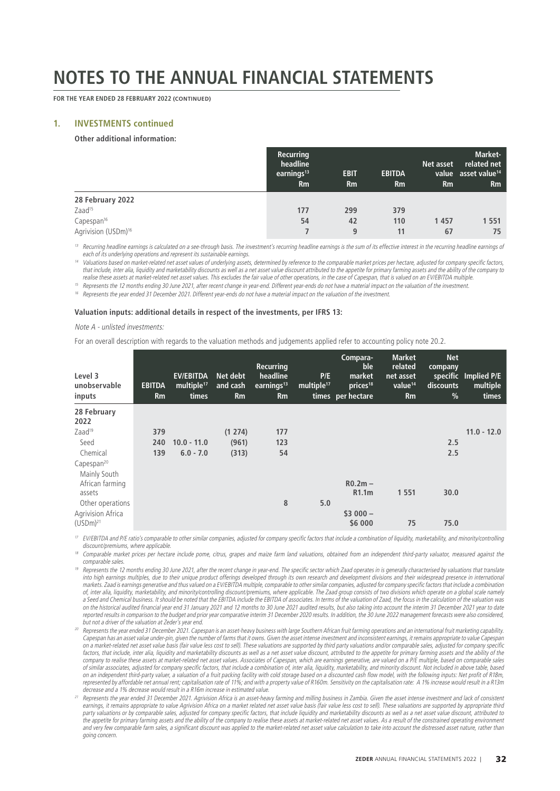**FOR THE YEAR ENDED 28 FEBRUARY 2022 (CONTINUED)**

#### **1. INVESTMENTS continued**

**Other additional information:**

|                                 | <b>Recurring</b><br>headline<br>earnings <sup>13</sup><br><b>Rm</b> | <b>EBIT</b><br><b>Rm</b> | <b>EBITDA</b><br>Rm | Net asset<br>Rm | Market-<br>related net<br>value asset value <sup>14</sup><br>Rm |
|---------------------------------|---------------------------------------------------------------------|--------------------------|---------------------|-----------------|-----------------------------------------------------------------|
| 28 February 2022                |                                                                     |                          |                     |                 |                                                                 |
| Zaad <sup>15</sup>              | 177                                                                 | 299                      | 379                 |                 |                                                                 |
| Capespan <sup>16</sup>          | 54                                                                  | 42                       | 110                 | 1457            | 1 5 5 1                                                         |
| Agrivision (USDm) <sup>16</sup> |                                                                     | 9                        | 11                  | 67              | 75                                                              |

<sup>13</sup> Recurring headline earnings is calculated on a see-through basis. The investment's recurring headline earnings is the sum of its effective interest in the recurring headline earnings of each of its underlying operations and represent its sustainable earnings.

Valuations based on market-related net asset values of underlying assets, determined by reference to the comparable market prices per hectare, adjusted for company specific factors, that include, inter alia, liquidity and marketability discounts as well as a net asset value discount attributed to the appetite for primary farming assets and the ability of the company to<br>realise these assets at market-r

<sup>15</sup> Represents the 12 months ending 30 June 2021, after recent change in year-end. Different year-ends do not have a material impact on the valuation of the investment.

<sup>16</sup> Represents the year ended 31 December 2021. Different year-ends do not have a material impact on the valuation of the investment.

### **Valuation inputs: additional details in respect of the investments, per IFRS 13:**

Note A - unlisted investments:

For an overall description with regards to the valuation methods and judgements applied refer to accounting policy note 20.2.

| Level 3<br>unobservable<br>inputs         | <b>EBITDA</b><br>Rm | EV/EBITDA<br>multiple <sup>17</sup><br>times | Net debt<br>and cash<br>Rm | <b>Recurring</b><br>headline<br>earnings <sup>13</sup><br><b>Rm</b> | P/E<br>multiple <sup>17</sup> | Compara-<br>ble<br>market<br>prices <sup>18</sup><br>times per hectare | <b>Market</b><br>related<br>net asset<br>value <sup>14</sup><br><b>Rm</b> | <b>Net</b><br>company<br>discounts<br>$\%$ | specific Implied P/E<br>multiple<br>times |
|-------------------------------------------|---------------------|----------------------------------------------|----------------------------|---------------------------------------------------------------------|-------------------------------|------------------------------------------------------------------------|---------------------------------------------------------------------------|--------------------------------------------|-------------------------------------------|
| 28 February<br>2022                       |                     |                                              |                            |                                                                     |                               |                                                                        |                                                                           |                                            |                                           |
| $Z$ aad <sup>19</sup>                     | 379                 |                                              | (1 274)                    | 177                                                                 |                               |                                                                        |                                                                           |                                            | $11.0 - 12.0$                             |
| Seed                                      | 240                 | $10.0 - 11.0$                                | (961)                      | 123                                                                 |                               |                                                                        |                                                                           | 2.5                                        |                                           |
| Chemical                                  | 139                 | $6.0 - 7.0$                                  | (313)                      | 54                                                                  |                               |                                                                        |                                                                           | 2.5                                        |                                           |
| Capespan <sup>20</sup>                    |                     |                                              |                            |                                                                     |                               |                                                                        |                                                                           |                                            |                                           |
| Mainly South<br>African farming<br>assets |                     |                                              |                            |                                                                     |                               | $R0.2m -$<br>R1.1m                                                     | 1 5 5 1                                                                   | 30.0                                       |                                           |
| Other operations                          |                     |                                              |                            | 8                                                                   | 5.0                           |                                                                        |                                                                           |                                            |                                           |
| Agrivision Africa<br>(USDm) <sup>21</sup> |                     |                                              |                            |                                                                     |                               | $$3000 -$<br>\$6 000                                                   | 75                                                                        | 75.0                                       |                                           |

<sup>17</sup> EV/EBITDA and P/E ratio's comparable to other similar companies, adjusted for company specific factors that include a combination of liquidity, marketability, and minority/controlling discount/premiums, where applicable

Comparable market prices per hectare include pome, citrus, grapes and maize farm land valuations, obtained from an independent third-party valuator, measured against the comparable sales.

Represents the 12 months ending 30 June 2021, after the recent change in year-end. The specific sector which Zaad operates in is generally characterised by valuations that translate into high earnings multiples, due to their unique product offerings developed through its own research and development divisions and their widespread presence in international markets. Zaad is earnings generative and thus valued on a EV/EBITDA multiple, comparable to other similar companies, adjusted for company specific factors that include a combination of, inter alia, liquidity, marketability, and minority/controlling discount/premiums, where applicable. The Zaad group consists of two divisions which operate on a global scale namely a Seed and Chemical business. It should be noted that the EBITDA include the EBITDA of associates. In terms of the valuation of Zaad, the focus in the calculation of the valuation was<br>on the historical audited financial ye reported results in comparison to the budget and prior year comparative interim 31 December 2020 results. In addition, the 30 June 2022 management forecasts were also considered, but not a driver of the valuation at Zeder's year end.

<sup>20</sup> Represents the year ended 31 December 2021. Capespan is an asset-heavy business with large Southern African fruit farming operations and an international fruit marketing capability. Capespan has an asset value under-pin, given the number of farms that it owns. Given the asset intense investment and inconsistent earnings, it remains appropriate to value Capespan on a market-related net asset value basis (fair value less cost to sell). These valuations are supported by third party valuations and/or comparable sales, adjusted for company specific factors, that include, inter alia, liquidity and marketability discounts as well as a net asset value discount, attributed to the appetite for primary farming assets and the ability of the company to realise these assets at market-related net asset values. Associates of Capespan, which are earnings generative, are valued on a P/E multiple, based on comparable sales<br>of similar associates, adjusted for company on an independent third-party valuer, a valuation of a fruit packing facility with cold storage based on a discounted cash flow model, with the following inputs: Net profit of R18m, represented by affordable net annual rent; capitalisation rate of 11%; and with a property value of R160m. Sensitivity on the capitalisation rate: A 1% increase would result in a R13m decrease and a 1% decrease would result in a R16m increase in estimated value.

<sup>21</sup> Represents the year ended 31 December 2021. Agrivision Africa is an asset-heavy farming and milling business in Zambia. Given the asset intense investment and lack of consistent earnings, it remains appropriate to value Agrivision Africa on a market related net asset value basis (fair value less cost to sell). These valuations are supported by appropriate third party valuations or by comparable sales, adjusted for company specific factors, that include liquidity and marketability discounts as well as a net asset value discount, attributed to<br>the appetite for primary farming asset and very few comparable farm sales, a significant discount was applied to the market-related net asset value calculation to take into account the distressed asset nature, rather than going concern.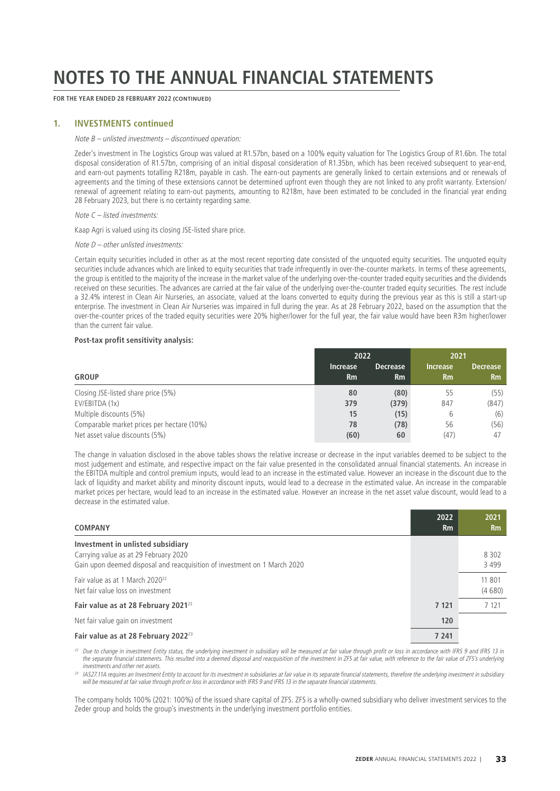**FOR THE YEAR ENDED 28 FEBRUARY 2022 (CONTINUED)**

#### **1. INVESTMENTS continued**

Note  $B$  – unlisted investments – discontinued operation:

Zeder's investment in The Logistics Group was valued at R1.57bn, based on a 100% equity valuation for The Logistics Group of R1.6bn. The total disposal consideration of R1.57bn, comprising of an initial disposal consideration of R1.35bn, which has been received subsequent to year-end, and earn-out payments totalling R218m, payable in cash. The earn-out payments are generally linked to certain extensions and or renewals of agreements and the timing of these extensions cannot be determined upfront even though they are not linked to any profit warranty. Extension/ renewal of agreement relating to earn-out payments, amounting to R218m, have been estimated to be concluded in the financial year ending 28 February 2023, but there is no certainty regarding same.

Note C – listed investments:

Kaap Agri is valued using its closing JSE-listed share price.

Note  $D$  – other unlisted investments:

Certain equity securities included in other as at the most recent reporting date consisted of the unquoted equity securities. The unquoted equity securities include advances which are linked to equity securities that trade infrequently in over-the-counter markets. In terms of these agreements, the group is entitled to the majority of the increase in the market value of the underlying over-the-counter traded equity securities and the dividends received on these securities. The advances are carried at the fair value of the underlying over-the-counter traded equity securities. The rest include a 32.4% interest in Clean Air Nurseries, an associate, valued at the loans converted to equity during the previous year as this is still a start-up enterprise. The investment in Clean Air Nurseries was impaired in full during the year. As at 28 February 2022, based on the assumption that the over-the-counter prices of the traded equity securities were 20% higher/lower for the full year, the fair value would have been R3m higher/lower than the current fair value.

#### **Post-tax profit sensitivity analysis:**

|                                            | 2022                  |                              | 2021                         |                              |
|--------------------------------------------|-----------------------|------------------------------|------------------------------|------------------------------|
| <b>GROUP</b>                               | <b>Increase</b><br>Rm | <b>Decrease</b><br><b>Rm</b> | <b>Increase</b><br><b>Rm</b> | <b>Decrease</b><br><b>Rm</b> |
|                                            |                       |                              |                              |                              |
| Closing JSE-listed share price (5%)        | 80                    | (80)                         | 55                           | (55)                         |
| EV/EBITDA (1x)                             | 379                   | (379)                        | 847                          | (847)                        |
| Multiple discounts (5%)                    | 15                    | (15)                         | b                            | (6)                          |
| Comparable market prices per hectare (10%) | 78                    | (78)                         | 56                           | (56)                         |
| Net asset value discounts (5%)             | (60)                  | 60                           | (47)                         | 47                           |

The change in valuation disclosed in the above tables shows the relative increase or decrease in the input variables deemed to be subject to the most judgement and estimate, and respective impact on the fair value presented in the consolidated annual financial statements. An increase in the EBITDA multiple and control premium inputs, would lead to an increase in the estimated value. However an increase in the discount due to the lack of liquidity and market ability and minority discount inputs, would lead to a decrease in the estimated value. An increase in the comparable market prices per hectare, would lead to an increase in the estimated value. However an increase in the net asset value discount, would lead to a decrease in the estimated value.

| <b>COMPANY</b>                                                                                                                                          | 2022<br><b>Rm</b> | 2021<br><b>Rm</b> |
|---------------------------------------------------------------------------------------------------------------------------------------------------------|-------------------|-------------------|
| Investment in unlisted subsidiary<br>Carrying value as at 29 February 2020<br>Gain upon deemed disposal and reacquisition of investment on 1 March 2020 |                   | 8 3 0 2<br>3499   |
| Fair value as at 1 March 2020 <sup>22</sup><br>Net fair value loss on investment                                                                        |                   | 11 801<br>(4680)  |
| Fair value as at 28 February 2021 <sup>23</sup>                                                                                                         | 7 1 2 1           | 7 1 2 1           |
| Net fair value gain on investment                                                                                                                       | 120               |                   |
| Fair value as at 28 February 2022 <sup>23</sup>                                                                                                         | 7 241             |                   |

<sup>22</sup> Due to change in investment Entity status, the underlying investment in subsidiary will be measured at fair value through profit or loss in accordance with IFRS 9 and IFRS 13 in the separate financial statements. This resulted into a deemed disposal and reacquisition of the investment in ZFS at fair value, with reference to the fair value of ZFS's underlying investments and other net assets.

<sup>23</sup> IAS27.11A requires an Investment Entity to account for its investment in subsidiaries at fair value in its separate financial statements, therefore the underlying investment in subsidiary will be measured at fair value through profit or loss in accordance with IFRS 9 and IFRS 13 in the separate financial statements.

The company holds 100% (2021: 100%) of the issued share capital of ZFS. ZFS is a wholly-owned subsidiary who deliver investment services to the Zeder group and holds the group's investments in the underlying investment portfolio entities.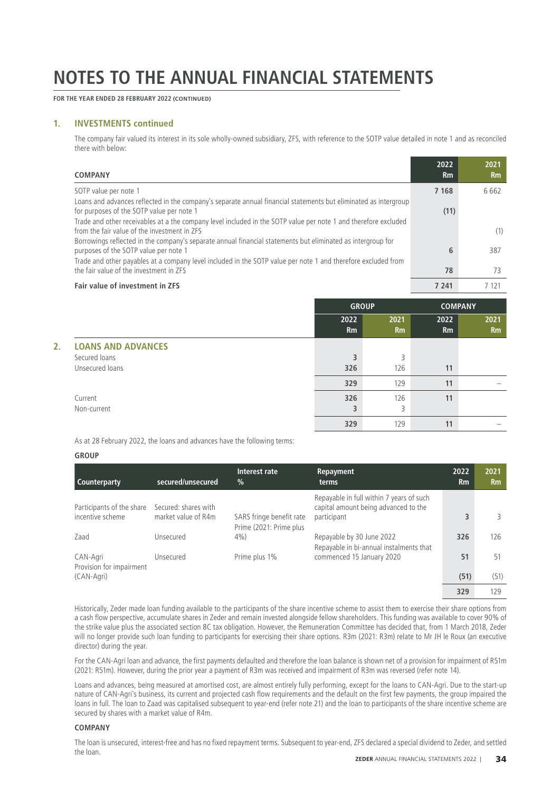**FOR THE YEAR ENDED 28 FEBRUARY 2022 (CONTINUED)**

### **1. INVESTMENTS continued**

The company fair valued its interest in its sole wholly-owned subsidiary, ZFS, with reference to the SOTP value detailed in note 1 and as reconciled there with below:

| <b>COMPANY</b>                                                                                                                                                  | 2022<br><b>Rm</b> | 2021<br><b>Rm</b> |
|-----------------------------------------------------------------------------------------------------------------------------------------------------------------|-------------------|-------------------|
| SOTP value per note 1                                                                                                                                           | 7 1 6 8           | 6662              |
| Loans and advances reflected in the company's separate annual financial statements but eliminated as intergroup<br>for purposes of the SOTP value per note 1    | (11)              |                   |
| Trade and other receivables at a the company level included in the SOTP value per note 1 and therefore excluded<br>from the fair value of the investment in ZFS |                   | (1)               |
| Borrowings reflected in the company's separate annual financial statements but eliminated as intergroup for<br>purposes of the SOTP value per note 1            | 6                 | 387               |
| Trade and other payables at a company level included in the SOTP value per note 1 and therefore excluded from<br>the fair value of the investment in ZFS        | 78                | 73                |
| <b>Fair value of investment in ZFS</b>                                                                                                                          | 7 241             | ' 121             |

|    |                           |                   | <b>GROUP</b> | <b>COMPANY</b>    |                          |
|----|---------------------------|-------------------|--------------|-------------------|--------------------------|
|    |                           | 2022<br><b>Rm</b> | 2021<br>Rm   | 2022<br><b>Rm</b> | 2021<br><b>Rm</b>        |
| 2. | <b>LOANS AND ADVANCES</b> |                   |              |                   |                          |
|    | Secured loans             |                   | ξ            |                   |                          |
|    | Unsecured loans           | 326               | 126          | 11                |                          |
|    |                           | 329               | 129          | 11                | $\overline{\phantom{0}}$ |
|    | Current                   | 326               | 126          | 11                |                          |
|    | Non-current               |                   | 3            |                   |                          |
|    |                           | 329               | 129          | 11                |                          |

As at 28 February 2022, the loans and advances have the following terms:

#### **GROUP**

| Counterparty                         | secured/unsecured    | Interest rate<br>$\%$                               | Repayment<br>terms                                                               | 2022<br><b>Rm</b> | 2021<br>Rm |
|--------------------------------------|----------------------|-----------------------------------------------------|----------------------------------------------------------------------------------|-------------------|------------|
| Participants of the share            | Secured: shares with |                                                     | Repayable in full within 7 years of such<br>capital amount being advanced to the |                   |            |
| incentive scheme                     | market value of R4m  | SARS fringe benefit rate<br>Prime (2021: Prime plus | participant                                                                      | 3                 | 3          |
| Zaad                                 | Unsecured            | $4\%$                                               | Repayable by 30 June 2022<br>Repayable in bi-annual instalments that             | 326               | 126        |
| CAN-Agri<br>Provision for impairment | Unsecured            | Prime plus 1%                                       | commenced 15 January 2020                                                        | 51                | 51         |
| (CAN-Agri)                           |                      |                                                     |                                                                                  | (51)              | (51)       |
|                                      |                      |                                                     |                                                                                  | 329               | 129        |

Historically, Zeder made loan funding available to the participants of the share incentive scheme to assist them to exercise their share options from a cash flow perspective, accumulate shares in Zeder and remain invested alongside fellow shareholders. This funding was available to cover 90% of the strike value plus the associated section 8C tax obligation. However, the Remuneration Committee has decided that, from 1 March 2018, Zeder will no longer provide such loan funding to participants for exercising their share options. R3m (2021: R3m) relate to Mr JH le Roux (an executive director) during the year.

For the CAN-Agri loan and advance, the first payments defaulted and therefore the loan balance is shown net of a provision for impairment of R51m (2021: R51m). However, during the prior year a payment of R3m was received and impairment of R3m was reversed (refer note 14).

Loans and advances, being measured at amortised cost, are almost entirely fully performing, except for the loans to CAN-Agri. Due to the start-up nature of CAN-Agri's business, its current and projected cash flow requirements and the default on the first few payments, the group impaired the loans in full. The loan to Zaad was capitalised subsequent to year-end (refer note 21) and the loan to participants of the share incentive scheme are secured by shares with a market value of R4m.

#### **COMPANY**

The loan is unsecured, interest-free and has no fixed repayment terms. Subsequent to year-end, ZFS declared a special dividend to Zeder, and settled the loan.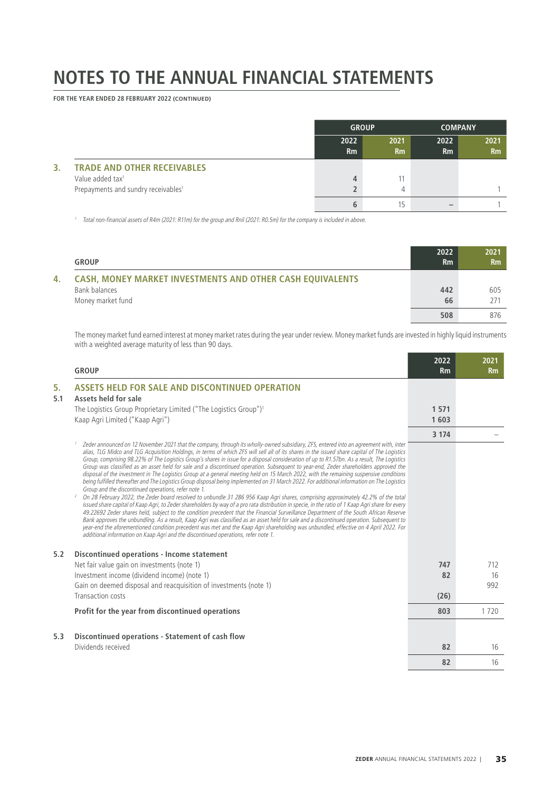**FOR THE YEAR ENDED 28 FEBRUARY 2022 (CONTINUED)**

|    |                                                 | <b>GROUP</b> |                   | <b>COMPANY</b> |            |
|----|-------------------------------------------------|--------------|-------------------|----------------|------------|
|    |                                                 | 2022<br>Rm   | 2021<br><b>Rm</b> | 2022<br>Rm     | 2021<br>Rm |
| 3. | <b>TRADE AND OTHER RECEIVABLES</b>              |              |                   |                |            |
|    | Value added tax <sup>1</sup>                    |              |                   |                |            |
|    | Prepayments and sundry receivables <sup>1</sup> |              | д                 |                |            |
|    |                                                 |              |                   |                |            |

<sup>1</sup> Total non-financial assets of R4m (2021: R11m) for the group and Rnil (2021: R0.5m) for the company is included in above.

|    | <b>GROUP</b>                                                     | 2022<br>Rm | 2021<br>Rm |
|----|------------------------------------------------------------------|------------|------------|
| 4. | <b>CASH, MONEY MARKET INVESTMENTS AND OTHER CASH EQUIVALENTS</b> |            |            |
|    | Bank balances                                                    | 442        | 605        |
|    | Money market fund                                                | 66         | 27'        |
|    |                                                                  | 508        | 876        |

The money market fund earned interest at money market rates during the year under review. Money market funds are invested in highly liquid instruments with a weighted average maturity of less than 90 days.

|     | <b>GROUP</b>                                                                                                                                                                                                                                                                                                                                                                                                                                                                                                                                                                                                                                                                                                                                                                                                                                                                                                                                                                                                                                                                                                                                                                                                                                                                                                                                                                                                                                                                                                                                                                                                                                                                                                                                        | 2022<br><b>Rm</b> | 2021<br>Rm |
|-----|-----------------------------------------------------------------------------------------------------------------------------------------------------------------------------------------------------------------------------------------------------------------------------------------------------------------------------------------------------------------------------------------------------------------------------------------------------------------------------------------------------------------------------------------------------------------------------------------------------------------------------------------------------------------------------------------------------------------------------------------------------------------------------------------------------------------------------------------------------------------------------------------------------------------------------------------------------------------------------------------------------------------------------------------------------------------------------------------------------------------------------------------------------------------------------------------------------------------------------------------------------------------------------------------------------------------------------------------------------------------------------------------------------------------------------------------------------------------------------------------------------------------------------------------------------------------------------------------------------------------------------------------------------------------------------------------------------------------------------------------------------|-------------------|------------|
| 5.  | ASSETS HELD FOR SALE AND DISCONTINUED OPERATION                                                                                                                                                                                                                                                                                                                                                                                                                                                                                                                                                                                                                                                                                                                                                                                                                                                                                                                                                                                                                                                                                                                                                                                                                                                                                                                                                                                                                                                                                                                                                                                                                                                                                                     |                   |            |
| 5.1 | Assets held for sale                                                                                                                                                                                                                                                                                                                                                                                                                                                                                                                                                                                                                                                                                                                                                                                                                                                                                                                                                                                                                                                                                                                                                                                                                                                                                                                                                                                                                                                                                                                                                                                                                                                                                                                                |                   |            |
|     | The Logistics Group Proprietary Limited ("The Logistics Group") <sup>1</sup>                                                                                                                                                                                                                                                                                                                                                                                                                                                                                                                                                                                                                                                                                                                                                                                                                                                                                                                                                                                                                                                                                                                                                                                                                                                                                                                                                                                                                                                                                                                                                                                                                                                                        | 1 5 7 1           |            |
|     | Kaap Agri Limited ("Kaap Agri")                                                                                                                                                                                                                                                                                                                                                                                                                                                                                                                                                                                                                                                                                                                                                                                                                                                                                                                                                                                                                                                                                                                                                                                                                                                                                                                                                                                                                                                                                                                                                                                                                                                                                                                     | 1603              |            |
|     |                                                                                                                                                                                                                                                                                                                                                                                                                                                                                                                                                                                                                                                                                                                                                                                                                                                                                                                                                                                                                                                                                                                                                                                                                                                                                                                                                                                                                                                                                                                                                                                                                                                                                                                                                     | 3 1 7 4           |            |
|     | Zeder announced on 12 November 2021 that the company, through its wholly-owned subsidiary, ZFS, entered into an agreement with, inter<br>alias, TLG Midco and TLG Acquisition Holdings, in terms of which ZFS will sell all of its shares in the issued share capital of The Logistics<br>Group, comprising 98.22% of The Logistics Group's shares in issue for a disposal consideration of up to R1.57bn. As a result, The Logistics<br>Group was classified as an asset held for sale and a discontinued operation. Subsequent to year-end, Zeder shareholders approved the<br>disposal of the investment in The Logistics Group at a general meeting held on 15 March 2022, with the remaining suspensive conditions<br>being fulfilled thereafter and The Logistics Group disposal being implemented on 31 March 2022. For additional information on The Logistics<br>Group and the discontinued operations, refer note 1.<br>On 28 February 2022, the Zeder board resolved to unbundle 31 286 956 Kaap Agri shares, comprising approximately 42.2% of the total<br>2<br>issued share capital of Kaap Agri, to Zeder shareholders by way of a pro rata distribution in specie, in the ratio of 1 Kaap Agri share for every<br>49.22692 Zeder shares held, subject to the condition precedent that the Financial Surveillance Department of the South African Reserve<br>Bank approves the unbundling. As a result, Kaap Agri was classified as an asset held for sale and a discontinued operation. Subsequent to<br>year-end the aforementioned condition precedent was met and the Kaap Agri shareholding was unbundled, effective on 4 April 2022. For<br>additional information on Kaap Agri and the discontinued operations, refer note 1. |                   |            |
| 5.2 | <b>Discontinued operations - Income statement</b>                                                                                                                                                                                                                                                                                                                                                                                                                                                                                                                                                                                                                                                                                                                                                                                                                                                                                                                                                                                                                                                                                                                                                                                                                                                                                                                                                                                                                                                                                                                                                                                                                                                                                                   |                   |            |
|     | Net fair value gain on investments (note 1)                                                                                                                                                                                                                                                                                                                                                                                                                                                                                                                                                                                                                                                                                                                                                                                                                                                                                                                                                                                                                                                                                                                                                                                                                                                                                                                                                                                                                                                                                                                                                                                                                                                                                                         | 747               | 712        |
|     | Investment income (dividend income) (note 1)                                                                                                                                                                                                                                                                                                                                                                                                                                                                                                                                                                                                                                                                                                                                                                                                                                                                                                                                                                                                                                                                                                                                                                                                                                                                                                                                                                                                                                                                                                                                                                                                                                                                                                        | 82                | 16         |
|     | Gain on deemed disposal and reacquisition of investments (note 1)                                                                                                                                                                                                                                                                                                                                                                                                                                                                                                                                                                                                                                                                                                                                                                                                                                                                                                                                                                                                                                                                                                                                                                                                                                                                                                                                                                                                                                                                                                                                                                                                                                                                                   |                   | 992        |
|     | Transaction costs                                                                                                                                                                                                                                                                                                                                                                                                                                                                                                                                                                                                                                                                                                                                                                                                                                                                                                                                                                                                                                                                                                                                                                                                                                                                                                                                                                                                                                                                                                                                                                                                                                                                                                                                   | (26)              |            |
|     | Profit for the year from discontinued operations                                                                                                                                                                                                                                                                                                                                                                                                                                                                                                                                                                                                                                                                                                                                                                                                                                                                                                                                                                                                                                                                                                                                                                                                                                                                                                                                                                                                                                                                                                                                                                                                                                                                                                    | 803               | 1720       |
| 5.3 | Discontinued operations - Statement of cash flow                                                                                                                                                                                                                                                                                                                                                                                                                                                                                                                                                                                                                                                                                                                                                                                                                                                                                                                                                                                                                                                                                                                                                                                                                                                                                                                                                                                                                                                                                                                                                                                                                                                                                                    |                   |            |
|     | Dividends received                                                                                                                                                                                                                                                                                                                                                                                                                                                                                                                                                                                                                                                                                                                                                                                                                                                                                                                                                                                                                                                                                                                                                                                                                                                                                                                                                                                                                                                                                                                                                                                                                                                                                                                                  | 82                | 16         |
|     |                                                                                                                                                                                                                                                                                                                                                                                                                                                                                                                                                                                                                                                                                                                                                                                                                                                                                                                                                                                                                                                                                                                                                                                                                                                                                                                                                                                                                                                                                                                                                                                                                                                                                                                                                     | 82                | 16         |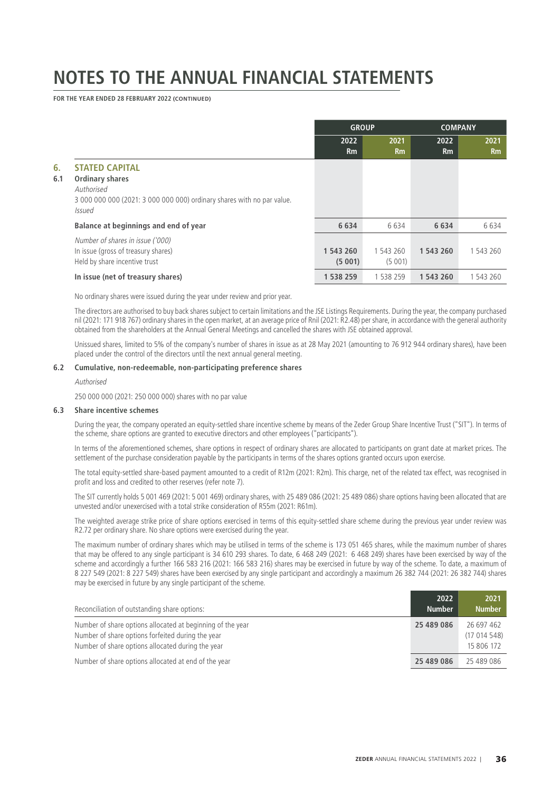**FOR THE YEAR ENDED 28 FEBRUARY 2022 (CONTINUED)**

|           |                                                                                                                                                   | <b>GROUP</b>        |                     | <b>COMPANY</b> |                |
|-----------|---------------------------------------------------------------------------------------------------------------------------------------------------|---------------------|---------------------|----------------|----------------|
|           |                                                                                                                                                   | 2022                | 2021                | 2022           | 2021           |
|           |                                                                                                                                                   | Rm                  | <b>Rm</b>           | Rm             | R <sub>m</sub> |
| 6.<br>6.1 | <b>STATED CAPITAL</b><br>Ordinary shares<br>Authorised<br>3 000 000 000 (2021: 3 000 000 000) ordinary shares with no par value.<br><i>Issued</i> |                     |                     |                |                |
|           | Balance at beginnings and end of year                                                                                                             | 6634                | 6634                | 6634           | 6634           |
|           | Number of shares in issue ('000)<br>In issue (gross of treasury shares)<br>Held by share incentive trust                                          | 1 543 260<br>(5001) | 1 543 260<br>(5001) | 1 543 260      | 1 543 260      |
|           | In issue (net of treasury shares)                                                                                                                 | 1 538 259           | 1 538 259           | 1 543 260      | 1 543 260      |

No ordinary shares were issued during the year under review and prior year.

The directors are authorised to buy back shares subject to certain limitations and the JSE Listings Requirements. During the year, the company purchased nil (2021: 171 918 767) ordinary shares in the open market, at an average price of Rnil (2021: R2.48) per share, in accordance with the general authority obtained from the shareholders at the Annual General Meetings and cancelled the shares with JSE obtained approval.

Unissued shares, limited to 5% of the company's number of shares in issue as at 28 May 2021 (amounting to 76 912 944 ordinary shares), have been placed under the control of the directors until the next annual general meeting.

# **6.2 Cumulative, non-redeemable, non-participating preference shares**

#### Authorised

250 000 000 (2021: 250 000 000) shares with no par value

#### **6.3 Share incentive schemes**

During the year, the company operated an equity-settled share incentive scheme by means of the Zeder Group Share Incentive Trust ("SIT"). In terms of the scheme, share options are granted to executive directors and other employees ("participants").

In terms of the aforementioned schemes, share options in respect of ordinary shares are allocated to participants on grant date at market prices. The settlement of the purchase consideration payable by the participants in terms of the shares options granted occurs upon exercise.

The total equity-settled share-based payment amounted to a credit of R12m (2021: R2m). This charge, net of the related tax effect, was recognised in profit and loss and credited to other reserves (refer note 7).

The SIT currently holds 5 001 469 (2021: 5 001 469) ordinary shares, with 25 489 086 (2021: 25 489 086) share options having been allocated that are unvested and/or unexercised with a total strike consideration of R55m (2021: R61m).

The weighted average strike price of share options exercised in terms of this equity-settled share scheme during the previous year under review was R2.72 per ordinary share. No share options were exercised during the year.

The maximum number of ordinary shares which may be utilised in terms of the scheme is 173 051 465 shares, while the maximum number of shares that may be offered to any single participant is 34 610 293 shares. To date, 6 468 249 (2021: 6 468 249) shares have been exercised by way of the scheme and accordingly a further 166 583 216 (2021: 166 583 216) shares may be exercised in future by way of the scheme. To date, a maximum of 8 227 549 (2021: 8 227 549) shares have been exercised by any single participant and accordingly a maximum 26 382 744 (2021: 26 382 744) shares may be exercised in future by any single participant of the scheme.

| Reconciliation of outstanding share options:                                                                                                                         | 2022<br><b>Number</b> | 2021<br><b>Number</b>                  |
|----------------------------------------------------------------------------------------------------------------------------------------------------------------------|-----------------------|----------------------------------------|
| Number of share options allocated at beginning of the year<br>Number of share options forfeited during the year<br>Number of share options allocated during the year | 25 489 086            | 26 697 462<br>(17014548)<br>15 806 172 |
| Number of share options allocated at end of the year                                                                                                                 | 25 489 086            | 25 489 086                             |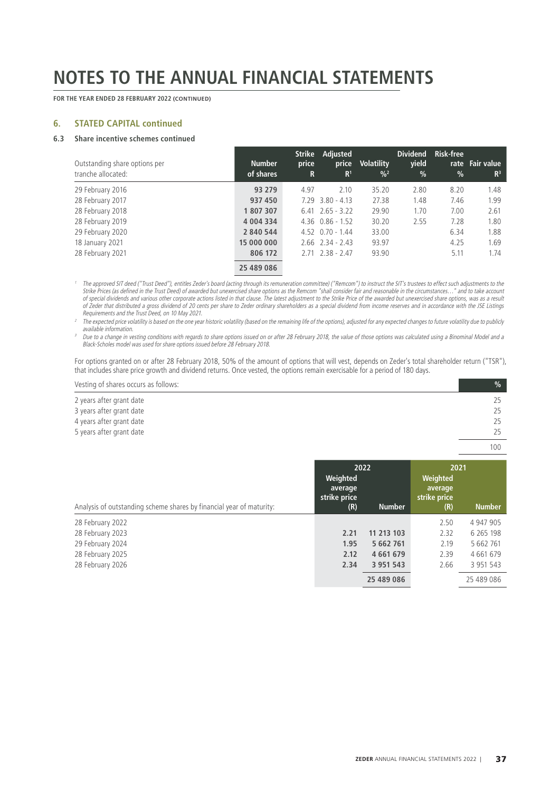**FOR THE YEAR ENDED 28 FEBRUARY 2022 (CONTINUED)**

### **6. STATED CAPITAL continued**

### **6.3 Share incentive schemes continued**

| Outstanding share options per<br>tranche allocated: | <b>Number</b><br>of shares | <b>Strike</b><br>price<br>R | Adjusted<br>price<br>R <sup>1</sup> | <b>Volatility</b><br>$^{0}/_{0}^{2}$ | <b>Dividend</b><br>yield<br>$\%$ | <b>Risk-free</b><br>$\frac{0}{0}$ | rate Fair value<br>R <sup>3</sup> |
|-----------------------------------------------------|----------------------------|-----------------------------|-------------------------------------|--------------------------------------|----------------------------------|-----------------------------------|-----------------------------------|
| 29 February 2016                                    | 93 279                     | 4.97                        | 2.10                                | 35.20                                | 2.80                             | 8.20                              | 1.48                              |
| 28 February 2017                                    | 937 450                    | 7.29                        | $3.80 - 4.13$                       | 27.38                                | 1.48                             | 7.46                              | 1.99                              |
| 28 February 2018                                    | 1807307                    | 6.41                        | $2.65 - 3.22$                       | 29.90                                | 1.70                             | 7.00                              | 2.61                              |
| 28 February 2019                                    | 4 0 0 4 3 3 4              |                             | $4.36$ $0.86 - 1.52$                | 30.20                                | 2.55                             | 7.28                              | 1.80                              |
| 29 February 2020                                    | 2 840 544                  |                             | $4.52$ $0.70 - 1.44$                | 33.00                                |                                  | 6.34                              | 1.88                              |
| 18 January 2021                                     | 15 000 000                 |                             | $2.66$ $2.34 - 2.43$                | 93.97                                |                                  | 4.25                              | 1.69                              |
| 28 February 2021                                    | 806 172                    |                             | $2.71$ $2.38 - 2.47$                | 93.90                                |                                  | 5.11                              | 1.74                              |
|                                                     | 25 489 086                 |                             |                                     |                                      |                                  |                                   |                                   |

<sup>1</sup> The approved SIT deed ("Trust Deed"), entitles Zeder's board (acting through its remuneration committee) ("Remcom") to instruct the SIT's trustees to effect such adjustments to the Strike Prices (as defined in the Trust Deed) of awarded but unexercised share options as the Remcom "shall consider fair and reasonable in the circumstances..." and to take account<br>of special dividends and various other co of Zeder that distributed a gross dividend of 20 cents per share to Zeder ordinary shareholders as a special dividend from income reserves and in accordance with the JSE Listings Requirements and the Trust Deed, on 10 May 2021.

<sup>2</sup> The expected price volatility is based on the one year historic volatility (based on the remaining life of the options), adjusted for any expected changes to future volatility due to publicly available information.

<sup>3</sup> Due to a change in vesting conditions with regards to share options issued on or after 28 February 2018, the value of those options was calculated using a Binominal Model and a<br>Black-Scholes model was used for share op

For options granted on or after 28 February 2018, 50% of the amount of options that will vest, depends on Zeder's total shareholder return ("TSR"), that includes share price growth and dividend returns. Once vested, the options remain exercisable for a period of 180 days.

| Vesting of shares occurs as follows: | %   |
|--------------------------------------|-----|
| 2 years after grant date             | 25  |
| 3 years after grant date             | 25  |
| 4 years after grant date             | 25  |
| 5 years after grant date             | 25  |
|                                      | 100 |

| Analysis of outstanding scheme shares by financial year of maturity: | Weighted<br>average<br>strike price<br>(R) | 2022<br><b>Number</b> | 2021<br>Weighted<br>average<br>strike price<br>(R) | <b>Number</b> |
|----------------------------------------------------------------------|--------------------------------------------|-----------------------|----------------------------------------------------|---------------|
| 28 February 2022                                                     |                                            |                       | 2.50                                               | 4 947 905     |
| 28 February 2023                                                     | 2.21                                       | 11 213 103            | 2.32                                               | 6 2 6 5 1 9 8 |
| 29 February 2024                                                     | 1.95                                       | 5 662 761             | 2.19                                               | 5 662 761     |
| 28 February 2025                                                     | 2.12                                       | 4 661 679             | 2.39                                               | 4661679       |
| 28 February 2026                                                     | 2.34                                       | 3 9 5 1 5 4 3         | 2.66                                               | 3 9 5 1 5 4 3 |
|                                                                      |                                            | 25 489 086            |                                                    | 25 489 086    |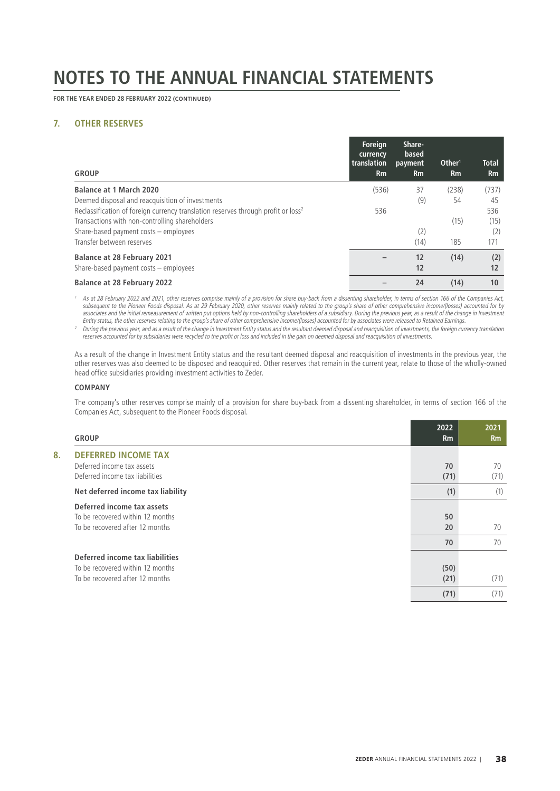**FOR THE YEAR ENDED 28 FEBRUARY 2022 (CONTINUED)**

## **7. OTHER RESERVES**

| <b>GROUP</b>                                                                                  | <b>Foreign</b><br>currency<br>translation<br><b>Rm</b> | Share-<br>based<br>payment<br><b>Rm</b> | Other <sup>1</sup><br>Rm | <b>Total</b><br><b>Rm</b> |
|-----------------------------------------------------------------------------------------------|--------------------------------------------------------|-----------------------------------------|--------------------------|---------------------------|
| <b>Balance at 1 March 2020</b>                                                                | (536)                                                  | 37                                      | (238)                    | (737)                     |
| Deemed disposal and reacquisition of investments                                              |                                                        | (9)                                     | 54                       | 45                        |
| Reclassification of foreign currency translation reserves through profit or loss <sup>2</sup> | 536                                                    |                                         |                          | 536                       |
| Transactions with non-controlling shareholders                                                |                                                        |                                         | (15)                     | (15)                      |
| Share-based payment costs - employees                                                         |                                                        | (2)                                     |                          | (2)                       |
| Transfer between reserves                                                                     |                                                        | (14)                                    | 185                      | 171                       |
| <b>Balance at 28 February 2021</b>                                                            |                                                        | 12                                      | (14)                     | (2)                       |
| Share-based payment costs - employees                                                         |                                                        | 12                                      |                          | 12                        |
| <b>Balance at 28 February 2022</b>                                                            |                                                        | 24                                      | (14)                     | 10                        |

<sup>1</sup> As at 28 February 2022 and 2021, other reserves comprise mainly of a provision for share buy-back from a dissenting shareholder, in terms of section 166 of the Companies Act, subsequent to the Pioneer Foods disposal. As at 29 February 2020, other reserves mainly related to the group's share of other comprehensive income/(losses) accounted for by<br>associates and the initial remeasurement of writt Entity status, the other reserves relating to the group's share of other comprehensive income/(losses) accounted for by associates were released to Retained Earnings.

<sup>2</sup> During the previous year, and as a result of the change in Investment Entity status and the resultant deemed disposal and reacquisition of investments, the foreign currency translation reserves accounted for by subsidiaries were recycled to the profit or loss and included in the gain on deemed disposal and reacquisition of investments.

As a result of the change in Investment Entity status and the resultant deemed disposal and reacquisition of investments in the previous year, the other reserves was also deemed to be disposed and reacquired. Other reserves that remain in the current year, relate to those of the wholly-owned head office subsidiaries providing investment activities to Zeder.

### **COMPANY**

The company's other reserves comprise mainly of a provision for share buy-back from a dissenting shareholder, in terms of section 166 of the Companies Act, subsequent to the Pioneer Foods disposal.

| <b>GROUP</b>                      | 2022<br>Rm | 2021<br>Rm |
|-----------------------------------|------------|------------|
| 8.<br><b>DEFERRED INCOME TAX</b>  |            |            |
| Deferred income tax assets        | 70         | 70         |
| Deferred income tax liabilities   | (71)       | (71)       |
| Net deferred income tax liability | (1)        | (1)        |
| Deferred income tax assets        |            |            |
| To be recovered within 12 months  | 50         |            |
| To be recovered after 12 months   | 20         | 70         |
|                                   | 70         | 70         |
| Deferred income tax liabilities   |            |            |
| To be recovered within 12 months  | (50)       |            |
| To be recovered after 12 months   | (21)       | (71)       |
|                                   | (71)       | (71)       |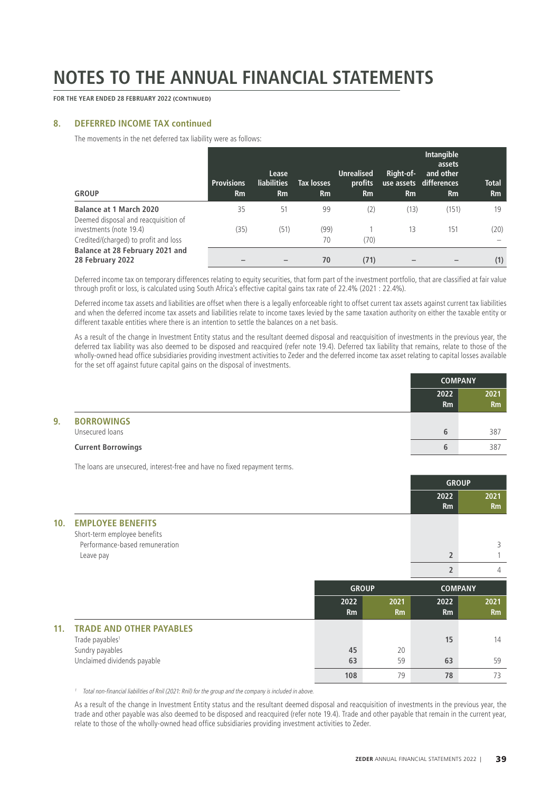**FOR THE YEAR ENDED 28 FEBRUARY 2022 (CONTINUED)**

#### **8. DEFERRED INCOME TAX continued**

The movements in the net deferred tax liability were as follows:

| <b>GROUP</b>                                                                                             | <b>Provisions</b><br>Rm | Lease<br><b>liabilities</b><br>Rm | <b>Tax losses</b><br>Rm | <b>Unrealised</b><br>profits<br>Rm | Right-of-<br>Rm | <b>Intangible</b><br>assets<br>and other<br>use assets differences<br>Rm | <b>Total</b><br>Rm |
|----------------------------------------------------------------------------------------------------------|-------------------------|-----------------------------------|-------------------------|------------------------------------|-----------------|--------------------------------------------------------------------------|--------------------|
| <b>Balance at 1 March 2020</b>                                                                           | 35                      | 51                                | 99                      | (2)                                | (13)            | (151)                                                                    | 19                 |
| Deemed disposal and reacquisition of<br>investments (note 19.4)<br>Credited/(charged) to profit and loss | (35)                    | (51)                              | (99)<br>70              | (70)                               | 13              | 151                                                                      | (20)               |
| Balance at 28 February 2021 and<br>28 February 2022                                                      |                         |                                   | 70                      | (71)                               |                 |                                                                          | (1)                |

Deferred income tax on temporary differences relating to equity securities, that form part of the investment portfolio, that are classified at fair value through profit or loss, is calculated using South Africa's effective capital gains tax rate of 22.4% (2021 : 22.4%).

Deferred income tax assets and liabilities are offset when there is a legally enforceable right to offset current tax assets against current tax liabilities and when the deferred income tax assets and liabilities relate to income taxes levied by the same taxation authority on either the taxable entity or different taxable entities where there is an intention to settle the balances on a net basis.

As a result of the change in Investment Entity status and the resultant deemed disposal and reacquisition of investments in the previous year, the deferred tax liability was also deemed to be disposed and reacquired (refer note 19.4). Deferred tax liability that remains, relate to those of the wholly-owned head office subsidiaries providing investment activities to Zeder and the deferred income tax asset relating to capital losses available for the set off against future capital gains on the disposal of investments.

|    |                           | <b>COMPANY</b>    |                   |
|----|---------------------------|-------------------|-------------------|
|    |                           | 2022<br><b>Rm</b> | 2021<br><b>Rm</b> |
| 9. | <b>BORROWINGS</b>         |                   |                   |
|    | Unsecured loans           | b                 | 387               |
|    | <b>Current Borrowings</b> | b                 | 387               |

The loans are unsecured, interest-free and have no fixed repayment terms.

|                 |                                                                |      |              | <b>GROUP</b>      |                        |
|-----------------|----------------------------------------------------------------|------|--------------|-------------------|------------------------|
|                 |                                                                |      |              | 2022<br><b>Rm</b> | 2021<br>R <sub>m</sub> |
| 10 <sub>1</sub> | <b>EMPLOYEE BENEFITS</b>                                       |      |              |                   |                        |
|                 | Short-term employee benefits<br>Performance-based remuneration |      |              |                   | 3                      |
|                 | Leave pay                                                      |      |              |                   |                        |
|                 |                                                                |      |              | n                 | 4                      |
|                 |                                                                |      | <b>GROUP</b> |                   | <b>COMPANY</b>         |
|                 |                                                                | 2022 | 2021         | 2022              | 2021                   |

|     |                                 | <b>Rm</b> | <b>Rm</b> | Rm | <b>Rm</b> |
|-----|---------------------------------|-----------|-----------|----|-----------|
| 11. | <b>TRADE AND OTHER PAYABLES</b> |           |           |    |           |
|     | Trade payables <sup>1</sup>     |           |           | 15 | 14        |
|     | Sundry payables                 | 45        | 20        |    |           |
|     | Unclaimed dividends payable     | 63        | 59        | 63 | 59        |
|     |                                 | 108       | 79        | 78 | 73        |

<sup>1</sup> Total non-financial liabilities of Rnil (2021: Rnil) for the group and the company is included in above.

As a result of the change in Investment Entity status and the resultant deemed disposal and reacquisition of investments in the previous year, the trade and other payable was also deemed to be disposed and reacquired (refer note 19.4). Trade and other payable that remain in the current year, relate to those of the wholly-owned head office subsidiaries providing investment activities to Zeder.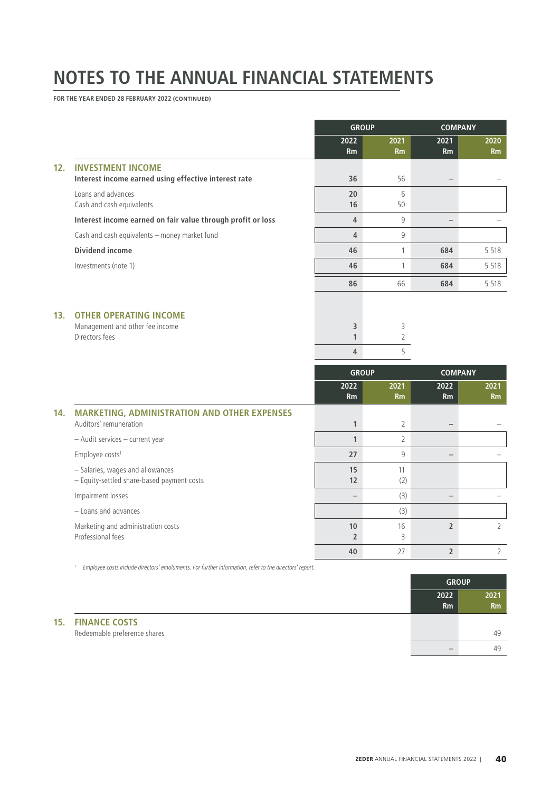**FOR THE YEAR ENDED 28 FEBRUARY 2022 (CONTINUED)**

|     |                                                                                    |                                     | <b>GROUP</b>             | <b>COMPANY</b>           |                   |
|-----|------------------------------------------------------------------------------------|-------------------------------------|--------------------------|--------------------------|-------------------|
|     |                                                                                    | 2022<br>Rm                          | 2021<br><b>Rm</b>        | 2021<br><b>Rm</b>        | 2020<br><b>Rm</b> |
| 12. | <b>INVESTMENT INCOME</b><br>Interest income earned using effective interest rate   | 36                                  | 56                       |                          |                   |
|     | Loans and advances<br>Cash and cash equivalents                                    | 20<br>16                            | 6<br>50                  |                          |                   |
|     | Interest income earned on fair value through profit or loss                        | $\overline{4}$                      | 9                        | $\overline{\phantom{0}}$ |                   |
|     | Cash and cash equivalents - money market fund                                      | $\overline{4}$                      | 9                        |                          |                   |
|     | <b>Dividend income</b>                                                             | 46                                  | $\mathbf{1}$             | 684                      | 5 5 1 8           |
|     | Investments (note 1)                                                               | 46                                  | $\mathbf{1}$             | 684                      | 5 5 1 8           |
|     |                                                                                    | 86                                  | 66                       | 684                      | 5 5 1 8           |
| 13. | <b>OTHER OPERATING INCOME</b><br>Management and other fee income<br>Directors fees | 3<br>$\mathbf{1}$<br>$\overline{4}$ | 3<br>$\overline{2}$<br>5 |                          |                   |
|     |                                                                                    |                                     | <b>GROUP</b>             |                          | <b>COMPANY</b>    |
|     |                                                                                    | 2022<br><b>Rm</b>                   | 2021<br><b>Rm</b>        | 2022<br><b>Rm</b>        | 2021<br>Rm        |
| 14. | <b>MARKETING, ADMINISTRATION AND OTHER EXPENSES</b><br>Auditors' remuneration      | 1                                   | 2                        |                          |                   |
|     | - Audit services - current year                                                    | $\mathbf{1}$                        | $\overline{2}$           |                          |                   |
|     | Employee costs <sup>1</sup>                                                        | 27                                  | 9                        |                          |                   |
|     | - Salaries, wages and allowances<br>- Equity-settled share-based payment costs     | 15<br>12                            | 11<br>(2)                |                          |                   |
|     | Impairment losses                                                                  | $\overline{\phantom{0}}$            | (3)                      | -                        |                   |
|     | - Loans and advances                                                               |                                     | (3)                      |                          |                   |
|     | Marketing and administration costs<br>Professional fees                            | 10<br>$\overline{2}$                | 16<br>3                  | $\overline{2}$           | $\overline{2}$    |
|     |                                                                                    | 40                                  | 27                       | $\overline{2}$           | $\overline{2}$    |

<sup>1</sup> Employee costs include directors' emoluments. For further information, refer to the directors' report.

|                              | <b>GROUP</b> |      |
|------------------------------|--------------|------|
|                              | 2022         | 2021 |
|                              | Rm           | Rm   |
| <b>15. FINANCE COSTS</b>     |              |      |
| Redeemable preference shares |              | 49   |
|                              |              | 49   |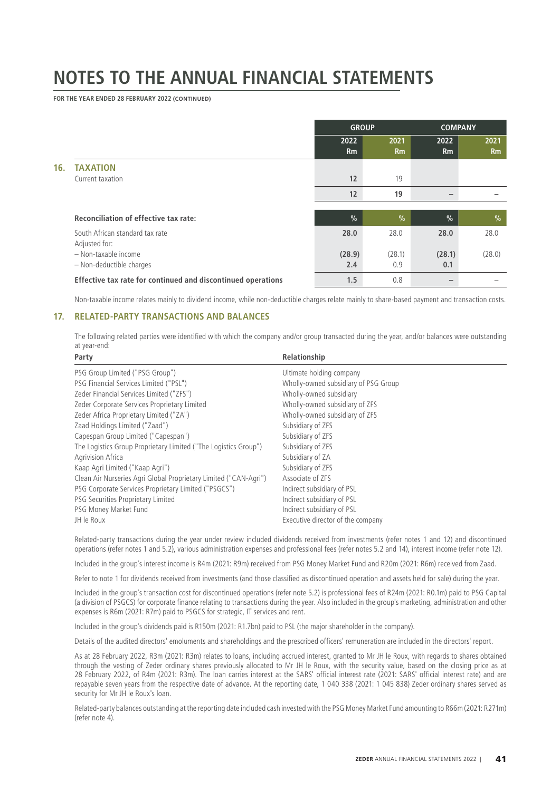**FOR THE YEAR ENDED 28 FEBRUARY 2022 (CONTINUED)**

|     |                                                                   | <b>GROUP</b>  |               | <b>COMPANY</b> |               |
|-----|-------------------------------------------------------------------|---------------|---------------|----------------|---------------|
|     |                                                                   | 2022          | 2021          | 2022           | 2021          |
|     |                                                                   | Rm            | Rm            | <b>Rm</b>      | <b>Rm</b>     |
| 16. | <b>TAXATION</b>                                                   |               |               |                |               |
|     | Current taxation                                                  | 12            | 19            |                |               |
|     |                                                                   | 12            | 19            |                |               |
|     | <b>Reconciliation of effective tax rate:</b>                      | $\frac{0}{0}$ | $\frac{9}{6}$ | $\frac{0}{0}$  | $\frac{9}{6}$ |
|     | South African standard tax rate                                   | 28.0          | 28.0          | 28.0           | 28.0          |
|     | Adjusted for:<br>- Non-taxable income<br>- Non-deductible charges | (28.9)<br>2.4 | (28.1)<br>0.9 | (28.1)<br>0.1  | (28.0)        |
|     | Effective tax rate for continued and discontinued operations      | 1.5           | 0.8           | -              |               |

Non-taxable income relates mainly to dividend income, while non-deductible charges relate mainly to share-based payment and transaction costs.

### **17. RELATED-PARTY TRANSACTIONS AND BALANCES**

The following related parties were identified with which the company and/or group transacted during the year, and/or balances were outstanding at year-end:

| Party                                                            | Relationship                         |
|------------------------------------------------------------------|--------------------------------------|
| PSG Group Limited ("PSG Group")                                  | Ultimate holding company             |
| PSG Financial Services Limited ("PSL")                           | Wholly-owned subsidiary of PSG Group |
| Zeder Financial Services Limited ("ZFS")                         | Wholly-owned subsidiary              |
| Zeder Corporate Services Proprietary Limited                     | Wholly-owned subsidiary of ZFS       |
| Zeder Africa Proprietary Limited ("ZA")                          | Wholly-owned subsidiary of ZFS       |
| Zaad Holdings Limited ("Zaad")                                   | Subsidiary of ZFS                    |
| Capespan Group Limited ("Capespan")                              | Subsidiary of ZFS                    |
| The Logistics Group Proprietary Limited ("The Logistics Group")  | Subsidiary of ZFS                    |
| Agrivision Africa                                                | Subsidiary of ZA                     |
| Kaap Agri Limited ("Kaap Agri")                                  | Subsidiary of ZFS                    |
| Clean Air Nurseries Agri Global Proprietary Limited ("CAN-Agri") | Associate of ZFS                     |
| PSG Corporate Services Proprietary Limited ("PSGCS")             | Indirect subsidiary of PSL           |
| PSG Securities Proprietary Limited                               | Indirect subsidiary of PSL           |
| PSG Money Market Fund                                            | Indirect subsidiary of PSL           |
| JH le Roux                                                       | Executive director of the company    |

Related-party transactions during the year under review included dividends received from investments (refer notes 1 and 12) and discontinued operations (refer notes 1 and 5.2), various administration expenses and professional fees (refer notes 5.2 and 14), interest income (refer note 12).

Included in the group's interest income is R4m (2021: R9m) received from PSG Money Market Fund and R20m (2021: R6m) received from Zaad.

Refer to note 1 for dividends received from investments (and those classified as discontinued operation and assets held for sale) during the year.

Included in the group's transaction cost for discontinued operations (refer note 5.2) is professional fees of R24m (2021: R0.1m) paid to PSG Capital (a division of PSGCS) for corporate finance relating to transactions during the year. Also included in the group's marketing, administration and other expenses is R6m (2021: R7m) paid to PSGCS for strategic, IT services and rent.

Included in the group's dividends paid is R150m (2021: R1.7bn) paid to PSL (the major shareholder in the company).

Details of the audited directors' emoluments and shareholdings and the prescribed officers' remuneration are included in the directors' report.

As at 28 February 2022, R3m (2021: R3m) relates to loans, including accrued interest, granted to Mr JH le Roux, with regards to shares obtained through the vesting of Zeder ordinary shares previously allocated to Mr JH le Roux, with the security value, based on the closing price as at 28 February 2022, of R4m (2021: R3m). The loan carries interest at the SARS' official interest rate (2021: SARS' official interest rate) and are repayable seven years from the respective date of advance. At the reporting date, 1 040 338 (2021: 1 045 838) Zeder ordinary shares served as security for Mr JH le Roux's loan.

Related-party balances outstanding at the reporting date included cash invested with the PSG Money Market Fund amounting to R66m (2021: R271m) (refer note 4).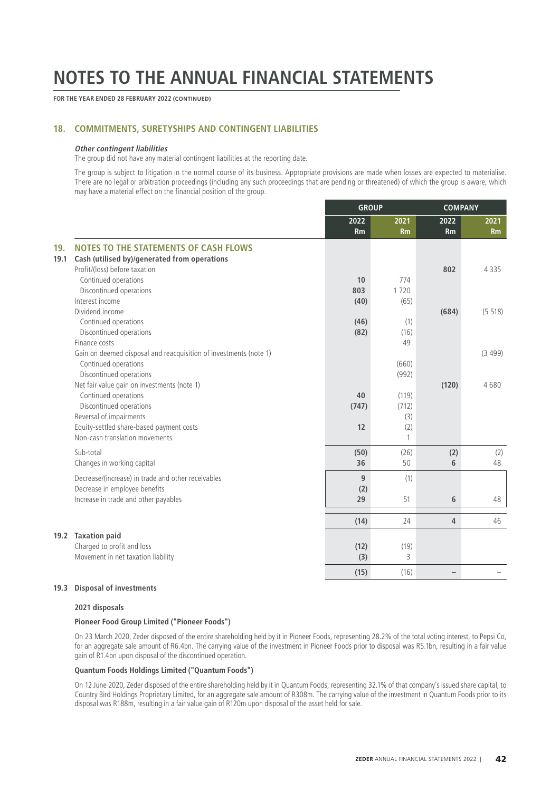**FOR THE YEAR ENDED 28 FEBRUARY 2022 (CONTINUED)**

### **18. COMMITMENTS, SURETYSHIPS AND CONTINGENT LIABILITIES**

#### **Other contingent liabilities**

The group did not have any material contingent liabilities at the reporting date.

The group is subject to litigation in the normal course of its business. Appropriate provisions are made when losses are expected to materialise. There are no legal or arbitration proceedings (including any such proceedings that are pending or threatened) of which the group is aware, which may have a material effect on the financial position of the group.

|             |                                                                                                                                                                                                         |                   | <b>GROUP</b>                      |                | <b>COMPANY</b>         |  |
|-------------|---------------------------------------------------------------------------------------------------------------------------------------------------------------------------------------------------------|-------------------|-----------------------------------|----------------|------------------------|--|
|             |                                                                                                                                                                                                         | 2022<br>Rm        | 2021<br><b>Rm</b>                 | 2022<br>Rm     | 2021<br>R <sub>m</sub> |  |
| 19.<br>19.1 | <b>NOTES TO THE STATEMENTS OF CASH FLOWS</b><br>Cash (utilised by)/generated from operations                                                                                                            |                   |                                   |                |                        |  |
|             | Profit/(loss) before taxation<br>Continued operations<br>Discontinued operations<br>Interest income                                                                                                     | 10<br>803<br>(40) | 774<br>1720<br>(65)               | 802            | 4 3 3 5                |  |
|             | Dividend income<br>Continued operations<br>Discontinued operations<br>Finance costs                                                                                                                     | (46)<br>(82)      | (1)<br>(16)<br>49                 | (684)          | (5518)                 |  |
|             | Gain on deemed disposal and reacquisition of investments (note 1)<br>Continued operations<br>Discontinued operations                                                                                    |                   | (660)<br>(992)                    |                | (3499)                 |  |
|             | Net fair value gain on investments (note 1)<br>Continued operations<br>Discontinued operations<br>Reversal of impairments<br>Equity-settled share-based payment costs<br>Non-cash translation movements | 40<br>(747)<br>12 | (119)<br>(712)<br>(3)<br>(2)<br>1 | (120)          | 4680                   |  |
|             | Sub-total<br>Changes in working capital                                                                                                                                                                 | (50)<br>36        | (26)<br>50                        | (2)<br>6       | (2)<br>48              |  |
|             | Decrease/(increase) in trade and other receivables<br>Decrease in employee benefits<br>Increase in trade and other payables                                                                             | 9<br>(2)<br>29    | (1)<br>51                         | 6              | 48                     |  |
|             |                                                                                                                                                                                                         | (14)              | 24                                | $\overline{4}$ | 46                     |  |
| 19.2        | <b>Taxation paid</b><br>Charged to profit and loss<br>Movement in net taxation liability                                                                                                                | (12)<br>(3)       | (19)<br>$\overline{3}$            |                |                        |  |
|             |                                                                                                                                                                                                         | (15)              | (16)                              |                |                        |  |

### **19.3 Disposal of investments**

#### **2021 disposals**

#### **Pioneer Food Group Limited ("Pioneer Foods")**

On 23 March 2020, Zeder disposed of the entire shareholding held by it in Pioneer Foods, representing 28.2% of the total voting interest, to Pepsi Co, for an aggregate sale amount of R6.4bn. The carrying value of the investment in Pioneer Foods prior to disposal was R5.1bn, resulting in a fair value gain of R1.4bn upon disposal of the discontinued operation.

#### **Quantum Foods Holdings Limited ("Quantum Foods")**

On 12 June 2020, Zeder disposed of the entire shareholding held by it in Quantum Foods, representing 32.1% of that company's issued share capital, to Country Bird Holdings Proprietary Limited, for an aggregate sale amount of R308m. The carrying value of the investment in Quantum Foods prior to its disposal was R188m, resulting in a fair value gain of R120m upon disposal of the asset held for sale.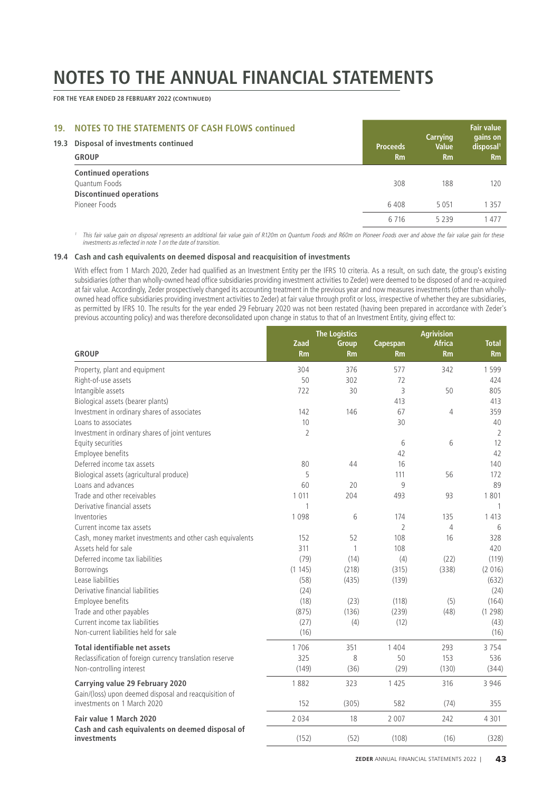**FOR THE YEAR ENDED 28 FEBRUARY 2022 (CONTINUED)**

| 19. NOTES TO THE STATEMENTS OF CASH FLOWS continued<br>19.3 Disposal of investments continued<br><b>GROUP</b> | <b>Proceeds</b><br>Rm | <b>Carrying</b><br>Value<br><b>Rm</b> | <b>Fair value</b><br>gains on<br>disposal <sup>1</sup><br><b>Rm</b> |
|---------------------------------------------------------------------------------------------------------------|-----------------------|---------------------------------------|---------------------------------------------------------------------|
| <b>Continued operations</b><br>Quantum Foods<br><b>Discontinued operations</b>                                | 308                   | 188                                   | 120                                                                 |
| Pioneer Foods                                                                                                 | 6408                  | 5 0 5 1                               | 1 357                                                               |
|                                                                                                               | 6 7 1 6               | 5239                                  | 477                                                                 |

<sup>1</sup> This fair value gain on disposal represents an additional fair value gain of R120m on Quantum Foods and R60m on Pioneer Foods over and above the fair value gain for these investments as reflected in note 1 on the date of transition.

#### **19.4 Cash and cash equivalents on deemed disposal and reacquisition of investments**

With effect from 1 March 2020, Zeder had qualified as an Investment Entity per the IFRS 10 criteria. As a result, on such date, the group's existing subsidiaries (other than wholly-owned head office subsidiaries providing investment activities to Zeder) were deemed to be disposed of and re-acquired at fair value. Accordingly, Zeder prospectively changed its accounting treatment in the previous year and now measures investments (other than whollyowned head office subsidiaries providing investment activities to Zeder) at fair value through profit or loss, irrespective of whether they are subsidiaries, as permitted by IFRS 10. The results for the year ended 29 February 2020 was not been restated (having been prepared in accordance with Zeder's previous accounting policy) and was therefore deconsolidated upon change in status to that of an Investment Entity, giving effect to:

| <b>GROUP</b>                                                   | <b>Zaad</b><br>Rm | <b>The Logistics</b><br><b>Group</b><br>Rm | Capespan<br><b>Rm</b> | <b>Agrivision</b><br><b>Africa</b><br><b>Rm</b> | <b>Total</b><br>Rm |
|----------------------------------------------------------------|-------------------|--------------------------------------------|-----------------------|-------------------------------------------------|--------------------|
| Property, plant and equipment                                  | 304               | 376                                        | 577                   | 342                                             | 1599               |
| Right-of-use assets                                            | 50                | 302                                        | 72                    |                                                 | 424                |
| Intangible assets                                              | 722               | 30                                         | 3                     | 50                                              | 805                |
| Biological assets (bearer plants)                              |                   |                                            | 413                   |                                                 | 413                |
| Investment in ordinary shares of associates                    | 142               | 146                                        | 67                    | $\overline{4}$                                  | 359                |
| Loans to associates                                            | 10                |                                            | 30                    |                                                 | 40                 |
| Investment in ordinary shares of joint ventures                | $\overline{2}$    |                                            |                       |                                                 | $\overline{2}$     |
| Equity securities                                              |                   |                                            | 6                     | 6                                               | 12                 |
| Employee benefits                                              |                   |                                            | 42                    |                                                 | 42                 |
| Deferred income tax assets                                     | 80                | 44                                         | 16                    |                                                 | 140                |
| Biological assets (agricultural produce)                       | 5                 |                                            | 111                   | 56                                              | 172                |
| Loans and advances                                             | 60                | 20                                         | 9                     |                                                 | 89                 |
| Trade and other receivables                                    | 1 0 1 1           | 204                                        | 493                   | 93                                              | 1801               |
| Derivative financial assets                                    | 1                 |                                            |                       |                                                 | 1                  |
| Inventories                                                    | 1098              | 6                                          | 174                   | 135                                             | 1 4 1 3            |
| Current income tax assets                                      |                   |                                            | $\overline{2}$        | 4                                               | 6                  |
| Cash, money market investments and other cash equivalents      | 152               | 52                                         | 108                   | 16                                              | 328                |
| Assets held for sale                                           | 311               | $\mathbf{1}$                               | 108                   |                                                 | 420                |
| Deferred income tax liabilities                                | (79)              | (14)                                       | (4)                   | (22)                                            | (119)              |
| Borrowings                                                     | (1145)            | (218)                                      | (315)                 | (338)                                           | (2016)             |
| Lease liabilities                                              | (58)              | (435)                                      | (139)                 |                                                 | (632)              |
| Derivative financial liabilities                               | (24)              |                                            |                       |                                                 | (24)               |
| Employee benefits                                              | (18)              | (23)                                       | (118)                 | (5)                                             | (164)              |
| Trade and other payables                                       | (875)             | (136)                                      | (239)                 | (48)                                            | (1298)             |
| Current income tax liabilities                                 | (27)              | (4)                                        | (12)                  |                                                 | (43)               |
| Non-current liabilities held for sale                          | (16)              |                                            |                       |                                                 | (16)               |
| <b>Total identifiable net assets</b>                           | 1706              | 351                                        | 1 4 0 4               | 293                                             | 3754               |
| Reclassification of foreign currency translation reserve       | 325               | 8                                          | 50                    | 153                                             | 536                |
| Non-controlling interest                                       | (149)             | (36)                                       | (29)                  | (130)                                           | (344)              |
| Carrying value 29 February 2020                                | 1882              | 323                                        | 1 4 2 5               | 316                                             | 3946               |
| Gain/(loss) upon deemed disposal and reacquisition of          |                   |                                            |                       |                                                 |                    |
| investments on 1 March 2020                                    | 152               | (305)                                      | 582                   | (74)                                            | 355                |
| Fair value 1 March 2020                                        | 2034              | 18                                         | 2 0 0 7               | 242                                             | 4 3 0 1            |
| Cash and cash equivalents on deemed disposal of<br>investments | (152)             | (52)                                       | (108)                 | (16)                                            | (328)              |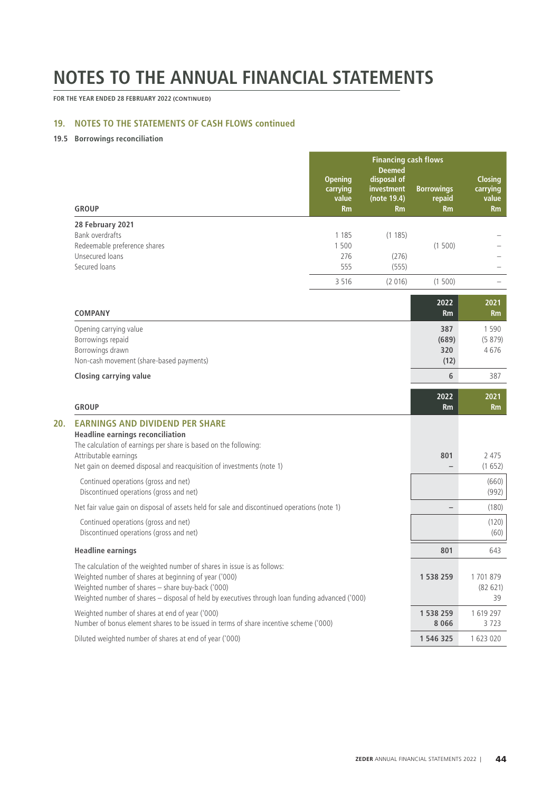**FOR THE YEAR ENDED 28 FEBRUARY 2022 (CONTINUED)**

# **19. NOTES TO THE STATEMENTS OF CASH FLOWS continued**

# **19.5 Borrowings reconciliation**

| <b>Financing cash flows</b><br><b>Deemed</b>                                                                                                                                                                                                                                              |                                           |                                                |                                          |                                           |
|-------------------------------------------------------------------------------------------------------------------------------------------------------------------------------------------------------------------------------------------------------------------------------------------|-------------------------------------------|------------------------------------------------|------------------------------------------|-------------------------------------------|
| <b>GROUP</b>                                                                                                                                                                                                                                                                              | <b>Opening</b><br>carrying<br>value<br>Rm | disposal of<br>investment<br>(note 19.4)<br>Rm | <b>Borrowings</b><br>repaid<br><b>Rm</b> | <b>Closing</b><br>carrying<br>value<br>Rm |
| 28 February 2021                                                                                                                                                                                                                                                                          |                                           |                                                |                                          |                                           |
| <b>Bank overdrafts</b>                                                                                                                                                                                                                                                                    | 1 1 8 5                                   | (1185)                                         |                                          |                                           |
| Redeemable preference shares<br>Unsecured loans                                                                                                                                                                                                                                           | 1500<br>276                               | (276)                                          | (1500)                                   |                                           |
| Secured loans                                                                                                                                                                                                                                                                             | 555                                       | (555)                                          |                                          |                                           |
|                                                                                                                                                                                                                                                                                           | 3 5 1 6                                   | (2 016)                                        | (1500)                                   |                                           |
| <b>COMPANY</b>                                                                                                                                                                                                                                                                            |                                           |                                                | 2022<br>Rm                               | 2021<br><b>Rm</b>                         |
| Opening carrying value                                                                                                                                                                                                                                                                    |                                           |                                                | 387                                      | 1 5 9 0                                   |
| Borrowings repaid                                                                                                                                                                                                                                                                         |                                           |                                                | (689)                                    | (5879)                                    |
| Borrowings drawn                                                                                                                                                                                                                                                                          |                                           |                                                | 320                                      | 4676                                      |
| Non-cash movement (share-based payments)                                                                                                                                                                                                                                                  |                                           |                                                | (12)                                     |                                           |
| <b>Closing carrying value</b>                                                                                                                                                                                                                                                             |                                           |                                                | 6                                        | 387                                       |
| <b>GROUP</b>                                                                                                                                                                                                                                                                              |                                           |                                                | 2022<br><b>Rm</b>                        | 2021<br><b>Rm</b>                         |
| <b>EARNINGS AND DIVIDEND PER SHARE</b><br><b>Headline earnings reconciliation</b>                                                                                                                                                                                                         |                                           |                                                |                                          |                                           |
| The calculation of earnings per share is based on the following:<br>Attributable earnings                                                                                                                                                                                                 |                                           |                                                | 801                                      | 2 4 7 5                                   |
| Net gain on deemed disposal and reacquisition of investments (note 1)                                                                                                                                                                                                                     |                                           |                                                |                                          | (1652)                                    |
| Continued operations (gross and net)                                                                                                                                                                                                                                                      |                                           |                                                |                                          | (660)                                     |
| Discontinued operations (gross and net)                                                                                                                                                                                                                                                   |                                           |                                                |                                          | (992)                                     |
| Net fair value gain on disposal of assets held for sale and discontinued operations (note 1)                                                                                                                                                                                              |                                           |                                                | $\overline{\phantom{0}}$                 | (180)                                     |
| Continued operations (gross and net)<br>Discontinued operations (gross and net)                                                                                                                                                                                                           |                                           |                                                |                                          | (120)<br>(60)                             |
| <b>Headline earnings</b>                                                                                                                                                                                                                                                                  |                                           |                                                | 801                                      | 643                                       |
| The calculation of the weighted number of shares in issue is as follows:<br>Weighted number of shares at beginning of year ('000)<br>Weighted number of shares - share buy-back ('000)<br>Weighted number of shares - disposal of held by executives through loan funding advanced ('000) |                                           |                                                | 1 538 259                                | 1701879<br>(82621)<br>39                  |
| Weighted number of shares at end of year ('000)<br>Number of bonus element shares to be issued in terms of share incentive scheme ('000)                                                                                                                                                  |                                           |                                                | 1 538 259<br>8 0 6 6                     | 1619297<br>3723                           |
| Diluted weighted number of shares at end of year ('000)                                                                                                                                                                                                                                   |                                           |                                                | 1 546 325                                | 1623020                                   |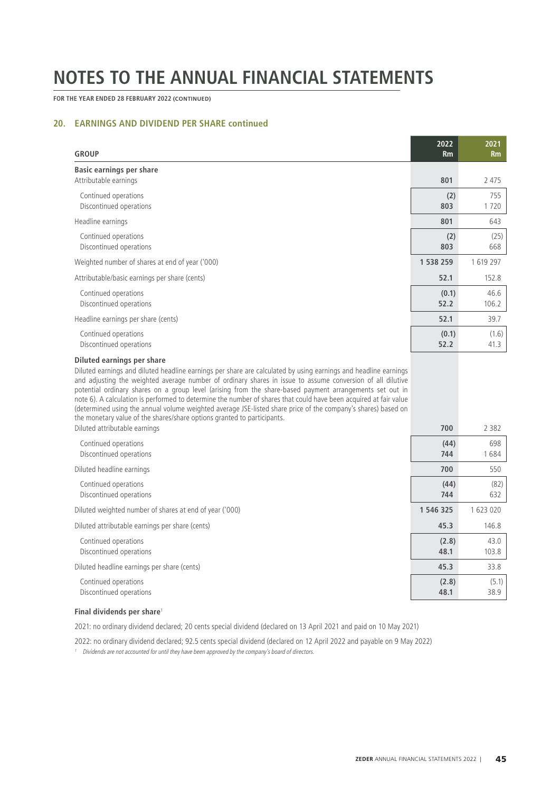**FOR THE YEAR ENDED 28 FEBRUARY 2022 (CONTINUED)**

## **20. EARNINGS AND DIVIDEND PER SHARE continued**

| <b>GROUP</b>                                                                                                                                                                                                                                                                                                                                                                                                                                                                                                                                                                                                                                                                             | 2022<br>Rm    | 2021<br><b>Rm</b> |
|------------------------------------------------------------------------------------------------------------------------------------------------------------------------------------------------------------------------------------------------------------------------------------------------------------------------------------------------------------------------------------------------------------------------------------------------------------------------------------------------------------------------------------------------------------------------------------------------------------------------------------------------------------------------------------------|---------------|-------------------|
| <b>Basic earnings per share</b><br>Attributable earnings                                                                                                                                                                                                                                                                                                                                                                                                                                                                                                                                                                                                                                 | 801           | 2 4 7 5           |
| Continued operations<br>Discontinued operations                                                                                                                                                                                                                                                                                                                                                                                                                                                                                                                                                                                                                                          | (2)<br>803    | 755<br>1720       |
| Headline earnings                                                                                                                                                                                                                                                                                                                                                                                                                                                                                                                                                                                                                                                                        | 801           | 643               |
| Continued operations<br>Discontinued operations                                                                                                                                                                                                                                                                                                                                                                                                                                                                                                                                                                                                                                          | (2)<br>803    | (25)<br>668       |
| Weighted number of shares at end of year ('000)                                                                                                                                                                                                                                                                                                                                                                                                                                                                                                                                                                                                                                          | 1 538 259     | 1619 297          |
| Attributable/basic earnings per share (cents)                                                                                                                                                                                                                                                                                                                                                                                                                                                                                                                                                                                                                                            | 52.1          | 152.8             |
| Continued operations<br>Discontinued operations                                                                                                                                                                                                                                                                                                                                                                                                                                                                                                                                                                                                                                          | (0.1)<br>52.2 | 46.6<br>106.2     |
| Headline earnings per share (cents)                                                                                                                                                                                                                                                                                                                                                                                                                                                                                                                                                                                                                                                      | 52.1          | 39.7              |
| Continued operations<br>Discontinued operations                                                                                                                                                                                                                                                                                                                                                                                                                                                                                                                                                                                                                                          | (0.1)<br>52.2 | (1.6)<br>41.3     |
| Diluted earnings per share<br>Diluted earnings and diluted headline earnings per share are calculated by using earnings and headline earnings<br>and adjusting the weighted average number of ordinary shares in issue to assume conversion of all dilutive<br>potential ordinary shares on a group level (arising from the share-based payment arrangements set out in<br>note 6). A calculation is performed to determine the number of shares that could have been acquired at fair value<br>(determined using the annual volume weighted average JSE-listed share price of the company's shares) based on<br>the monetary value of the shares/share options granted to participants. |               |                   |
| Diluted attributable earnings                                                                                                                                                                                                                                                                                                                                                                                                                                                                                                                                                                                                                                                            | 700           | 2 3 8 2           |
| Continued operations<br>Discontinued operations                                                                                                                                                                                                                                                                                                                                                                                                                                                                                                                                                                                                                                          | (44)<br>744   | 698<br>1684       |
| Diluted headline earnings                                                                                                                                                                                                                                                                                                                                                                                                                                                                                                                                                                                                                                                                | 700           | 550               |
| Continued operations<br>Discontinued operations                                                                                                                                                                                                                                                                                                                                                                                                                                                                                                                                                                                                                                          | (44)<br>744   | (82)<br>632       |
| Diluted weighted number of shares at end of year ('000)                                                                                                                                                                                                                                                                                                                                                                                                                                                                                                                                                                                                                                  | 1 546 325     | 1623020           |
| Diluted attributable earnings per share (cents)                                                                                                                                                                                                                                                                                                                                                                                                                                                                                                                                                                                                                                          | 45.3          | 146.8             |
| Continued operations<br>Discontinued operations                                                                                                                                                                                                                                                                                                                                                                                                                                                                                                                                                                                                                                          | (2.8)<br>48.1 | 43.0<br>103.8     |
| Diluted headline earnings per share (cents)                                                                                                                                                                                                                                                                                                                                                                                                                                                                                                                                                                                                                                              | 45.3          | 33.8              |
| Continued operations<br>Discontinued operations                                                                                                                                                                                                                                                                                                                                                                                                                                                                                                                                                                                                                                          | (2.8)<br>48.1 | (5.1)<br>38.9     |

### **Final dividends per share**<sup>1</sup>

2021: no ordinary dividend declared; 20 cents special dividend (declared on 13 April 2021 and paid on 10 May 2021)

2022: no ordinary dividend declared; 92.5 cents special dividend (declared on 12 April 2022 and payable on 9 May 2022)

<sup>1</sup> Dividends are not accounted for until they have been approved by the company's board of directors.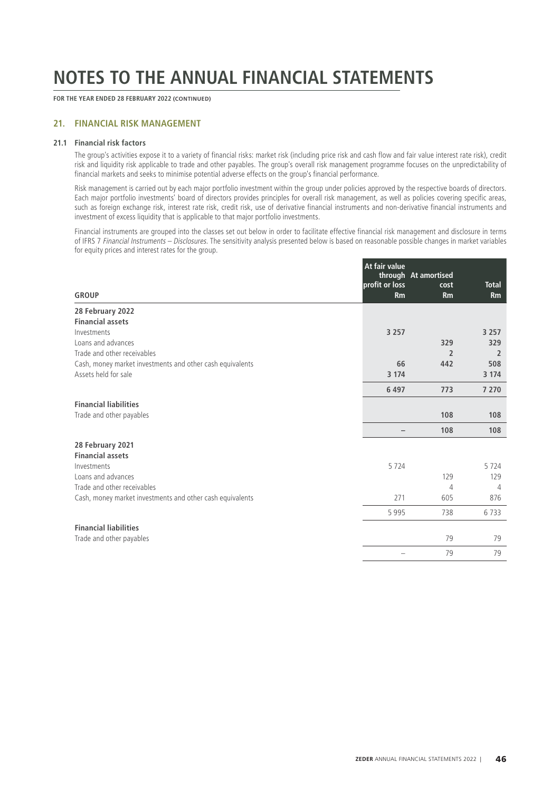**FOR THE YEAR ENDED 28 FEBRUARY 2022 (CONTINUED)**

### **21. FINANCIAL RISK MANAGEMENT**

#### **21.1 Financial risk factors**

The group's activities expose it to a variety of financial risks: market risk (including price risk and cash flow and fair value interest rate risk), credit risk and liquidity risk applicable to trade and other payables. The group's overall risk management programme focuses on the unpredictability of financial markets and seeks to minimise potential adverse effects on the group's financial performance.

Risk management is carried out by each major portfolio investment within the group under policies approved by the respective boards of directors. Each major portfolio investments' board of directors provides principles for overall risk management, as well as policies covering specific areas, such as foreign exchange risk, interest rate risk, credit risk, use of derivative financial instruments and non-derivative financial instruments and investment of excess liquidity that is applicable to that major portfolio investments.

Financial instruments are grouped into the classes set out below in order to facilitate effective financial risk management and disclosure in terms of IFRS 7 Financial Instruments - Disclosures. The sensitivity analysis presented below is based on reasonable possible changes in market variables for equity prices and interest rates for the group.

|                                                           | At fair value  | through At amortised |                |
|-----------------------------------------------------------|----------------|----------------------|----------------|
|                                                           | profit or loss | cost                 | <b>Total</b>   |
| <b>GROUP</b>                                              | <b>Rm</b>      | <b>Rm</b>            | <b>Rm</b>      |
| 28 February 2022                                          |                |                      |                |
| <b>Financial assets</b>                                   |                |                      |                |
| Investments                                               | 3 2 5 7        |                      | 3 2 5 7        |
| Loans and advances                                        |                | 329                  | 329            |
| Trade and other receivables                               |                | $\overline{2}$       | $\overline{2}$ |
| Cash, money market investments and other cash equivalents | 66             | 442                  | 508            |
| Assets held for sale                                      | 3 1 7 4        |                      | 3 1 7 4        |
|                                                           | 6 4 9 7        | 773                  | 7 2 7 0        |
| <b>Financial liabilities</b>                              |                |                      |                |
| Trade and other payables                                  |                | 108                  | 108            |
|                                                           |                | 108                  | 108            |
| 28 February 2021                                          |                |                      |                |
| <b>Financial assets</b>                                   |                |                      |                |
| Investments                                               | 5 7 2 4        |                      | 5 7 2 4        |
| Loans and advances                                        |                | 129                  | 129            |
| Trade and other receivables                               |                | 4                    | 4              |
| Cash, money market investments and other cash equivalents | 271            | 605                  | 876            |
|                                                           | 5995           | 738                  | 6733           |
| <b>Financial liabilities</b>                              |                |                      |                |
| Trade and other payables                                  |                | 79                   | 79             |
|                                                           |                | 79                   | 79             |
|                                                           |                |                      |                |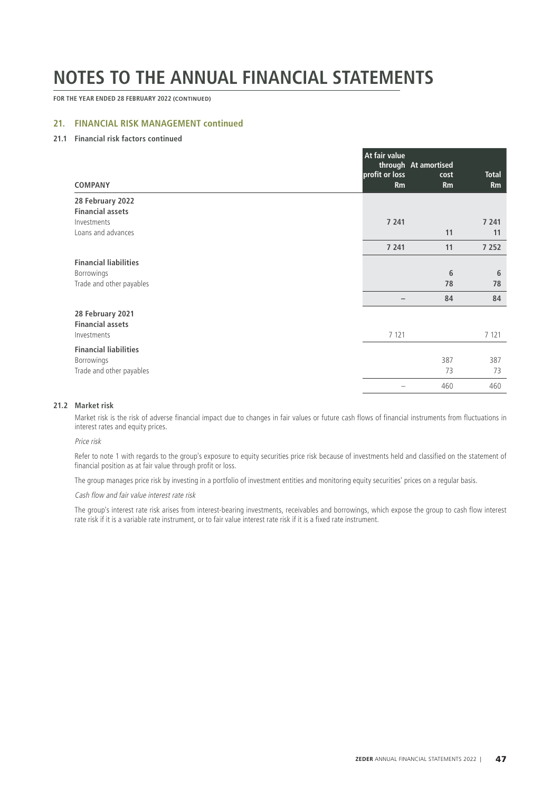**FOR THE YEAR ENDED 28 FEBRUARY 2022 (CONTINUED)**

#### **21. FINANCIAL RISK MANAGEMENT continued**

## **21.1 Financial risk factors continued**

| <b>COMPANY</b>               | At fair value<br>profit or loss<br><b>Rm</b> | through At amortised<br>cost<br><b>Rm</b> | <b>Total</b><br><b>Rm</b> |
|------------------------------|----------------------------------------------|-------------------------------------------|---------------------------|
| 28 February 2022             |                                              |                                           |                           |
| <b>Financial assets</b>      |                                              |                                           |                           |
| Investments                  | 7 241                                        |                                           | 7 2 4 1                   |
| Loans and advances           |                                              | 11                                        | 11                        |
|                              | 7 2 4 1                                      | 11                                        | 7 2 5 2                   |
| <b>Financial liabilities</b> |                                              |                                           |                           |
| Borrowings                   |                                              | 6                                         | 6                         |
| Trade and other payables     |                                              | 78                                        | 78                        |
|                              | $\qquad \qquad -$                            | 84                                        | 84                        |
| 28 February 2021             |                                              |                                           |                           |
| <b>Financial assets</b>      |                                              |                                           |                           |
| Investments                  | 7 1 2 1                                      |                                           | 7 1 21                    |
| <b>Financial liabilities</b> |                                              |                                           |                           |
| Borrowings                   |                                              | 387                                       | 387                       |
| Trade and other payables     |                                              | 73                                        | 73                        |
|                              |                                              | 460                                       | 460                       |

# **21.2 Market risk**

Market risk is the risk of adverse financial impact due to changes in fair values or future cash flows of financial instruments from fluctuations in interest rates and equity prices.

Price risk

Refer to note 1 with regards to the group's exposure to equity securities price risk because of investments held and classified on the statement of financial position as at fair value through profit or loss.

The group manages price risk by investing in a portfolio of investment entities and monitoring equity securities' prices on a regular basis.

Cash flow and fair value interest rate risk

The group's interest rate risk arises from interest-bearing investments, receivables and borrowings, which expose the group to cash flow interest rate risk if it is a variable rate instrument, or to fair value interest rate risk if it is a fixed rate instrument.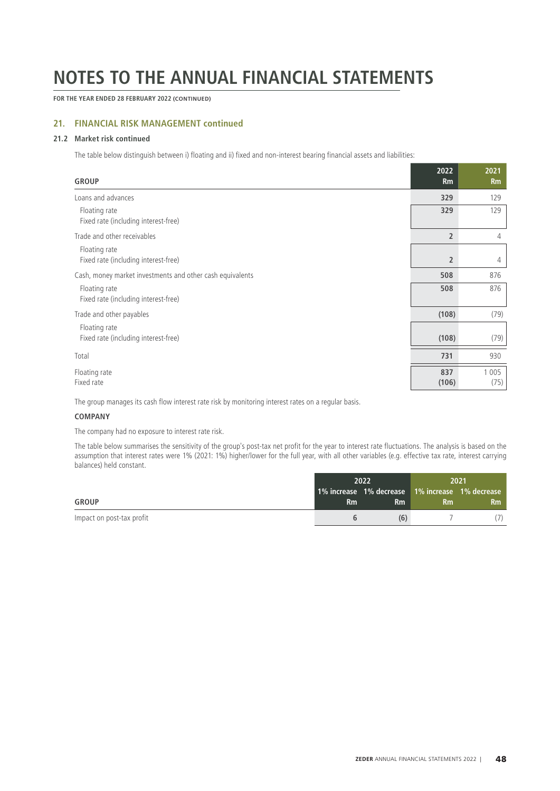**FOR THE YEAR ENDED 28 FEBRUARY 2022 (CONTINUED)**

### **21. FINANCIAL RISK MANAGEMENT continued**

# **21.2 Market risk continued**

The table below distinguish between i) floating and ii) fixed and non-interest bearing financial assets and liabilities:

| <b>GROUP</b>                                              | 2022<br><b>Rm</b> | 2021<br><b>Rm</b> |
|-----------------------------------------------------------|-------------------|-------------------|
| Loans and advances                                        | 329               | 129               |
| Floating rate<br>Fixed rate (including interest-free)     | 329               | 129               |
| Trade and other receivables                               | $\overline{2}$    | 4                 |
| Floating rate<br>Fixed rate (including interest-free)     | $\overline{2}$    | 4                 |
| Cash, money market investments and other cash equivalents | 508               | 876               |
| Floating rate<br>Fixed rate (including interest-free)     | 508               | 876               |
| Trade and other payables                                  | (108)             | (79)              |
| Floating rate<br>Fixed rate (including interest-free)     | (108)             | (79)              |
| Total                                                     | 731               | 930               |
| Floating rate<br>Fixed rate                               | 837<br>(106)      | 1 0 0 5<br>(75)   |

The group manages its cash flow interest rate risk by monitoring interest rates on a regular basis.

### **COMPANY**

The company had no exposure to interest rate risk.

The table below summarises the sensitivity of the group's post-tax net profit for the year to interest rate fluctuations. The analysis is based on the assumption that interest rates were 1% (2021: 1%) higher/lower for the full year, with all other variables (e.g. effective tax rate, interest carrying balances) held constant.

|                           | 2022                                            |           | 2021      |    |
|---------------------------|-------------------------------------------------|-----------|-----------|----|
|                           | 1% increase 1% decrease 1% increase 1% decrease |           |           |    |
| <b>GROUP</b>              | <b>Rm</b>                                       | <b>Rm</b> | <b>Rm</b> | Rm |
| Impact on post-tax profit |                                                 | (6)       |           |    |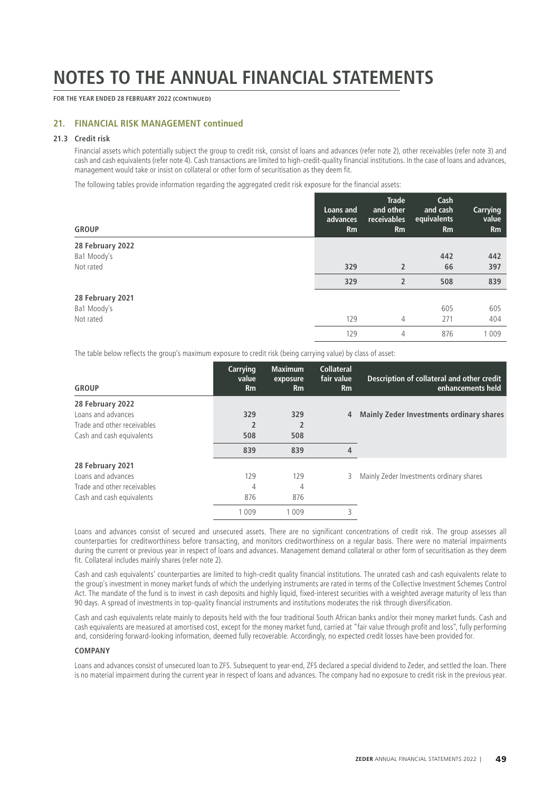**FOR THE YEAR ENDED 28 FEBRUARY 2022 (CONTINUED)**

#### **21. FINANCIAL RISK MANAGEMENT continued**

# **21.3 Credit risk**

Financial assets which potentially subject the group to credit risk, consist of loans and advances (refer note 2), other receivables (refer note 3) and cash and cash equivalents (refer note 4). Cash transactions are limited to high-credit-quality financial institutions. In the case of loans and advances, management would take or insist on collateral or other form of securitisation as they deem fit.

The following tables provide information regarding the aggregated credit risk exposure for the financial assets:

| <b>GROUP</b>     | Loans and<br>advances<br><b>Rm</b> | <b>Trade</b><br>and other<br>receivables<br><b>Rm</b> | Cash<br>and cash<br>equivalents<br><b>Rm</b> | <b>Carrying</b><br>value<br><b>Rm</b> |
|------------------|------------------------------------|-------------------------------------------------------|----------------------------------------------|---------------------------------------|
| 28 February 2022 |                                    |                                                       |                                              |                                       |
| Ba1 Moody's      |                                    |                                                       | 442                                          | 442                                   |
| Not rated        | 329                                | $\overline{2}$                                        | 66                                           | 397                                   |
|                  | 329                                | $\overline{2}$                                        | 508                                          | 839                                   |
| 28 February 2021 |                                    |                                                       |                                              |                                       |
| Ba1 Moody's      |                                    |                                                       | 605                                          | 605                                   |
| Not rated        | 129                                | 4                                                     | 271                                          | 404                                   |
|                  | 129                                | 4                                                     | 876                                          | 1009                                  |

The table below reflects the group's maximum exposure to credit risk (being carrying value) by class of asset:

| <b>GROUP</b>                | Carrying<br>value<br>Rm | <b>Maximum</b><br>exposure<br><b>Rm</b> | <b>Collateral</b><br>fair value<br><b>Rm</b> | Description of collateral and other credit<br>enhancements held |
|-----------------------------|-------------------------|-----------------------------------------|----------------------------------------------|-----------------------------------------------------------------|
| 28 February 2022            |                         |                                         |                                              |                                                                 |
| Loans and advances          | 329                     | 329                                     | 4                                            | Mainly Zeder Investments ordinary shares                        |
| Trade and other receivables |                         | 2                                       |                                              |                                                                 |
| Cash and cash equivalents   | 508                     | 508                                     |                                              |                                                                 |
|                             | 839                     | 839                                     | 4                                            |                                                                 |
| 28 February 2021            |                         |                                         |                                              |                                                                 |
| Loans and advances          | 129                     | 129                                     | 3                                            | Mainly Zeder Investments ordinary shares                        |
| Trade and other receivables | 4                       | 4                                       |                                              |                                                                 |
| Cash and cash equivalents   | 876                     | 876                                     |                                              |                                                                 |
|                             | 1 0 0 9                 | 1 0 0 9                                 | 3                                            |                                                                 |

Loans and advances consist of secured and unsecured assets. There are no significant concentrations of credit risk. The group assesses all counterparties for creditworthiness before transacting, and monitors creditworthiness on a regular basis. There were no material impairments during the current or previous year in respect of loans and advances. Management demand collateral or other form of securitisation as they deem fit. Collateral includes mainly shares (refer note 2).

Cash and cash equivalents' counterparties are limited to high-credit quality financial institutions. The unrated cash and cash equivalents relate to the group's investment in money market funds of which the underlying instruments are rated in terms of the Collective Investment Schemes Control Act. The mandate of the fund is to invest in cash deposits and highly liquid, fixed-interest securities with a weighted average maturity of less than 90 days. A spread of investments in top-quality financial instruments and institutions moderates the risk through diversification.

Cash and cash equivalents relate mainly to deposits held with the four traditional South African banks and/or their money market funds. Cash and cash equivalents are measured at amortised cost, except for the money market fund, carried at "fair value through profit and loss", fully performing and, considering forward-looking information, deemed fully recoverable. Accordingly, no expected credit losses have been provided for.

#### **COMPANY**

Loans and advances consist of unsecured loan to ZFS. Subsequent to year-end, ZFS declared a special dividend to Zeder, and settled the loan. There is no material impairment during the current year in respect of loans and advances. The company had no exposure to credit risk in the previous year.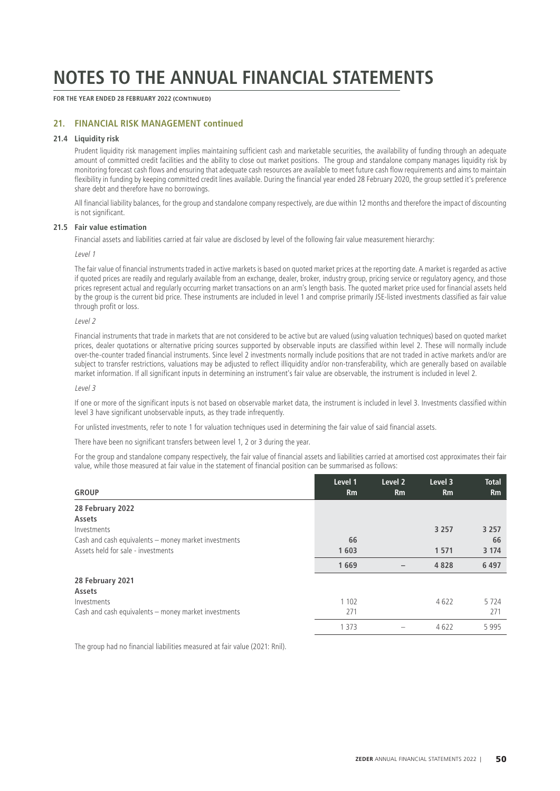**FOR THE YEAR ENDED 28 FEBRUARY 2022 (CONTINUED)**

### **21. FINANCIAL RISK MANAGEMENT continued**

# **21.4 Liquidity risk**

Prudent liquidity risk management implies maintaining sufficient cash and marketable securities, the availability of funding through an adequate amount of committed credit facilities and the ability to close out market positions. The group and standalone company manages liquidity risk by monitoring forecast cash flows and ensuring that adequate cash resources are available to meet future cash flow requirements and aims to maintain flexibility in funding by keeping committed credit lines available. During the financial year ended 28 February 2020, the group settled it's preference share debt and therefore have no borrowings.

All financial liability balances, for the group and standalone company respectively, are due within 12 months and therefore the impact of discounting is not significant.

#### **21.5 Fair value estimation**

Financial assets and liabilities carried at fair value are disclosed by level of the following fair value measurement hierarchy:

Level 1

The fair value of financial instruments traded in active markets is based on quoted market prices at the reporting date. A market is regarded as active if quoted prices are readily and regularly available from an exchange, dealer, broker, industry group, pricing service or regulatory agency, and those prices represent actual and regularly occurring market transactions on an arm's length basis. The quoted market price used for financial assets held by the group is the current bid price. These instruments are included in level 1 and comprise primarily JSE-listed investments classified as fair value through profit or loss.

#### Level 2

Financial instruments that trade in markets that are not considered to be active but are valued (using valuation techniques) based on quoted market prices, dealer quotations or alternative pricing sources supported by observable inputs are classified within level 2. These will normally include over-the-counter traded financial instruments. Since level 2 investments normally include positions that are not traded in active markets and/or are subject to transfer restrictions, valuations may be adjusted to reflect illiquidity and/or non-transferability, which are generally based on available market information. If all significant inputs in determining an instrument's fair value are observable, the instrument is included in level 2.

#### $|p| \leq 3$

If one or more of the significant inputs is not based on observable market data, the instrument is included in level 3. Investments classified within level 3 have significant unobservable inputs, as they trade infrequently.

For unlisted investments, refer to note 1 for valuation techniques used in determining the fair value of said financial assets.

There have been no significant transfers between level 1, 2 or 3 during the year.

For the group and standalone company respectively, the fair value of financial assets and liabilities carried at amortised cost approximates their fair value, while those measured at fair value in the statement of financial position can be summarised as follows:

| <b>GROUP</b>                                         | Level 1<br>Rm | Level <sub>2</sub><br>Rm | Level 3<br><b>Rm</b> | <b>Total</b><br><b>Rm</b> |
|------------------------------------------------------|---------------|--------------------------|----------------------|---------------------------|
| 28 February 2022                                     |               |                          |                      |                           |
| Assets                                               |               |                          |                      |                           |
| Investments                                          |               |                          | 3 2 5 7              | 3 2 5 7                   |
| Cash and cash equivalents – money market investments | 66            |                          |                      | 66                        |
| Assets held for sale - investments                   | 1603          |                          | 1 5 7 1              | 3 1 7 4                   |
|                                                      | 1669          |                          | 4828                 | 6 4 9 7                   |
| 28 February 2021                                     |               |                          |                      |                           |
| Assets                                               |               |                          |                      |                           |
| Investments                                          | 1 1 0 2       |                          | 4622                 | 5 7 2 4                   |
| Cash and cash equivalents - money market investments | 271           |                          |                      | 271                       |
|                                                      | 1 3 7 3       |                          | 4622                 | 5995                      |

The group had no financial liabilities measured at fair value (2021: Rnil).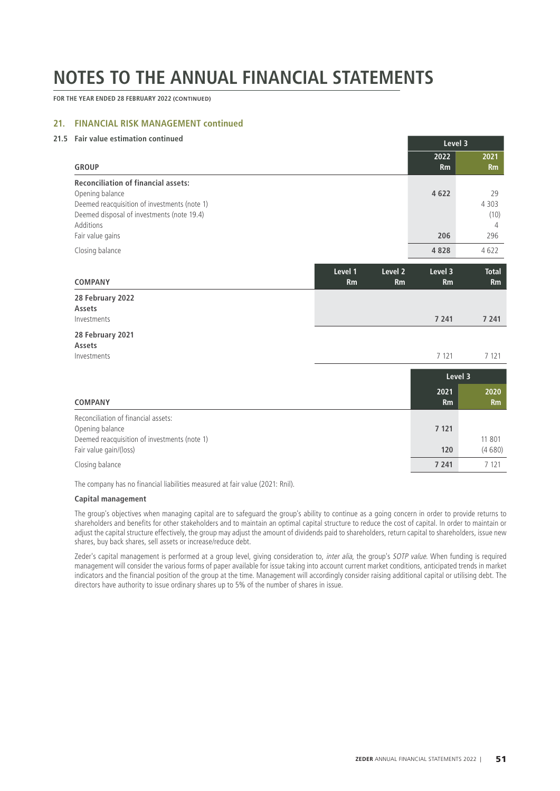**FOR THE YEAR ENDED 28 FEBRUARY 2022 (CONTINUED)**

# **21. FINANCIAL RISK MANAGEMENT continued**

### **21.5 Fair value estimation continued**

|                                                                                                                                                             |               |                          | семен э           |                           |
|-------------------------------------------------------------------------------------------------------------------------------------------------------------|---------------|--------------------------|-------------------|---------------------------|
|                                                                                                                                                             |               |                          | 2022              | 2021                      |
| <b>GROUP</b>                                                                                                                                                |               |                          | <b>Rm</b>         | <b>Rm</b>                 |
| <b>Reconciliation of financial assets:</b><br>Opening balance<br>Deemed reacquisition of investments (note 1)<br>Deemed disposal of investments (note 19.4) |               |                          | 4622              | 29<br>4 3 0 3<br>(10)     |
| <b>Additions</b>                                                                                                                                            |               |                          |                   | 4                         |
| Fair value gains                                                                                                                                            |               |                          | 206               | 296                       |
| Closing balance                                                                                                                                             |               |                          | 4828              | 4622                      |
| <b>COMPANY</b>                                                                                                                                              | Level 1<br>Rm | Level <sub>2</sub><br>Rm | Level 3<br>Rm     | <b>Total</b><br><b>Rm</b> |
| 28 February 2022<br>Assets<br>Investments                                                                                                                   |               |                          | 7 2 4 1           | 7 2 4 1                   |
| 28 February 2021<br>Assets<br>Investments                                                                                                                   |               |                          | 7 1 2 1           | 7 1 2 1                   |
|                                                                                                                                                             |               |                          |                   |                           |
|                                                                                                                                                             |               |                          | Level 3           |                           |
| <b>COMPANY</b>                                                                                                                                              |               |                          | 2021<br><b>Rm</b> | 2020<br><b>Rm</b>         |
| Reconciliation of financial assets:<br>Opening balance<br>Deemed reacquisition of investments (note 1)<br>Fair value gain/(loss)                            |               |                          | 7 1 2 1<br>120    | 11 801<br>(4680)          |
|                                                                                                                                                             |               |                          | 7 2 4 1           | 7 1 2 1                   |
| Closing balance                                                                                                                                             |               |                          |                   |                           |

The company has no financial liabilities measured at fair value (2021: Rnil).

### **Capital management**

The group's objectives when managing capital are to safeguard the group's ability to continue as a going concern in order to provide returns to shareholders and benefits for other stakeholders and to maintain an optimal capital structure to reduce the cost of capital. In order to maintain or adjust the capital structure effectively, the group may adjust the amount of dividends paid to shareholders, return capital to shareholders, issue new shares, buy back shares, sell assets or increase/reduce debt.

Zeder's capital management is performed at a group level, giving consideration to, inter alia, the group's SOTP value. When funding is required management will consider the various forms of paper available for issue taking into account current market conditions, anticipated trends in market indicators and the financial position of the group at the time. Management will accordingly consider raising additional capital or utilising debt. The directors have authority to issue ordinary shares up to 5% of the number of shares in issue.

**Level 3**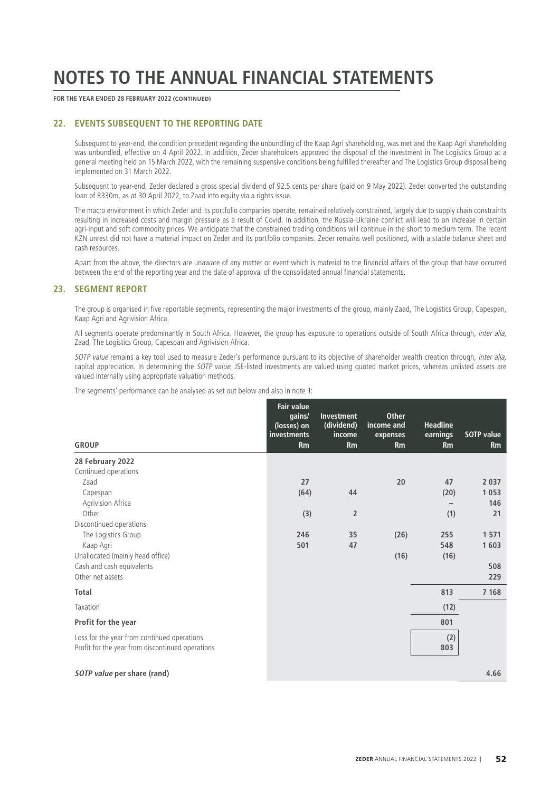**FOR THE YEAR ENDED 28 FEBRUARY 2022 (CONTINUED)**

### **22. EVENTS SUBSEQUENT TO THE REPORTING DATE**

Subsequent to year-end, the condition precedent regarding the unbundling of the Kaap Agri shareholding, was met and the Kaap Agri shareholding was unbundled, effective on 4 April 2022. In addition, Zeder shareholders approved the disposal of the investment in The Logistics Group at a general meeting held on 15 March 2022, with the remaining suspensive conditions being fulfilled thereafter and The Logistics Group disposal being implemented on 31 March 2022.

Subsequent to year-end, Zeder declared a gross special dividend of 92.5 cents per share (paid on 9 May 2022). Zeder converted the outstanding loan of R330m, as at 30 April 2022, to Zaad into equity via a rights issue.

The macro environment in which Zeder and its portfolio companies operate, remained relatively constrained, largely due to supply chain constraints resulting in increased costs and margin pressure as a result of Covid. In addition, the Russia-Ukraine conflict will lead to an increase in certain agri-input and soft commodity prices. We anticipate that the constrained trading conditions will continue in the short to medium term. The recent KZN unrest did not have a material impact on Zeder and its portfolio companies. Zeder remains well positioned, with a stable balance sheet and cash resources.

Apart from the above, the directors are unaware of any matter or event which is material to the financial affairs of the group that have occurred between the end of the reporting year and the date of approval of the consolidated annual financial statements.

### **23. SEGMENT REPORT**

The group is organised in five reportable segments, representing the major investments of the group, mainly Zaad, The Logistics Group, Capespan, Kaap Agri and Agrivision Africa.

All segments operate predominantly in South Africa. However, the group has exposure to operations outside of South Africa through, inter alia, Zaad, The Logistics Group, Capespan and Agrivision Africa.

SOTP value remains a key tool used to measure Zeder's performance pursuant to its objective of shareholder wealth creation through, inter alia, capital appreciation. In determining the SOTP value, JSE-listed investments are valued using quoted market prices, whereas unlisted assets are valued internally using appropriate valuation methods.

The segments' performance can be analysed as set out below and also in note 1:

| <b>GROUP</b>                                     | <b>Fair value</b><br>gains/<br>(losses) on<br><b>investments</b><br><b>Rm</b> | <b>Investment</b><br>(dividend)<br><i>income</i><br><b>Rm</b> | <b>Other</b><br>income and<br>expenses<br><b>Rm</b> | <b>Headline</b><br>earnings<br><b>Rm</b> | <b>SOTP</b> value<br>Rm |
|--------------------------------------------------|-------------------------------------------------------------------------------|---------------------------------------------------------------|-----------------------------------------------------|------------------------------------------|-------------------------|
| 28 February 2022                                 |                                                                               |                                                               |                                                     |                                          |                         |
| Continued operations                             |                                                                               |                                                               |                                                     |                                          |                         |
| Zaad                                             | 27                                                                            |                                                               | 20                                                  | 47                                       | 2 0 3 7                 |
| Capespan                                         | (64)                                                                          | 44                                                            |                                                     | (20)                                     | 1 0 5 3                 |
| Agrivision Africa                                |                                                                               |                                                               |                                                     |                                          | 146                     |
| Other                                            | (3)                                                                           | $\overline{2}$                                                |                                                     | (1)                                      | 21                      |
| Discontinued operations                          |                                                                               |                                                               |                                                     |                                          |                         |
| The Logistics Group<br>Kaap Agri                 | 246<br>501                                                                    | 35<br>47                                                      | (26)                                                | 255<br>548                               | 1 5 7 1<br>1603         |
| Unallocated (mainly head office)                 |                                                                               |                                                               | (16)                                                | (16)                                     |                         |
| Cash and cash equivalents                        |                                                                               |                                                               |                                                     |                                          | 508                     |
| Other net assets                                 |                                                                               |                                                               |                                                     |                                          | 229                     |
| <b>Total</b>                                     |                                                                               |                                                               |                                                     | 813                                      | 7 1 6 8                 |
| Taxation                                         |                                                                               |                                                               |                                                     | (12)                                     |                         |
| Profit for the year                              |                                                                               |                                                               |                                                     | 801                                      |                         |
| Loss for the year from continued operations      |                                                                               |                                                               |                                                     | (2)                                      |                         |
| Profit for the year from discontinued operations |                                                                               |                                                               |                                                     | 803                                      |                         |
|                                                  |                                                                               |                                                               |                                                     |                                          |                         |
| <b>SOTP</b> value per share (rand)               |                                                                               |                                                               |                                                     |                                          | 4.66                    |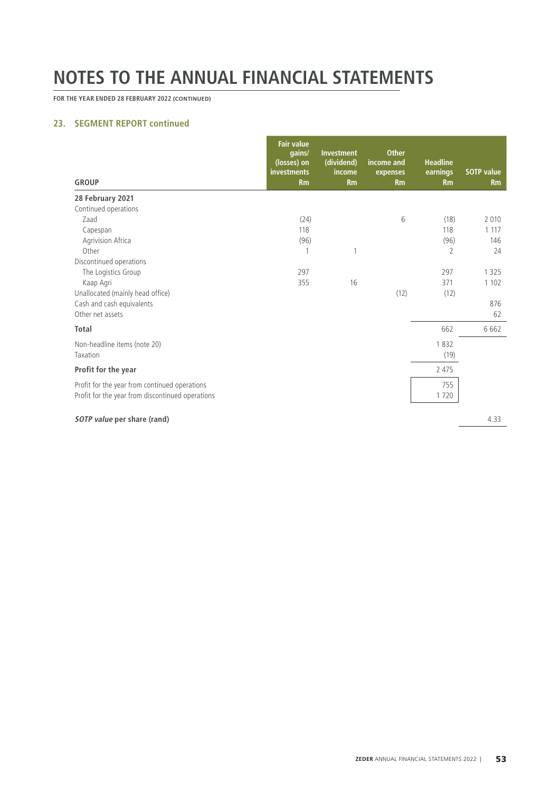**FOR THE YEAR ENDED 28 FEBRUARY 2022 (CONTINUED)**

# **23. SEGMENT REPORT continued**

| <b>GROUP</b>                                     | <b>Fair value</b><br>gains/<br>(losses) on<br>investments<br><b>Rm</b> | <b>Investment</b><br>(dividend)<br>income<br><b>Rm</b> | <b>Other</b><br>income and<br>expenses<br><b>Rm</b> | <b>Headline</b><br>earnings<br><b>Rm</b> | <b>SOTP</b> value<br><b>Rm</b> |
|--------------------------------------------------|------------------------------------------------------------------------|--------------------------------------------------------|-----------------------------------------------------|------------------------------------------|--------------------------------|
| 28 February 2021                                 |                                                                        |                                                        |                                                     |                                          |                                |
| Continued operations                             |                                                                        |                                                        |                                                     |                                          |                                |
| Zaad                                             | (24)                                                                   |                                                        | 6                                                   | (18)                                     | 2 0 1 0                        |
| Capespan                                         | 118                                                                    |                                                        |                                                     | 118                                      | 1 1 1 7                        |
| Agrivision Africa                                | (96)                                                                   |                                                        |                                                     | (96)                                     | 146                            |
| Other                                            | 1                                                                      | 1                                                      |                                                     | 2                                        | 24                             |
| Discontinued operations                          |                                                                        |                                                        |                                                     |                                          |                                |
| The Logistics Group                              | 297                                                                    |                                                        |                                                     | 297                                      | 1 3 2 5                        |
| Kaap Agri                                        | 355                                                                    | 16                                                     |                                                     | 371                                      | 1 1 0 2                        |
| Unallocated (mainly head office)                 |                                                                        |                                                        | (12)                                                | (12)                                     |                                |
| Cash and cash equivalents                        |                                                                        |                                                        |                                                     |                                          | 876                            |
| Other net assets                                 |                                                                        |                                                        |                                                     |                                          | 62                             |
| <b>Total</b>                                     |                                                                        |                                                        |                                                     | 662                                      | 6662                           |
| Non-headline items (note 20)                     |                                                                        |                                                        |                                                     | 1832                                     |                                |
| Taxation                                         |                                                                        |                                                        |                                                     | (19)                                     |                                |
| Profit for the year                              |                                                                        |                                                        |                                                     | 2 4 7 5                                  |                                |
| Profit for the year from continued operations    |                                                                        |                                                        |                                                     | 755                                      |                                |
| Profit for the year from discontinued operations |                                                                        |                                                        |                                                     | 1720                                     |                                |
|                                                  |                                                                        |                                                        |                                                     |                                          |                                |
| <b>SOTP value per share (rand)</b>               |                                                                        |                                                        |                                                     |                                          | 4.33                           |